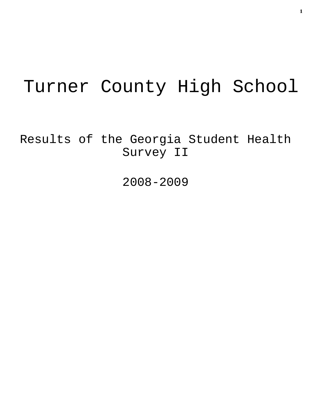# Turner County High School

Results of the Georgia Student Health Survey II

2008-2009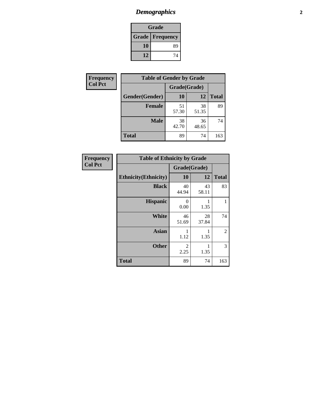# *Demographics* **2**

| Grade                    |    |  |  |
|--------------------------|----|--|--|
| <b>Grade   Frequency</b> |    |  |  |
| 10                       | 89 |  |  |
| 12                       | 74 |  |  |

| Frequency      | <b>Table of Gender by Grade</b> |              |             |              |  |
|----------------|---------------------------------|--------------|-------------|--------------|--|
| <b>Col Pct</b> |                                 | Grade(Grade) |             |              |  |
|                | Gender(Gender)                  | 10           | 12          | <b>Total</b> |  |
|                | <b>Female</b>                   | 51<br>57.30  | 38<br>51.35 | 89           |  |
|                | <b>Male</b>                     | 38<br>42.70  | 36<br>48.65 | 74           |  |
|                | <b>Total</b>                    | 89           | 74          | 163          |  |

| <b>Frequency</b> |  |
|------------------|--|
| Col Pct          |  |

| <b>Table of Ethnicity by Grade</b> |              |             |              |  |  |  |
|------------------------------------|--------------|-------------|--------------|--|--|--|
|                                    | Grade(Grade) |             |              |  |  |  |
| <b>Ethnicity</b> (Ethnicity)       | 10           | 12          | <b>Total</b> |  |  |  |
| <b>Black</b>                       | 40<br>44.94  | 43<br>58.11 | 83           |  |  |  |
| <b>Hispanic</b>                    | 0<br>0.00    | 1.35        | 1            |  |  |  |
| <b>White</b>                       | 46<br>51.69  | 28<br>37.84 | 74           |  |  |  |
| <b>Asian</b>                       | 1<br>1.12    | 1.35        | 2            |  |  |  |
| <b>Other</b>                       | 2<br>2.25    | 1<br>1.35   | 3            |  |  |  |
| <b>Total</b>                       | 89           | 74          | 163          |  |  |  |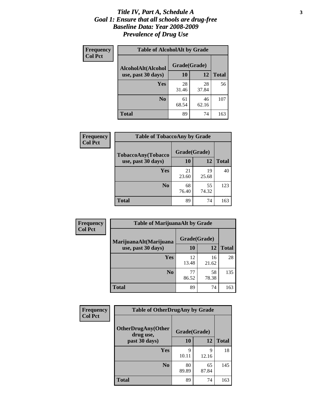#### *Title IV, Part A, Schedule A* **3** *Goal 1: Ensure that all schools are drug-free Baseline Data: Year 2008-2009 Prevalence of Drug Use*

| Frequency<br><b>Col Pct</b> | <b>Table of AlcoholAlt by Grade</b> |              |             |              |  |  |
|-----------------------------|-------------------------------------|--------------|-------------|--------------|--|--|
|                             | AlcoholAlt(Alcohol                  | Grade(Grade) |             |              |  |  |
|                             | use, past 30 days)                  | 10           | 12          | <b>Total</b> |  |  |
|                             | Yes                                 | 28<br>31.46  | 28<br>37.84 | 56           |  |  |
|                             | N <sub>0</sub>                      | 61<br>68.54  | 46<br>62.16 | 107          |  |  |
|                             | <b>Total</b>                        | 89           | 74          | 163          |  |  |

| Frequency      | <b>Table of TobaccoAny by Grade</b> |              |             |              |  |
|----------------|-------------------------------------|--------------|-------------|--------------|--|
| <b>Col Pct</b> | <b>TobaccoAny(Tobacco</b>           | Grade(Grade) |             |              |  |
|                | use, past 30 days)                  | 10           | 12          | <b>Total</b> |  |
|                | Yes                                 | 21<br>23.60  | 19<br>25.68 | 40           |  |
|                | N <sub>0</sub>                      | 68<br>76.40  | 55<br>74.32 | 123          |  |
|                | <b>Total</b>                        | 89           | 74          | 163          |  |

| Frequency<br><b>Col Pct</b> | <b>Table of MarijuanaAlt by Grade</b> |              |             |              |  |
|-----------------------------|---------------------------------------|--------------|-------------|--------------|--|
|                             | MarijuanaAlt(Marijuana                | Grade(Grade) |             |              |  |
|                             | use, past 30 days)                    | 10           | 12          | <b>Total</b> |  |
|                             | Yes                                   | 12<br>13.48  | 16<br>21.62 | 28           |  |
|                             | N <sub>0</sub>                        | 77<br>86.52  | 58<br>78.38 | 135          |  |
|                             | <b>Total</b>                          | 89           | 74          | 163          |  |

| Frequency<br><b>Col Pct</b> | <b>Table of OtherDrugAny by Grade</b>  |              |             |              |  |  |
|-----------------------------|----------------------------------------|--------------|-------------|--------------|--|--|
|                             | <b>OtherDrugAny(Other</b><br>drug use, | Grade(Grade) |             |              |  |  |
|                             | past 30 days)                          | 10           | 12          | <b>Total</b> |  |  |
|                             | Yes                                    | 9<br>10.11   | 9<br>12.16  | 18           |  |  |
|                             | N <sub>0</sub>                         | 80<br>89.89  | 65<br>87.84 | 145          |  |  |
|                             | <b>Total</b>                           | 89           | 74          | 163          |  |  |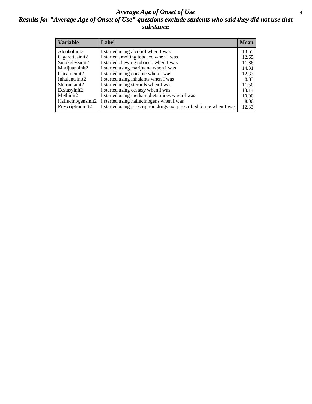### *Average Age of Onset of Use* **4** *Results for "Average Age of Onset of Use" questions exclude students who said they did not use that substance*

| <b>Variable</b>    | Label                                                              | <b>Mean</b> |
|--------------------|--------------------------------------------------------------------|-------------|
| Alcoholinit2       | I started using alcohol when I was                                 | 13.65       |
| Cigarettesinit2    | I started smoking tobacco when I was                               | 12.65       |
| Smokelessinit2     | I started chewing tobacco when I was                               | 11.86       |
| Marijuanainit2     | I started using marijuana when I was                               | 14.31       |
| Cocaineinit2       | I started using cocaine when I was                                 | 12.33       |
| Inhalantsinit2     | I started using inhalants when I was                               | 8.83        |
| Steroidsinit2      | I started using steroids when I was                                | 11.50       |
| Ecstasyinit2       | I started using ecstasy when I was                                 | 13.14       |
| Methinit2          | I started using methamphetamines when I was                        | 10.00       |
| Hallucinogensinit2 | I started using hallucinogens when I was                           | 8.00        |
| Prescriptioninit2  | I started using prescription drugs not prescribed to me when I was | 12.33       |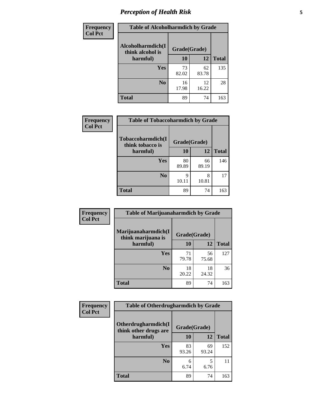# *Perception of Health Risk* **5**

| <b>Frequency</b> | <b>Table of Alcoholharmdich by Grade</b> |              |             |              |  |
|------------------|------------------------------------------|--------------|-------------|--------------|--|
| <b>Col Pct</b>   | Alcoholharmdich(I<br>think alcohol is    | Grade(Grade) |             |              |  |
|                  | harmful)                                 | 10           | 12          | <b>Total</b> |  |
|                  | Yes                                      | 73<br>82.02  | 62<br>83.78 | 135          |  |
|                  | N <sub>0</sub>                           | 16<br>17.98  | 12<br>16.22 | 28           |  |
|                  | <b>Total</b>                             | 89           | 74          | 163          |  |

| Frequency      | <b>Table of Tobaccoharmdich by Grade</b> |              |             |              |  |
|----------------|------------------------------------------|--------------|-------------|--------------|--|
| <b>Col Pct</b> | Tobaccoharmdich(I<br>think tobacco is    | Grade(Grade) |             |              |  |
|                | harmful)                                 | 10           | 12          | <b>Total</b> |  |
|                | <b>Yes</b>                               | 80<br>89.89  | 66<br>89.19 | 146          |  |
|                | N <sub>0</sub>                           | q<br>10.11   | 8<br>10.81  | 17           |  |
|                | <b>Total</b>                             | 89           | 74          | 163          |  |

| Frequency      | <b>Table of Marijuanaharmdich by Grade</b> |              |             |              |  |
|----------------|--------------------------------------------|--------------|-------------|--------------|--|
| <b>Col Pct</b> | Marijuanaharmdich(I<br>think marijuana is  | Grade(Grade) |             |              |  |
|                | harmful)                                   | 10           | 12          | <b>Total</b> |  |
|                | Yes                                        | 71<br>79.78  | 56<br>75.68 | 127          |  |
|                | N <sub>0</sub>                             | 18<br>20.22  | 18<br>24.32 | 36           |  |
|                | <b>Total</b>                               | 89           | 74          | 163          |  |

| Frequency      | <b>Table of Otherdrugharmdich by Grade</b>   |              |             |              |  |  |  |  |
|----------------|----------------------------------------------|--------------|-------------|--------------|--|--|--|--|
| <b>Col Pct</b> | Otherdrugharmdich(I<br>think other drugs are | Grade(Grade) |             |              |  |  |  |  |
|                | harmful)                                     | 10           | 12          | <b>Total</b> |  |  |  |  |
|                | Yes                                          | 83<br>93.26  | 69<br>93.24 | 152          |  |  |  |  |
|                | N <sub>0</sub>                               | 6<br>6.74    | 5<br>6.76   | 11           |  |  |  |  |
|                | <b>Total</b>                                 | 89           | 74          | 163          |  |  |  |  |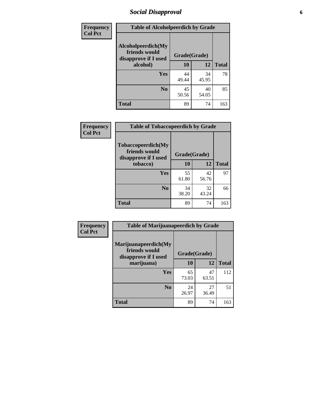# *Social Disapproval* **6**

| Frequency      | <b>Table of Alcoholpeerdich by Grade</b>                    |              |             |              |  |  |  |  |
|----------------|-------------------------------------------------------------|--------------|-------------|--------------|--|--|--|--|
| <b>Col Pct</b> | Alcoholpeerdich(My<br>friends would<br>disapprove if I used | Grade(Grade) |             |              |  |  |  |  |
|                | alcohol)                                                    | 10           | 12          | <b>Total</b> |  |  |  |  |
|                | <b>Yes</b>                                                  | 44<br>49.44  | 34<br>45.95 | 78           |  |  |  |  |
|                | N <sub>0</sub>                                              | 45<br>50.56  | 40<br>54.05 | 85           |  |  |  |  |
|                | <b>Total</b>                                                | 89           | 74          | 163          |  |  |  |  |

| <b>Frequency</b> |
|------------------|
| <b>Col Pct</b>   |

| <b>Table of Tobaccopeerdich by Grade</b>                    |              |             |              |  |  |  |  |
|-------------------------------------------------------------|--------------|-------------|--------------|--|--|--|--|
| Tobaccopeerdich(My<br>friends would<br>disapprove if I used | Grade(Grade) |             |              |  |  |  |  |
| tobacco)                                                    | 10           | 12          | <b>Total</b> |  |  |  |  |
| Yes                                                         | 55<br>61.80  | 42<br>56.76 | 97           |  |  |  |  |
| N <sub>0</sub>                                              | 34<br>38.20  | 32<br>43.24 | 66           |  |  |  |  |
| <b>Total</b>                                                | 89           | 74          | 163          |  |  |  |  |

| <b>Frequency</b> | <b>Table of Marijuanapeerdich by Grade</b>                    |              |             |              |  |  |  |  |
|------------------|---------------------------------------------------------------|--------------|-------------|--------------|--|--|--|--|
| <b>Col Pct</b>   | Marijuanapeerdich(My<br>friends would<br>disapprove if I used | Grade(Grade) |             |              |  |  |  |  |
|                  | marijuana)                                                    | 10           | 12          | <b>Total</b> |  |  |  |  |
|                  | <b>Yes</b>                                                    | 65<br>73.03  | 47<br>63.51 | 112          |  |  |  |  |
|                  | N <sub>0</sub>                                                | 24<br>26.97  | 27<br>36.49 | 51           |  |  |  |  |
|                  | <b>Total</b>                                                  | 89           | 74          | 163          |  |  |  |  |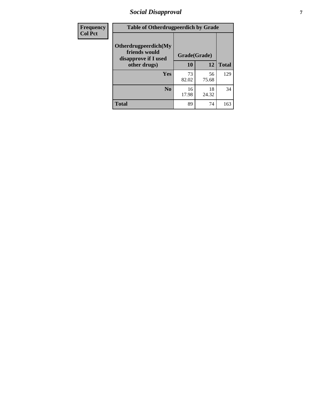# *Social Disapproval* **7**

| Frequency      | <b>Table of Otherdrugpeerdich by Grade</b>                    |              |             |              |  |  |  |  |
|----------------|---------------------------------------------------------------|--------------|-------------|--------------|--|--|--|--|
| <b>Col Pct</b> | Otherdrugpeerdich(My<br>friends would<br>disapprove if I used | Grade(Grade) |             |              |  |  |  |  |
|                | other drugs)                                                  | 10           | 12          | <b>Total</b> |  |  |  |  |
|                | Yes                                                           | 73<br>82.02  | 56<br>75.68 | 129          |  |  |  |  |
|                | N <sub>0</sub>                                                | 16<br>17.98  | 18<br>24.32 | 34           |  |  |  |  |
|                | <b>Total</b>                                                  | 89           | 74          | 163          |  |  |  |  |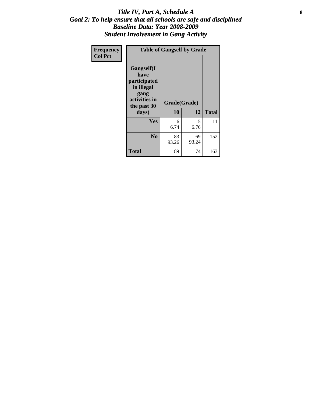### Title IV, Part A, Schedule A **8** *Goal 2: To help ensure that all schools are safe and disciplined Baseline Data: Year 2008-2009 Student Involvement in Gang Activity*

| Frequency      | <b>Table of Gangself by Grade</b>                                                                 |                    |             |              |
|----------------|---------------------------------------------------------------------------------------------------|--------------------|-------------|--------------|
| <b>Col Pct</b> | Gangself(I<br>have<br>participated<br>in illegal<br>gang<br>activities in<br>the past 30<br>days) | Grade(Grade)<br>10 | 12          | <b>Total</b> |
|                | Yes                                                                                               | 6<br>6.74          | 5<br>6.76   | 11           |
|                | N <sub>0</sub>                                                                                    | 83<br>93.26        | 69<br>93.24 | 152          |
|                | <b>Total</b>                                                                                      | 89                 | 74          | 163          |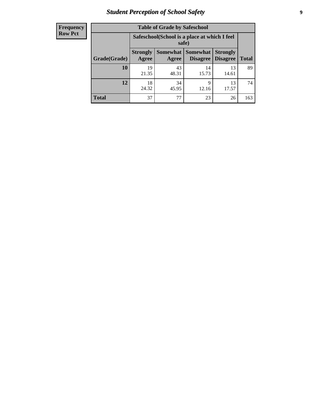# *Student Perception of School Safety* **9**

| <b>Frequency</b><br>Row Pct |
|-----------------------------|
|                             |

| <b>Table of Grade by Safeschool</b> |                                                        |             |                                 |                                    |              |  |  |  |
|-------------------------------------|--------------------------------------------------------|-------------|---------------------------------|------------------------------------|--------------|--|--|--|
|                                     | Safeschool (School is a place at which I feel<br>safe) |             |                                 |                                    |              |  |  |  |
| Grade(Grade)                        | <b>Strongly</b><br>Agree                               | Agree       | Somewhat   Somewhat<br>Disagree | <b>Strongly</b><br><b>Disagree</b> | <b>Total</b> |  |  |  |
| 10                                  | 19<br>21.35                                            | 43<br>48.31 | 14<br>15.73                     | 13<br>14.61                        | 89           |  |  |  |
| 12                                  | 18<br>24.32                                            | 34<br>45.95 | 9<br>12.16                      | 13<br>17.57                        | 74           |  |  |  |
| <b>Total</b>                        | 37                                                     | 77          | 23                              | 26                                 | 163          |  |  |  |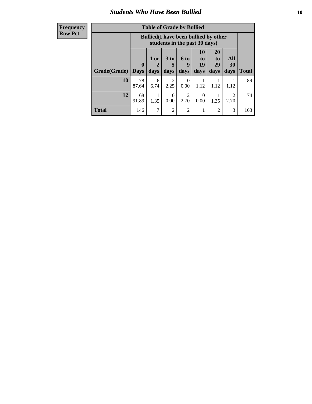### *Students Who Have Been Bullied* **10**

| <b>Frequency</b> |
|------------------|
| Row Pct          |

| <b>Table of Grade by Bullied</b> |                         |                                                                               |                              |                   |                        |                        |                   |              |
|----------------------------------|-------------------------|-------------------------------------------------------------------------------|------------------------------|-------------------|------------------------|------------------------|-------------------|--------------|
|                                  |                         | <b>Bullied</b> (I have been bullied by other<br>students in the past 30 days) |                              |                   |                        |                        |                   |              |
| Grade(Grade)                     | $\bf{0}$<br><b>Days</b> | 1 or<br>days                                                                  | 3 <sub>to</sub><br>5<br>days | 6 to<br>9<br>days | 10<br>to<br>19<br>days | 20<br>to<br>29<br>days | All<br>30<br>days | <b>Total</b> |
| 10                               | 78<br>87.64             | 6<br>6.74                                                                     | $\overline{c}$<br>2.25       | 0<br>0.00         | 1.12                   | 1.12                   | 1.12              | 89           |
| 12                               | 68<br>91.89             | 1.35                                                                          | $\theta$<br>0.00             | 2<br>2.70         | $\Omega$<br>0.00       | 1.35                   | 2.70              | 74           |
| <b>Total</b>                     | 146                     | 7                                                                             | $\overline{2}$               | 2                 |                        | $\overline{2}$         | 3                 | 163          |

 $\blacksquare$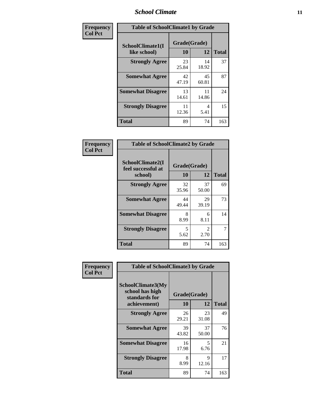### *School Climate* **11**

| Frequency      | <b>Table of SchoolClimate1 by Grade</b> |                    |             |              |  |  |  |
|----------------|-----------------------------------------|--------------------|-------------|--------------|--|--|--|
| <b>Col Pct</b> | SchoolClimate1(I<br>like school)        | Grade(Grade)<br>10 | 12          | <b>Total</b> |  |  |  |
|                | <b>Strongly Agree</b>                   | 23<br>25.84        | 14<br>18.92 | 37           |  |  |  |
|                | <b>Somewhat Agree</b>                   | 42<br>47.19        | 45<br>60.81 | 87           |  |  |  |
|                | <b>Somewhat Disagree</b>                | 13<br>14.61        | 11<br>14.86 | 24           |  |  |  |
|                | <b>Strongly Disagree</b>                | 11<br>12.36        | 4<br>5.41   | 15           |  |  |  |
|                | <b>Total</b>                            | 89                 | 74          | 163          |  |  |  |

| Frequency      | <b>Table of SchoolClimate2 by Grade</b>           |                                  |                        |              |
|----------------|---------------------------------------------------|----------------------------------|------------------------|--------------|
| <b>Col Pct</b> | SchoolClimate2(I<br>feel successful at<br>school) | Grade(Grade)<br>10               | 12                     | <b>Total</b> |
|                | <b>Strongly Agree</b>                             | 32<br>35.96                      | 37<br>50.00            | 69           |
|                | <b>Somewhat Agree</b>                             | 44<br>49.44                      | 29<br>39.19            | 73           |
|                | <b>Somewhat Disagree</b>                          | 8<br>8.99                        | 6<br>8.11              | 14           |
|                | <b>Strongly Disagree</b>                          | $\overline{\mathcal{L}}$<br>5.62 | $\mathfrak{D}$<br>2.70 | 7            |
|                | <b>Total</b>                                      | 89                               | 74                     | 163          |

| Frequency      | <b>Table of SchoolClimate3 by Grade</b>               |              |             |              |  |
|----------------|-------------------------------------------------------|--------------|-------------|--------------|--|
| <b>Col Pct</b> | SchoolClimate3(My<br>school has high<br>standards for | Grade(Grade) |             |              |  |
|                | achievement)                                          | 10           | 12          | <b>Total</b> |  |
|                | <b>Strongly Agree</b>                                 | 26<br>29.21  | 23<br>31.08 | 49           |  |
|                | <b>Somewhat Agree</b>                                 | 39<br>43.82  | 37<br>50.00 | 76           |  |
|                | <b>Somewhat Disagree</b>                              | 16<br>17.98  | 5<br>6.76   | 21           |  |
|                | <b>Strongly Disagree</b>                              | 8<br>8.99    | 9<br>12.16  | 17           |  |
|                | Total                                                 | 89           | 74          | 163          |  |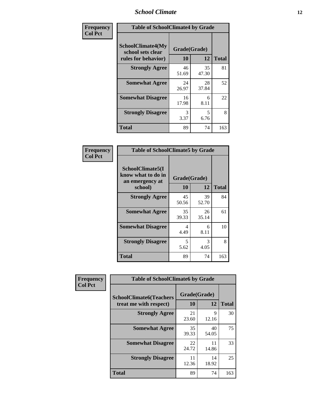### *School Climate* **12**

| Frequency      | <b>Table of SchoolClimate4 by Grade</b>                              |                    |             |              |
|----------------|----------------------------------------------------------------------|--------------------|-------------|--------------|
| <b>Col Pct</b> | <b>SchoolClimate4(My</b><br>school sets clear<br>rules for behavior) | Grade(Grade)<br>10 | 12          | <b>Total</b> |
|                | <b>Strongly Agree</b>                                                | 46<br>51.69        | 35<br>47.30 | 81           |
|                | <b>Somewhat Agree</b>                                                | 24<br>26.97        | 28<br>37.84 | 52           |
|                | <b>Somewhat Disagree</b>                                             | 16<br>17.98        | 6<br>8.11   | 22           |
|                | <b>Strongly Disagree</b>                                             | 3<br>3.37          | 5<br>6.76   | 8            |
|                | Total                                                                | 89                 | 74          | 163          |

| <b>Table of SchoolClimate5 by Grade</b>                              |                    |             |              |  |
|----------------------------------------------------------------------|--------------------|-------------|--------------|--|
| SchoolClimate5(I<br>know what to do in<br>an emergency at<br>school) | Grade(Grade)<br>10 | 12          | <b>Total</b> |  |
| <b>Strongly Agree</b>                                                | 45<br>50.56        | 39<br>52.70 | 84           |  |
| <b>Somewhat Agree</b>                                                | 35<br>39.33        | 26<br>35.14 | 61           |  |
| <b>Somewhat Disagree</b>                                             | 4<br>4.49          | 6<br>8.11   | 10           |  |
| <b>Strongly Disagree</b>                                             | 5<br>5.62          | 3<br>4.05   | 8            |  |
| <b>Total</b>                                                         | 89                 | 74          | 163          |  |

| Frequency      | <b>Table of SchoolClimate6 by Grade</b>                  |                    |             |              |
|----------------|----------------------------------------------------------|--------------------|-------------|--------------|
| <b>Col Pct</b> | <b>SchoolClimate6(Teachers</b><br>treat me with respect) | Grade(Grade)<br>10 | 12          | <b>Total</b> |
|                | <b>Strongly Agree</b>                                    | 21<br>23.60        | 9<br>12.16  | 30           |
|                | <b>Somewhat Agree</b>                                    | 35<br>39.33        | 40<br>54.05 | 75           |
|                | <b>Somewhat Disagree</b>                                 | 22<br>24.72        | 11<br>14.86 | 33           |
|                | <b>Strongly Disagree</b>                                 | 11<br>12.36        | 14<br>18.92 | 25           |
|                | <b>Total</b>                                             | 89                 | 74          | 163          |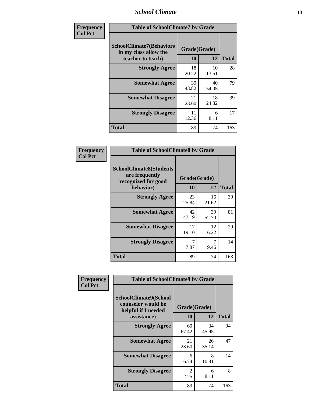### *School Climate* **13**

| Frequency      | <b>Table of SchoolClimate7 by Grade</b>                                       |                           |             |              |
|----------------|-------------------------------------------------------------------------------|---------------------------|-------------|--------------|
| <b>Col Pct</b> | <b>SchoolClimate7(Behaviors</b><br>in my class allow the<br>teacher to teach) | Grade(Grade)<br><b>10</b> | 12          | <b>Total</b> |
|                | <b>Strongly Agree</b>                                                         | 18<br>20.22               | 10<br>13.51 | 28           |
|                | <b>Somewhat Agree</b>                                                         | 39<br>43.82               | 40<br>54.05 | 79           |
|                | <b>Somewhat Disagree</b>                                                      | 21<br>23.60               | 18<br>24.32 | 39           |
|                | <b>Strongly Disagree</b>                                                      | 11<br>12.36               | 6<br>8.11   | 17           |
|                | <b>Total</b>                                                                  | 89                        | 74          | 163          |

| Frequency      | <b>Table of SchoolClimate8 by Grade</b>                                 |              |             |              |
|----------------|-------------------------------------------------------------------------|--------------|-------------|--------------|
| <b>Col Pct</b> | <b>SchoolClimate8(Students</b><br>are frequently<br>recognized for good | Grade(Grade) |             |              |
|                | behavior)                                                               | 10           | 12          | <b>Total</b> |
|                | <b>Strongly Agree</b>                                                   | 23<br>25.84  | 16<br>21.62 | 39           |
|                | <b>Somewhat Agree</b>                                                   | 42<br>47.19  | 39<br>52.70 | 81           |
|                | <b>Somewhat Disagree</b>                                                | 17<br>19.10  | 12<br>16.22 | 29           |
|                | <b>Strongly Disagree</b>                                                | 7<br>7.87    | 7<br>9.46   | 14           |
|                | <b>Total</b>                                                            | 89           | 74          | 163          |

| Frequency      | <b>Table of SchoolClimate9 by Grade</b>                                           |                        |             |              |
|----------------|-----------------------------------------------------------------------------------|------------------------|-------------|--------------|
| <b>Col Pct</b> | SchoolClimate9(School<br>counselor would be<br>helpful if I needed<br>assistance) | Grade(Grade)<br>10     | 12          | <b>Total</b> |
|                | <b>Strongly Agree</b>                                                             | 60<br>67.42            | 34<br>45.95 | 94           |
|                | <b>Somewhat Agree</b>                                                             | 21<br>23.60            | 26<br>35.14 | 47           |
|                | <b>Somewhat Disagree</b>                                                          | 6<br>6.74              | 8<br>10.81  | 14           |
|                | <b>Strongly Disagree</b>                                                          | $\mathfrak{D}$<br>2.25 | 6<br>8.11   | 8            |
|                | Total                                                                             | 89                     | 74          | 163          |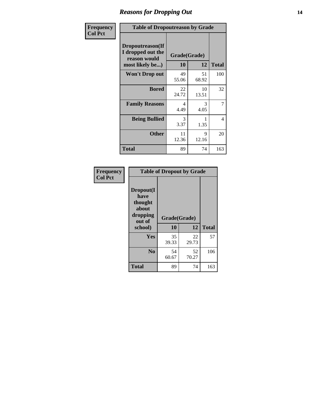### *Reasons for Dropping Out* **14**

| <b>Frequency</b> | <b>Table of Dropoutreason by Grade</b>                                   |             |                    |              |
|------------------|--------------------------------------------------------------------------|-------------|--------------------|--------------|
| <b>Col Pct</b>   | Dropoutreason(If<br>I dropped out the<br>reason would<br>most likely be) | 10          | Grade(Grade)<br>12 | <b>Total</b> |
|                  | Won't Drop out                                                           | 49<br>55.06 | 51<br>68.92        | 100          |
|                  | <b>Bored</b>                                                             | 22<br>24.72 | 10<br>13.51        | 32           |
|                  | <b>Family Reasons</b>                                                    | 4<br>4.49   | 3<br>4.05          | 7            |
|                  | <b>Being Bullied</b>                                                     | 3<br>3.37   | 1.35               | 4            |
|                  | <b>Other</b>                                                             | 11<br>12.36 | 9<br>12.16         | 20           |
|                  | <b>Total</b>                                                             | 89          | 74                 | 163          |

| Frequency<br><b>Col Pct</b> | <b>Table of Dropout by Grade</b>                                       |                    |             |              |  |
|-----------------------------|------------------------------------------------------------------------|--------------------|-------------|--------------|--|
|                             | Dropout(I<br>have<br>thought<br>about<br>dropping<br>out of<br>school) | Grade(Grade)<br>10 | 12          | <b>Total</b> |  |
|                             |                                                                        |                    |             |              |  |
|                             | Yes                                                                    | 35<br>39.33        | 22<br>29.73 | 57           |  |
|                             | N <sub>0</sub>                                                         | 54<br>60.67        | 52<br>70.27 | 106          |  |
|                             | <b>Total</b>                                                           | 89                 | 74          | 163          |  |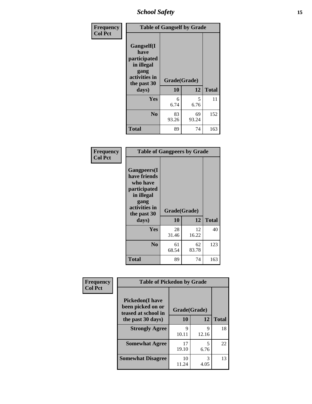*School Safety* **15**

| Frequency      |                                                                                                   | <b>Table of Gangself by Grade</b> |             |              |  |
|----------------|---------------------------------------------------------------------------------------------------|-----------------------------------|-------------|--------------|--|
| <b>Col Pct</b> | Gangself(I<br>have<br>participated<br>in illegal<br>gang<br>activities in<br>the past 30<br>days) | Grade(Grade)<br>10<br>12          |             | <b>Total</b> |  |
|                | Yes                                                                                               | 6<br>6.74                         | 5<br>6.76   | 11           |  |
|                | N <sub>0</sub>                                                                                    | 83<br>93.26                       | 69<br>93.24 | 152          |  |
|                | <b>Total</b>                                                                                      | 89                                | 74          | 163          |  |

| Frequency<br><b>Col Pct</b> | <b>Table of Gangpeers by Grade</b>                                                                                             |                    |             |              |  |
|-----------------------------|--------------------------------------------------------------------------------------------------------------------------------|--------------------|-------------|--------------|--|
|                             | <b>Gangpeers</b> (I<br>have friends<br>who have<br>participated<br>in illegal<br>gang<br>activities in<br>the past 30<br>days) | Grade(Grade)<br>10 | 12          | <b>Total</b> |  |
|                             | Yes                                                                                                                            | 28<br>31.46        | 12<br>16.22 | 40           |  |
|                             | N <sub>0</sub>                                                                                                                 | 61<br>68.54        | 62<br>83.78 | 123          |  |
|                             | <b>Total</b>                                                                                                                   | 89                 | 74          | 163          |  |

| Frequency      |                                                                    | <b>Table of Pickedon by Grade</b> |            |              |  |  |  |  |  |  |
|----------------|--------------------------------------------------------------------|-----------------------------------|------------|--------------|--|--|--|--|--|--|
| <b>Col Pct</b> | <b>Pickedon(I have</b><br>been picked on or<br>teased at school in | Grade(Grade)                      |            |              |  |  |  |  |  |  |
|                | the past 30 days)                                                  | 10                                | 12         | <b>Total</b> |  |  |  |  |  |  |
|                | <b>Strongly Agree</b>                                              | 9<br>10.11                        | 9<br>12.16 | 18           |  |  |  |  |  |  |
|                | <b>Somewhat Agree</b>                                              | 17<br>19.10                       | 5<br>6.76  | 22           |  |  |  |  |  |  |
|                | <b>Somewhat Disagree</b>                                           | 10<br>11.24                       | 3<br>4.05  | 13           |  |  |  |  |  |  |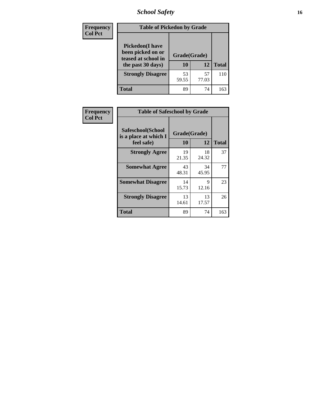*School Safety* **16**

| <b>Frequency</b> | <b>Table of Pickedon by Grade</b>                                                        |                    |             |              |
|------------------|------------------------------------------------------------------------------------------|--------------------|-------------|--------------|
| <b>Col Pct</b>   | <b>Pickedon</b> (I have<br>been picked on or<br>teased at school in<br>the past 30 days) | Grade(Grade)<br>10 | 12          | <b>Total</b> |
|                  | <b>Strongly Disagree</b>                                                                 | 53<br>59.55        | 57<br>77.03 | 110          |
|                  | <b>Total</b>                                                                             | 89                 | 74          | 163          |

| Frequency      | <b>Table of Safeschool by Grade</b>                      |                    |              |     |
|----------------|----------------------------------------------------------|--------------------|--------------|-----|
| <b>Col Pct</b> | Safeschool(School<br>is a place at which I<br>feel safe) | Grade(Grade)<br>10 | <b>Total</b> |     |
|                | <b>Strongly Agree</b>                                    | 19<br>21.35        | 18<br>24.32  | 37  |
|                | <b>Somewhat Agree</b>                                    | 43<br>48.31        | 34<br>45.95  | 77  |
|                | <b>Somewhat Disagree</b>                                 | 14<br>15.73        | 9<br>12.16   | 23  |
|                | <b>Strongly Disagree</b>                                 | 13<br>14.61        | 13<br>17.57  | 26  |
|                | Total                                                    | 89                 | 74           | 163 |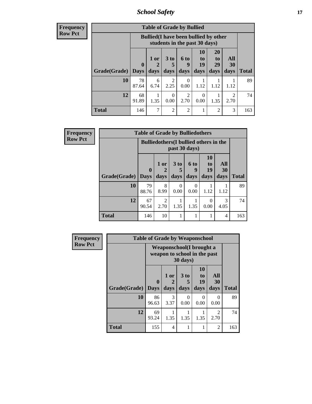*School Safety* **17**

| Frequency      |
|----------------|
| <b>Row Pct</b> |

| V |              | <b>Table of Grade by Bullied</b> |                                                                               |                         |                   |                        |                        |                        |              |  |  |  |  |
|---|--------------|----------------------------------|-------------------------------------------------------------------------------|-------------------------|-------------------|------------------------|------------------------|------------------------|--------------|--|--|--|--|
|   |              |                                  | <b>Bullied</b> (I have been bullied by other<br>students in the past 30 days) |                         |                   |                        |                        |                        |              |  |  |  |  |
|   | Grade(Grade) | $\bf{0}$<br><b>Days</b>          | $1$ or<br>2<br>days                                                           | 3 <sub>to</sub><br>days | 6 to<br>9<br>days | 10<br>to<br>19<br>days | 20<br>to<br>29<br>days | All<br>30<br>days      | <b>Total</b> |  |  |  |  |
|   | 10           | 78<br>87.64                      | 6<br>6.74                                                                     | 2<br>2.25               | 0<br>0.00         | 1.12                   | 1.12                   | 1.12                   | 89           |  |  |  |  |
|   | 12           | 68<br>91.89                      | 1.35                                                                          | 0<br>0.00               | 2<br>2.70         | 0<br>0.00              | 1.35                   | $\mathfrak{D}$<br>2.70 | 74           |  |  |  |  |
|   | <b>Total</b> | 146                              | 7                                                                             | $\overline{2}$          | $\overline{2}$    |                        | $\overline{2}$         | 3                      | 163          |  |  |  |  |

| <b>Frequency</b> | <b>Table of Grade by Bulliedothers</b> |                      |                                                                |                              |                   |                               |              |              |  |  |  |  |
|------------------|----------------------------------------|----------------------|----------------------------------------------------------------|------------------------------|-------------------|-------------------------------|--------------|--------------|--|--|--|--|
| <b>Row Pct</b>   |                                        |                      | <b>Bulliedothers</b> (I bullied others in the<br>past 30 days) |                              |                   |                               |              |              |  |  |  |  |
|                  | Grade(Grade)                           | $\mathbf{0}$<br>Days | $1$ or $\vert$<br>2<br>days                                    | 3 <sub>to</sub><br>5<br>days | 6 to<br>9<br>days | <b>10</b><br>to<br>19<br>days | All<br>30    | <b>Total</b> |  |  |  |  |
|                  | 10                                     | 79<br>88.76          | 8<br>8.99                                                      | $\Omega$<br>0.00             | $\Omega$<br>0.00  | 1.12                          | days<br>1.12 | 89           |  |  |  |  |
|                  | 12                                     | 67<br>90.54          | 2<br>2.70                                                      | 1.35                         | 1<br>1.35         | $\Omega$<br>0.00              | 3<br>4.05    | 74           |  |  |  |  |
|                  | <b>Total</b>                           | 146                  | 10                                                             | 1                            | 1                 | 1                             | 4            | 163          |  |  |  |  |

| <b>Frequency</b> |              | <b>Table of Grade by Weaponschool</b>                            |                   |                              |                        |                        |              |
|------------------|--------------|------------------------------------------------------------------|-------------------|------------------------------|------------------------|------------------------|--------------|
| <b>Row Pct</b>   |              | <b>Weaponschool</b> (I brought a<br>weapon to school in the past |                   |                              |                        |                        |              |
|                  | Grade(Grade) | $\bf{0}$<br><b>Days</b>                                          | 1 or<br>2<br>days | 3 <sub>to</sub><br>5<br>days | 10<br>to<br>19<br>days | All<br>30<br>days      | <b>Total</b> |
|                  | 10           | 86<br>96.63                                                      | 3<br>3.37         | 0<br>0.00                    | $\Omega$<br>0.00       | $\Omega$<br>0.00       | 89           |
|                  | 12           | 69<br>93.24                                                      | 1.35              | 1.35                         | 1.35                   | $\mathfrak{D}$<br>2.70 | 74           |
|                  | <b>Total</b> | 155                                                              | 4                 | 1                            |                        | $\overline{2}$         | 163          |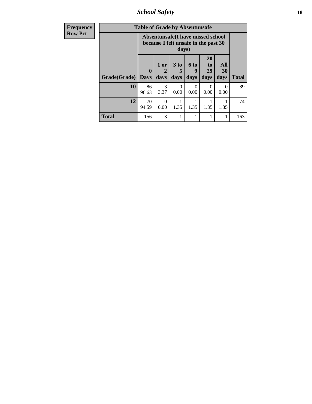*School Safety* **18**

| <b>Frequency</b> |              | <b>Table of Grade by Absentunsafe</b> |                   |                              |                   |                                                                           |                   |              |
|------------------|--------------|---------------------------------------|-------------------|------------------------------|-------------------|---------------------------------------------------------------------------|-------------------|--------------|
| <b>Row Pct</b>   |              |                                       |                   | days)                        |                   | Absentunsafe(I have missed school<br>because I felt unsafe in the past 30 |                   |              |
|                  | Grade(Grade) | $\mathbf 0$<br><b>Days</b>            | 1 or<br>2<br>days | 3 <sub>to</sub><br>5<br>days | 6 to<br>9<br>days | 20<br>to<br>29<br>days                                                    | All<br>30<br>days | <b>Total</b> |
|                  | 10           | 86<br>96.63                           | 3<br>3.37         | 0<br>0.00                    | 0<br>0.00         | $\Omega$<br>0.00                                                          | $\Omega$<br>0.00  | 89           |
|                  | 12           | 70<br>94.59                           | $\Omega$<br>0.00  | 1.35                         | 1.35              | 1.35                                                                      | 1.35              | 74           |
|                  | <b>Total</b> | 156                                   | 3                 |                              |                   |                                                                           | 1                 | 163          |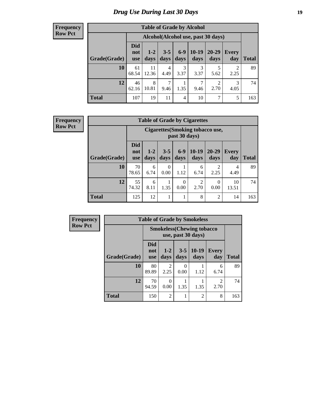# *Drug Use During Last 30 Days* **19**

#### **Frequency Row Pct**

| <b>Table of Grade by Alcohol</b> |                                 |                                     |                 |               |                 |                   |                        |              |  |  |
|----------------------------------|---------------------------------|-------------------------------------|-----------------|---------------|-----------------|-------------------|------------------------|--------------|--|--|
|                                  |                                 | Alcohol (Alcohol use, past 30 days) |                 |               |                 |                   |                        |              |  |  |
| Grade(Grade)                     | <b>Did</b><br>not<br><b>use</b> | $1-2$<br>days                       | $3 - 5$<br>days | $6-9$<br>days | $10-19$<br>days | $20 - 29$<br>days | Every<br>day           | <b>Total</b> |  |  |
| 10                               | 61<br>68.54                     | 11<br>12.36                         | 4<br>4.49       | 3<br>3.37     | 3<br>3.37       | 5<br>5.62         | $\overline{2}$<br>2.25 | 89           |  |  |
| 12                               | 46<br>62.16                     | 8<br>10.81                          | 7<br>9.46       | 1.35          | 7<br>9.46       | 2<br>2.70         | 3<br>4.05              | 74           |  |  |
| <b>Total</b>                     | 107                             | 19                                  | 11              | 4             | 10              | 7                 | 5                      | 163          |  |  |

#### **Frequency Row Pct**

| <b>Table of Grade by Cigarettes</b> |                                 |                                                   |                  |               |                 |               |              |       |  |  |
|-------------------------------------|---------------------------------|---------------------------------------------------|------------------|---------------|-----------------|---------------|--------------|-------|--|--|
|                                     |                                 | Cigarettes (Smoking tobacco use,<br>past 30 days) |                  |               |                 |               |              |       |  |  |
| Grade(Grade)                        | <b>Did</b><br>not<br><b>use</b> | $1 - 2$<br>days                                   | $3 - 5$<br>days  | $6-9$<br>days | $10-19$<br>days | 20-29<br>days | Every<br>day | Total |  |  |
| 10                                  | 70<br>78.65                     | 6<br>6.74                                         | $\Omega$<br>0.00 | 1.12          | 6<br>6.74       | 2<br>2.25     | 4<br>4.49    | 89    |  |  |
| 12                                  | 55<br>74.32                     | 6<br>8.11                                         | 1.35             | 0<br>0.00     | 2<br>2.70       | 0<br>0.00     | 10<br>13.51  | 74    |  |  |
| <b>Total</b>                        | 125                             | 12                                                | 1                |               | 8               | 2             | 14           | 163   |  |  |

| Frequency      | <b>Table of Grade by Smokeless</b> |                          |                                                         |                  |                 |                        |              |  |  |  |
|----------------|------------------------------------|--------------------------|---------------------------------------------------------|------------------|-----------------|------------------------|--------------|--|--|--|
| <b>Row Pct</b> |                                    |                          | <b>Smokeless</b> (Chewing tobacco<br>use, past 30 days) |                  |                 |                        |              |  |  |  |
|                | Grade(Grade)                       | Did<br>not<br><b>use</b> | $1 - 2$<br>days                                         | $3-5$<br>days    | $10-19$<br>days | Every<br>day           | <b>Total</b> |  |  |  |
|                | <b>10</b>                          | 80<br>89.89              | 2<br>2.25                                               | $\Omega$<br>0.00 | 1.12            | 6<br>6.74              | 89           |  |  |  |
|                | 12                                 | 70<br>94.59              | $\theta$<br>0.00                                        | 1.35             | 1.35            | $\mathfrak{D}$<br>2.70 | 74           |  |  |  |
|                | <b>Total</b>                       | 150                      | $\overline{2}$                                          |                  | $\mathfrak{D}$  | 8                      | 163          |  |  |  |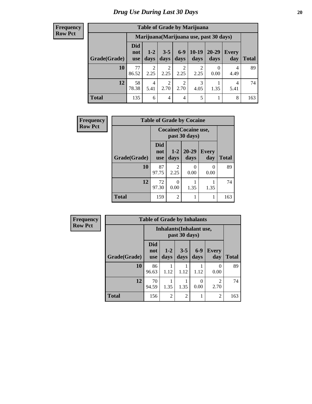#### **Frequency Row Pct**

| <b>Table of Grade by Marijuana</b> |                                 |                                         |                        |                        |                 |               |              |       |  |  |
|------------------------------------|---------------------------------|-----------------------------------------|------------------------|------------------------|-----------------|---------------|--------------|-------|--|--|
|                                    |                                 | Marijuana (Marijuana use, past 30 days) |                        |                        |                 |               |              |       |  |  |
| Grade(Grade)                       | <b>Did</b><br>not<br><b>use</b> | $1 - 2$<br>days                         | $3 - 5$<br>days        | $6-9$<br>days          | $10-19$<br>days | 20-29<br>days | Every<br>day | Total |  |  |
| 10                                 | 77<br>86.52                     | $\overline{2}$<br>2.25                  | 2<br>2.25              | $\overline{2}$<br>2.25 | 2<br>2.25       | 0.00          | 4<br>4.49    | 89    |  |  |
| 12                                 | 58<br>78.38                     | 4<br>5.41                               | $\mathfrak{D}$<br>2.70 | $\overline{2}$<br>2.70 | 3<br>4.05       | 1.35          | 4<br>5.41    | 74    |  |  |
| <b>Total</b>                       | 135                             | 6                                       | 4                      | 4                      | 5               |               | 8            | 163   |  |  |

| Frequency      | <b>Table of Grade by Cocaine</b> |                                 |                        |                                               |                     |              |  |  |
|----------------|----------------------------------|---------------------------------|------------------------|-----------------------------------------------|---------------------|--------------|--|--|
| <b>Row Pct</b> |                                  |                                 |                        | <b>Cocaine</b> (Cocaine use,<br>past 30 days) |                     |              |  |  |
|                | Grade(Grade)                     | <b>Did</b><br>not<br><b>use</b> | $1-2$<br>days          | $20 - 29$<br>days                             | <b>Every</b><br>day | <b>Total</b> |  |  |
|                | 10                               | 87<br>97.75                     | $\mathfrak{D}$<br>2.25 | 0<br>0.00                                     | $\Omega$<br>0.00    | 89           |  |  |
|                | 12                               | 72<br>97.30                     | 0<br>0.00              | 1.35                                          | 1.35                | 74           |  |  |
|                | <b>Total</b>                     | 159                             | $\overline{c}$         |                                               |                     | 163          |  |  |

| Frequency      | <b>Table of Grade by Inhalants</b>               |                          |                |                 |                  |                        |              |
|----------------|--------------------------------------------------|--------------------------|----------------|-----------------|------------------|------------------------|--------------|
| <b>Row Pct</b> | <b>Inhalants</b> (Inhalant use,<br>past 30 days) |                          |                |                 |                  |                        |              |
|                | Grade(Grade)                                     | Did<br>not<br><b>use</b> | $1-2$<br>days  | $3 - 5$<br>days | $6-9$<br>days    | <b>Every</b><br>day    | <b>Total</b> |
|                | 10                                               | 86<br>96.63              | 1.12           | 1.12            | 1.12             | ∩<br>0.00              | 89           |
|                | 12                                               | 70<br>94.59              | 1.35           | 1.35            | $\left($<br>0.00 | $\mathfrak{D}$<br>2.70 | 74           |
|                | <b>Total</b>                                     | 156                      | $\overline{2}$ | $\overline{2}$  |                  | $\overline{2}$         | 163          |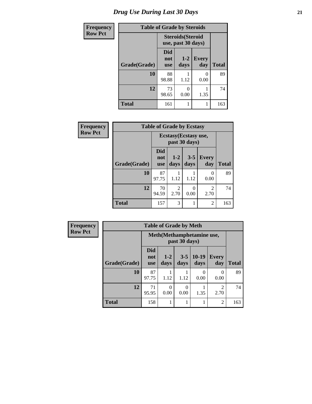| <b>Frequency</b> |              | <b>Table of Grade by Steroids</b> |                                                |                     |              |  |
|------------------|--------------|-----------------------------------|------------------------------------------------|---------------------|--------------|--|
| <b>Row Pct</b>   |              |                                   | <b>Steroids</b> (Steroid<br>use, past 30 days) |                     |              |  |
|                  | Grade(Grade) | Did<br>not<br><b>use</b>          | $1-2$<br>days                                  | <b>Every</b><br>day | <b>Total</b> |  |
|                  | 10           | 88<br>98.88                       | 1.12                                           | 0<br>0.00           | 89           |  |
|                  | 12           | 73<br>98.65                       | 0.00                                           | 1.35                | 74           |  |
|                  | <b>Total</b> | 161                               |                                                |                     | 163          |  |

| <b>Frequency</b> | <b>Table of Grade by Ecstasy</b> |                          |                 |                 |                     |              |  |
|------------------|----------------------------------|--------------------------|-----------------|-----------------|---------------------|--------------|--|
| <b>Row Pct</b>   |                                  | Ecstasy (Ecstasy use,    |                 |                 |                     |              |  |
|                  | Grade(Grade)                     | Did<br>not<br><b>use</b> | $1 - 2$<br>days | $3 - 5$<br>days | <b>Every</b><br>day | <b>Total</b> |  |
|                  | 10                               | 87<br>97.75              | 1.12            | 1.12            | 0<br>0.00           | 89           |  |
|                  | 12                               | 70<br>94.59              | 2<br>2.70       | 0<br>0.00       | 2<br>2.70           | 74           |  |
|                  | <b>Total</b>                     | 157                      | 3               | 1               | $\overline{2}$      | 163          |  |

| <b>Frequency</b> | <b>Table of Grade by Meth</b> |                                 |                  |                  |                           |                        |              |  |
|------------------|-------------------------------|---------------------------------|------------------|------------------|---------------------------|------------------------|--------------|--|
| <b>Row Pct</b>   |                               | Meth (Methamphetamine use,      |                  |                  |                           |                        |              |  |
|                  | Grade(Grade)                  | <b>Did</b><br>not<br><b>use</b> | $1 - 2$<br>days  | $3 - 5$<br>days  | $10-19$<br>days           | <b>Every</b><br>day    | <b>Total</b> |  |
|                  | 10                            | 87<br>97.75                     | 1.12             | 1.12             | $\mathbf{\Omega}$<br>0.00 | 0<br>0.00              | 89           |  |
|                  | 12                            | 71<br>95.95                     | $\Omega$<br>0.00 | $\Omega$<br>0.00 | 1.35                      | $\overline{c}$<br>2.70 | 74           |  |
|                  | <b>Total</b>                  | 158                             |                  |                  |                           | $\overline{c}$         | 163          |  |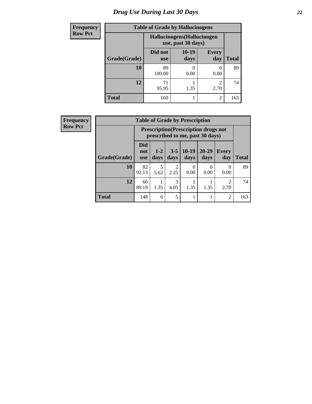# *Drug Use During Last 30 Days* **22**

| <b>Frequency</b> | <b>Table of Grade by Hallucinogens</b> |                                                   |                 |                     |              |  |
|------------------|----------------------------------------|---------------------------------------------------|-----------------|---------------------|--------------|--|
| <b>Row Pct</b>   |                                        | Hallucinogens (Hallucinogen<br>use, past 30 days) |                 |                     |              |  |
|                  | Grade(Grade)                           | Did not<br><b>use</b>                             | $10-19$<br>days | <b>Every</b><br>day | <b>Total</b> |  |
|                  | 10                                     | 89<br>100.00                                      | 0.00            | O<br>0.00           | 89           |  |
|                  | 12                                     | 71<br>95.95                                       | 1.35            | 2<br>2.70           | 74           |  |
|                  | <b>Total</b>                           | 160                                               |                 | $\mathfrak{D}$      | 163          |  |

| Frequency      |              | <b>Table of Grade by Prescription</b> |                 |                        |                                                                                |                   |                        |              |  |  |
|----------------|--------------|---------------------------------------|-----------------|------------------------|--------------------------------------------------------------------------------|-------------------|------------------------|--------------|--|--|
| <b>Row Pct</b> |              |                                       |                 |                        | <b>Prescription</b> (Prescription drugs not<br>prescribed to me, past 30 days) |                   |                        |              |  |  |
|                | Grade(Grade) | <b>Did</b><br>not<br><b>use</b>       | $1 - 2$<br>days | $3 - 5$<br>days        | $10-19$<br>days                                                                | $20 - 29$<br>days | Every<br>day           | <b>Total</b> |  |  |
|                | 10           | 82<br>92.13                           | 5.62            | $\mathfrak{D}$<br>2.25 | $\theta$<br>0.00                                                               | $\Omega$<br>0.00  | $\Omega$<br>0.00       | 89           |  |  |
|                | 12           | 66<br>89.19                           | 1.35            | 3<br>4.05              | 1.35                                                                           | 1.35              | $\overline{2}$<br>2.70 | 74           |  |  |
|                | <b>Total</b> | 148                                   | 6               | 5                      |                                                                                |                   | $\overline{2}$         | 163          |  |  |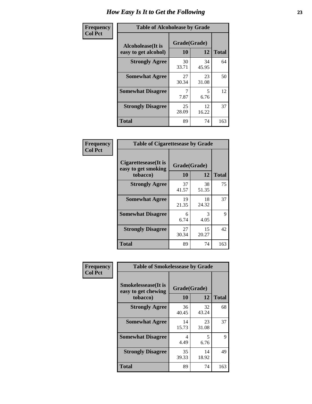| Frequency      | <b>Table of Alcoholease by Grade</b>              |                    |             |              |  |  |
|----------------|---------------------------------------------------|--------------------|-------------|--------------|--|--|
| <b>Col Pct</b> | <b>Alcoholease</b> (It is<br>easy to get alcohol) | Grade(Grade)<br>10 | 12          | <b>Total</b> |  |  |
|                | <b>Strongly Agree</b>                             | 30<br>33.71        | 34<br>45.95 | 64           |  |  |
|                | <b>Somewhat Agree</b>                             | 27<br>30.34        | 23<br>31.08 | 50           |  |  |
|                | <b>Somewhat Disagree</b>                          | 7.87               | 5<br>6.76   | 12           |  |  |
|                | <b>Strongly Disagree</b>                          | 25<br>28.09        | 12<br>16.22 | 37           |  |  |
|                | <b>Total</b>                                      | 89                 | 74          | 163          |  |  |

| Frequency      | <b>Table of Cigarettesease by Grade</b>                  |                    |             |              |  |  |
|----------------|----------------------------------------------------------|--------------------|-------------|--------------|--|--|
| <b>Col Pct</b> | Cigarettesease (It is<br>easy to get smoking<br>tobacco) | Grade(Grade)<br>10 | 12          | <b>Total</b> |  |  |
|                | <b>Strongly Agree</b>                                    | 37<br>41.57        | 38<br>51.35 | 75           |  |  |
|                | <b>Somewhat Agree</b>                                    | 19<br>21.35        | 18<br>24.32 | 37           |  |  |
|                | <b>Somewhat Disagree</b>                                 | 6<br>6.74          | 3<br>4.05   | 9            |  |  |
|                | <b>Strongly Disagree</b>                                 | 27<br>30.34        | 15<br>20.27 | 42           |  |  |
|                | <b>Total</b>                                             | 89                 | 74          | 163          |  |  |

| Frequency      | <b>Table of Smokelessease by Grade</b>             |              |             |              |  |  |  |  |
|----------------|----------------------------------------------------|--------------|-------------|--------------|--|--|--|--|
| <b>Col Pct</b> | <b>Smokelessease</b> (It is<br>easy to get chewing | Grade(Grade) |             |              |  |  |  |  |
|                | tobacco)                                           | <b>10</b>    | 12          | <b>Total</b> |  |  |  |  |
|                | <b>Strongly Agree</b>                              | 36<br>40.45  | 32<br>43.24 | 68           |  |  |  |  |
|                | <b>Somewhat Agree</b>                              | 14<br>15.73  | 23<br>31.08 | 37           |  |  |  |  |
|                | <b>Somewhat Disagree</b>                           | 4<br>4.49    | 5<br>6.76   | 9            |  |  |  |  |
|                | <b>Strongly Disagree</b>                           | 35<br>39.33  | 14<br>18.92 | 49           |  |  |  |  |
|                | <b>Total</b>                                       | 89           | 74          | 163          |  |  |  |  |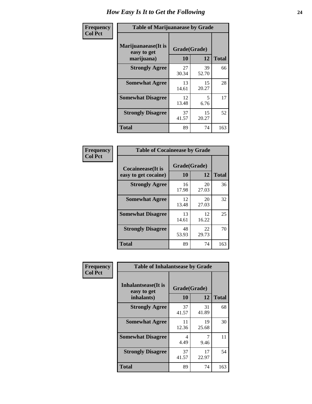| Frequency      | <b>Table of Marijuanaease by Grade</b>           |                    |             |              |  |  |
|----------------|--------------------------------------------------|--------------------|-------------|--------------|--|--|
| <b>Col Pct</b> | Marijuanaease(It is<br>easy to get<br>marijuana) | Grade(Grade)<br>10 | 12          | <b>Total</b> |  |  |
|                | <b>Strongly Agree</b>                            | 27<br>30.34        | 39<br>52.70 | 66           |  |  |
|                | <b>Somewhat Agree</b>                            | 13<br>14.61        | 15<br>20.27 | 28           |  |  |
|                | <b>Somewhat Disagree</b>                         | 12<br>13.48        | 5<br>6.76   | 17           |  |  |
|                | <b>Strongly Disagree</b>                         | 37<br>41.57        | 15<br>20.27 | 52           |  |  |
|                | <b>Total</b>                                     | 89                 | 74          | 163          |  |  |

| <b>Table of Cocaineease by Grade</b>      |                    |             |              |  |  |  |  |
|-------------------------------------------|--------------------|-------------|--------------|--|--|--|--|
| Cocaineease(It is<br>easy to get cocaine) | Grade(Grade)<br>10 | 12          | <b>Total</b> |  |  |  |  |
| <b>Strongly Agree</b>                     | 16<br>17.98        | 20<br>27.03 | 36           |  |  |  |  |
| <b>Somewhat Agree</b>                     | 12<br>13.48        | 20<br>27.03 | 32           |  |  |  |  |
| <b>Somewhat Disagree</b>                  | 13<br>14.61        | 12<br>16.22 | 25           |  |  |  |  |
| <b>Strongly Disagree</b>                  | 48<br>53.93        | 22<br>29.73 | 70           |  |  |  |  |
| <b>Total</b>                              | 89                 | 74          | 163          |  |  |  |  |

| Frequency      | <b>Table of Inhalantsease by Grade</b>     |              |             |              |
|----------------|--------------------------------------------|--------------|-------------|--------------|
| <b>Col Pct</b> | <b>Inhalantsease</b> (It is<br>easy to get | Grade(Grade) |             |              |
|                | inhalants)                                 | 10           | 12          | <b>Total</b> |
|                | <b>Strongly Agree</b>                      | 37<br>41.57  | 31<br>41.89 | 68           |
|                | <b>Somewhat Agree</b>                      | 11<br>12.36  | 19<br>25.68 | 30           |
|                | <b>Somewhat Disagree</b>                   | 4<br>4.49    | 7<br>9.46   | 11           |
|                | <b>Strongly Disagree</b>                   | 37<br>41.57  | 17<br>22.97 | 54           |
|                | <b>Total</b>                               | 89           | 74          | 163          |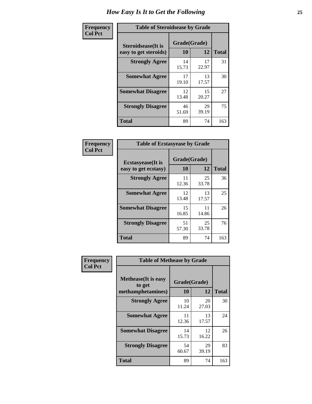| Frequency      | <b>Table of Steroidsease by Grade</b>               |                    |             |              |  |  |  |  |  |  |  |  |
|----------------|-----------------------------------------------------|--------------------|-------------|--------------|--|--|--|--|--|--|--|--|
| <b>Col Pct</b> | <b>Steroidsease</b> (It is<br>easy to get steroids) | Grade(Grade)<br>10 | 12          | <b>Total</b> |  |  |  |  |  |  |  |  |
|                | <b>Strongly Agree</b>                               | 14<br>15.73        | 17<br>22.97 | 31           |  |  |  |  |  |  |  |  |
|                | <b>Somewhat Agree</b>                               | 17<br>19.10        | 13<br>17.57 | 30           |  |  |  |  |  |  |  |  |
|                | <b>Somewhat Disagree</b>                            | 12<br>13.48        | 15<br>20.27 | 27           |  |  |  |  |  |  |  |  |
|                | <b>Strongly Disagree</b>                            | 46<br>51.69        | 29<br>39.19 | 75           |  |  |  |  |  |  |  |  |
|                | <b>Total</b>                                        | 89                 | 74          | 163          |  |  |  |  |  |  |  |  |

| Frequency      | <b>Table of Ecstasyease by Grade</b>              |                    |              |     |  |  |  |  |  |  |  |  |
|----------------|---------------------------------------------------|--------------------|--------------|-----|--|--|--|--|--|--|--|--|
| <b>Col Pct</b> | <b>Ecstasyease</b> (It is<br>easy to get ecstasy) | Grade(Grade)<br>10 | <b>Total</b> |     |  |  |  |  |  |  |  |  |
|                | <b>Strongly Agree</b>                             | 11<br>12.36        | 25<br>33.78  | 36  |  |  |  |  |  |  |  |  |
|                | <b>Somewhat Agree</b>                             | 12<br>13.48        | 13<br>17.57  | 25  |  |  |  |  |  |  |  |  |
|                | <b>Somewhat Disagree</b>                          | 15<br>16.85        | 11<br>14.86  | 26  |  |  |  |  |  |  |  |  |
|                | <b>Strongly Disagree</b>                          | 51<br>57.30        | 25<br>33.78  | 76  |  |  |  |  |  |  |  |  |
|                | <b>Total</b>                                      | 89                 | 74           | 163 |  |  |  |  |  |  |  |  |

| Frequency      | <b>Table of Methease by Grade</b>     |              |             |              |  |  |  |  |  |  |  |  |
|----------------|---------------------------------------|--------------|-------------|--------------|--|--|--|--|--|--|--|--|
| <b>Col Pct</b> | <b>Methease</b> (It is easy<br>to get | Grade(Grade) |             |              |  |  |  |  |  |  |  |  |
|                | methamphetamines)                     | 10           | 12          | <b>Total</b> |  |  |  |  |  |  |  |  |
|                | <b>Strongly Agree</b>                 | 10<br>11.24  | 20<br>27.03 | 30           |  |  |  |  |  |  |  |  |
|                | <b>Somewhat Agree</b>                 | 11<br>12.36  | 13<br>17.57 | 24           |  |  |  |  |  |  |  |  |
|                | <b>Somewhat Disagree</b>              | 14<br>15.73  | 12<br>16.22 | 26           |  |  |  |  |  |  |  |  |
|                | <b>Strongly Disagree</b>              | 54<br>60.67  | 29<br>39.19 | 83           |  |  |  |  |  |  |  |  |
|                | <b>Total</b>                          | 89           | 74          | 163          |  |  |  |  |  |  |  |  |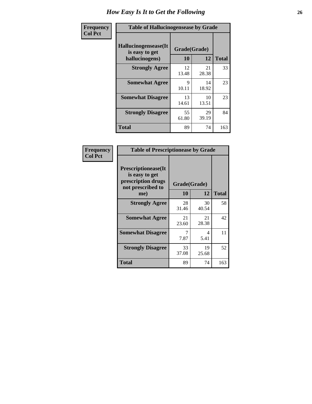| <b>Frequency</b> | <b>Table of Hallucinogensease by Grade</b>               |                    |             |              |  |  |  |  |  |  |  |
|------------------|----------------------------------------------------------|--------------------|-------------|--------------|--|--|--|--|--|--|--|
| <b>Col Pct</b>   | Hallucinogensease(It<br>is easy to get<br>hallucinogens) | Grade(Grade)<br>10 | 12          | <b>Total</b> |  |  |  |  |  |  |  |
|                  | <b>Strongly Agree</b>                                    | 12<br>13.48        | 21<br>28.38 | 33           |  |  |  |  |  |  |  |
|                  | <b>Somewhat Agree</b>                                    | Q<br>10.11         | 14<br>18.92 | 23           |  |  |  |  |  |  |  |
|                  | <b>Somewhat Disagree</b>                                 | 13<br>14.61        | 10<br>13.51 | 23           |  |  |  |  |  |  |  |
|                  | <b>Strongly Disagree</b>                                 | 55<br>61.80        | 29<br>39.19 | 84           |  |  |  |  |  |  |  |
|                  | <b>Total</b>                                             | 89                 | 74          | 163          |  |  |  |  |  |  |  |

| Frequency<br>  Col Pct |
|------------------------|

| <b>Table of Prescriptionease by Grade</b>                                                |              |             |              |  |  |  |  |  |  |
|------------------------------------------------------------------------------------------|--------------|-------------|--------------|--|--|--|--|--|--|
| <b>Prescriptionease</b> (It<br>is easy to get<br>prescription drugs<br>not prescribed to | Grade(Grade) |             |              |  |  |  |  |  |  |
| me)                                                                                      | 10           | 12          | <b>Total</b> |  |  |  |  |  |  |
| <b>Strongly Agree</b>                                                                    | 28<br>31.46  | 30<br>40.54 | 58           |  |  |  |  |  |  |
| <b>Somewhat Agree</b>                                                                    | 21<br>23.60  | 21<br>28.38 | 42           |  |  |  |  |  |  |
| <b>Somewhat Disagree</b>                                                                 | 7.87         | 4<br>5.41   | 11           |  |  |  |  |  |  |
| <b>Strongly Disagree</b>                                                                 | 33<br>37.08  | 19<br>25.68 | 52           |  |  |  |  |  |  |
| Total                                                                                    | 89           | 74          | 163          |  |  |  |  |  |  |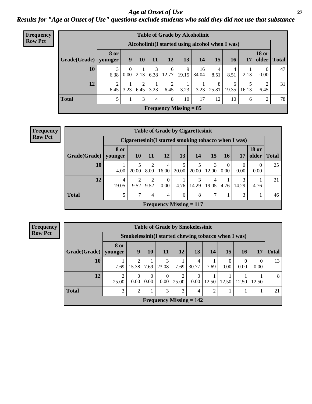*Age at Onset of Use* **27** *Results for "Age at Onset of Use" questions exclude students who said they did not use that substance*

| Frequency      | <b>Table of Grade by Alcoholinit</b> |                                                  |                  |           |           |                               |            |             |            |            |            |                       |              |  |
|----------------|--------------------------------------|--------------------------------------------------|------------------|-----------|-----------|-------------------------------|------------|-------------|------------|------------|------------|-----------------------|--------------|--|
| <b>Row Pct</b> |                                      | Alcoholinit (I started using alcohol when I was) |                  |           |           |                               |            |             |            |            |            |                       |              |  |
|                | Grade(Grade)                         | <b>8 or</b><br>younger                           | 9 <sup>°</sup>   | <b>10</b> | 11        | <b>12</b>                     | 13         | 14          | 15         | <b>16</b>  | 17         | <b>18 or</b><br>older | <b>Total</b> |  |
|                | 10                                   | 3<br>6.38                                        | $\Omega$<br>0.00 | 2.13      | 3<br>6.38 | 6<br>12.77                    | 9<br>19.15 | 16<br>34.04 | 4<br>8.51  | 8.51       | 2.13       | 0.00                  | 47           |  |
|                | 12                                   | 2<br>6.45                                        | 3.23             | 2<br>6.45 | 3.23      | 2<br>6.45                     | 3.23       | 3.23        | 8<br>25.81 | 6<br>19.35 | 5<br>16.13 | ∍<br>6.45             | 31           |  |
|                | <b>Total</b>                         | 5                                                |                  | 3         | 4         | 8                             | 10         | 17          | 12         | 10         | 6          | 2                     | 78           |  |
|                |                                      |                                                  |                  |           |           | <b>Frequency Missing = 85</b> |            |             |            |            |            |                       |              |  |

| <b>Frequency</b> |  |
|------------------|--|
| <b>Row Pct</b>   |  |

| <b>Table of Grade by Cigarettesinit</b> |                                                       |                        |                        |                                             |            |            |            |                      |           |                       |              |
|-----------------------------------------|-------------------------------------------------------|------------------------|------------------------|---------------------------------------------|------------|------------|------------|----------------------|-----------|-----------------------|--------------|
|                                         | Cigarettesinit (I started smoking tobacco when I was) |                        |                        |                                             |            |            |            |                      |           |                       |              |
| Grade(Grade)                            | 8 or<br>younger                                       | <b>10</b>              | 11                     | 12                                          | 13         | 14         | 15         | 16                   | 17        | <b>18 or</b><br>older | <b>Total</b> |
| 10                                      | 4.00                                                  | 20.00                  | $\overline{2}$<br>8.00 | 4<br>16.00                                  | 5<br>20.00 | 5<br>20.00 | 3<br>12.00 | $\mathbf{0}$<br>0.00 | 0<br>0.00 | 0<br>0.00             | 25           |
| 12                                      | 4<br>19.05                                            | $\overline{2}$<br>9.52 | $\overline{2}$<br>9.52 | $\Omega$<br>0.00                            | 4.76       | 3<br>14.29 | 4<br>19.05 | 4.76                 | 14.29     | 4.76                  | 21           |
| <b>Total</b>                            | 5                                                     | 7                      | 4                      | 4                                           | 6          | 8          | 7          |                      | 3         |                       | 46           |
|                                         |                                                       |                        |                        | <b>Frequency Missing <math>= 117</math></b> |            |            |            |                      |           |                       |              |

**Frequency Row Pct**

| <b>Table of Grade by Smokelessinit</b> |            |                                                      |                      |                           |                         |                      |                |                  |                  |                  |              |  |
|----------------------------------------|------------|------------------------------------------------------|----------------------|---------------------------|-------------------------|----------------------|----------------|------------------|------------------|------------------|--------------|--|
|                                        |            | Smokelessinit (I started chewing tobacco when I was) |                      |                           |                         |                      |                |                  |                  |                  |              |  |
| Grade(Grade)   younger                 | 8 or       | 9                                                    | 10                   | <b>11</b>                 | <b>12</b>               | 13                   | <b>14</b>      | 15               | <b>16</b>        | 17               | <b>Total</b> |  |
| 10                                     | 7.69       | 15.38                                                | 7.69                 | 23.08                     | 7.69                    | 4<br>30.77           | 7.69           | $\Omega$<br>0.00 | $\Omega$<br>0.00 | $\Omega$<br>0.00 | 13           |  |
| 12                                     | 2<br>25.00 | $\Omega$<br>0.00                                     | $\mathbf{0}$<br>0.00 | $\Omega$<br>0.00          | $\overline{2}$<br>25.00 | $\Omega$<br>$0.00\,$ | 12.50          | 12.50            | 12.50            | 12.50            | 8            |  |
| <b>Total</b>                           | 3          | $\overline{2}$                                       |                      | 3                         | 3                       | $\overline{4}$       | $\overline{2}$ |                  |                  |                  | 21           |  |
|                                        |            |                                                      |                      | Frequency Missing $= 142$ |                         |                      |                |                  |                  |                  |              |  |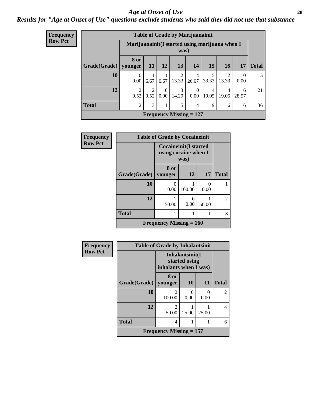#### *Age at Onset of Use* **28**

### *Results for "Age at Onset of Use" questions exclude students who said they did not use that substance*

| <b>Frequency</b> |                        |                                                         |                        |                      |            | <b>Table of Grade by Marijuanainit</b> |                         |                         |                  |              |
|------------------|------------------------|---------------------------------------------------------|------------------------|----------------------|------------|----------------------------------------|-------------------------|-------------------------|------------------|--------------|
| <b>Row Pct</b>   |                        | Marijuanainit (I started using marijuana when I<br>was) |                        |                      |            |                                        |                         |                         |                  |              |
|                  | Grade(Grade)   younger | 8 or                                                    | <b>11</b>              | 12                   | 13         | 14                                     | 15                      | <b>16</b>               | 17               | <b>Total</b> |
|                  | 10                     | $\Omega$<br>0.00                                        | 6.67                   | 6.67                 | 2<br>13.33 | 4<br>26.67                             | 5<br>33.33              | $\overline{2}$<br>13.33 | $\Omega$<br>0.00 | 15           |
|                  | 12                     | 9.52                                                    | $\overline{2}$<br>9.52 | $\Omega$<br>$0.00\,$ | 3<br>14.29 | 0.00                                   | $\overline{4}$<br>19.05 | 4<br>19.05              | 6<br>28.57       | 21           |
|                  | <b>Total</b>           | 2                                                       | 3                      |                      | 5          | 4                                      | 9                       | 6                       | 6                | 36           |
|                  |                        |                                                         |                        |                      |            | Frequency Missing $= 127$              |                         |                         |                  |              |

| <b>Frequency</b> | <b>Table of Grade by Cocaineinit</b> |                                                               |           |                      |                |  |
|------------------|--------------------------------------|---------------------------------------------------------------|-----------|----------------------|----------------|--|
| <b>Row Pct</b>   |                                      | <b>Cocaineinit</b> (I started<br>using cocaine when I<br>was) |           |                      |                |  |
|                  | Grade(Grade)   younger               | 8 or                                                          | 12        | <b>17</b>            | <b>Total</b>   |  |
|                  | 10                                   | 0<br>0.00                                                     | 100.00    | $\mathbf{0}$<br>0.00 |                |  |
|                  | 12                                   | 50.00                                                         | 0<br>0.00 | 50.00                | $\overline{2}$ |  |
|                  | <b>Total</b>                         |                                                               |           |                      | 3              |  |
|                  |                                      | Frequency Missing $= 160$                                     |           |                      |                |  |

| <b>Frequency</b> | <b>Table of Grade by Inhalantsinit</b>                    |                           |                      |                      |                |  |
|------------------|-----------------------------------------------------------|---------------------------|----------------------|----------------------|----------------|--|
| <b>Row Pct</b>   | Inhalantsinit(I<br>started using<br>inhalants when I was) |                           |                      |                      |                |  |
|                  | Grade(Grade)                                              | 8 or<br>younger           | <b>10</b>            | 11                   | <b>Total</b>   |  |
|                  | 10                                                        | 100.00                    | $\mathbf{0}$<br>0.00 | $\mathbf{0}$<br>0.00 | $\overline{2}$ |  |
|                  | 12                                                        | $\mathfrak{D}$<br>50.00   | 25.00                | 25.00                | 4              |  |
|                  | <b>Total</b>                                              | 4                         |                      |                      | 6              |  |
|                  |                                                           | Frequency Missing $= 157$ |                      |                      |                |  |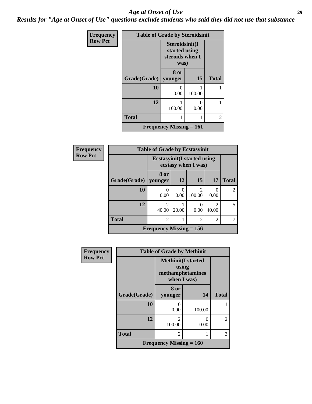#### *Age at Onset of Use* **29**

*Results for "Age at Onset of Use" questions exclude students who said they did not use that substance*

| Frequency      | <b>Table of Grade by Steroidsinit</b> |                                                            |                           |                |  |
|----------------|---------------------------------------|------------------------------------------------------------|---------------------------|----------------|--|
| <b>Row Pct</b> |                                       | Steroidsinit(I<br>started using<br>steroids when I<br>was) |                           |                |  |
|                | Grade(Grade)                          | 8 or<br>younger                                            | 15                        | <b>Total</b>   |  |
|                | 10                                    | $\mathbf{\Omega}$<br>0.00                                  | 100.00                    |                |  |
|                | 12                                    | 100.00                                                     | $\mathbf{\Omega}$<br>0.00 |                |  |
|                | <b>Total</b>                          | 1                                                          | 1                         | $\overline{2}$ |  |
|                | <b>Frequency Missing = 161</b>        |                                                            |                           |                |  |

| <b>Frequency</b> | <b>Table of Grade by Ecstasyinit</b> |                          |                                                            |                                    |                                      |                |  |  |
|------------------|--------------------------------------|--------------------------|------------------------------------------------------------|------------------------------------|--------------------------------------|----------------|--|--|
| <b>Row Pct</b>   |                                      |                          | <b>Ecstasyinit</b> (I started using<br>ecstasy when I was) |                                    |                                      |                |  |  |
|                  | Grade(Grade)                         | 8 or<br>vounger          | 12                                                         | 15                                 | 17                                   | <b>Total</b>   |  |  |
|                  | 10                                   | $\left( \right)$<br>0.00 | $\left($<br>0.00                                           | $\overline{\mathcal{L}}$<br>100.00 | 0.00                                 | $\mathfrak{D}$ |  |  |
|                  | 12                                   | $\overline{c}$<br>40.00  | 20.00                                                      | $\mathbf{\Omega}$<br>0.00          | $\mathcal{D}_{\mathcal{L}}$<br>40.00 | 5              |  |  |
|                  | <b>Total</b>                         | $\overline{c}$           |                                                            | $\overline{2}$                     | $\overline{2}$                       |                |  |  |
|                  | Frequency Missing $= 156$            |                          |                                                            |                                    |                                      |                |  |  |

| <b>Frequency</b> | <b>Table of Grade by Methinit</b> |                                                                        |        |                |  |
|------------------|-----------------------------------|------------------------------------------------------------------------|--------|----------------|--|
| <b>Row Pct</b>   |                                   | <b>Methinit</b> (I started<br>using<br>methamphetamines<br>when I was) |        |                |  |
|                  | Grade(Grade)                      | 8 or<br>younger                                                        | 14     | <b>Total</b>   |  |
|                  | 10                                | 0<br>0.00                                                              | 100.00 |                |  |
|                  | 12                                | $\mathcal{D}_{\mathcal{L}}$<br>100.00                                  | 0.00   | $\overline{2}$ |  |
|                  | <b>Total</b>                      | $\overline{2}$                                                         |        | 3              |  |
|                  |                                   | <b>Frequency Missing = 160</b>                                         |        |                |  |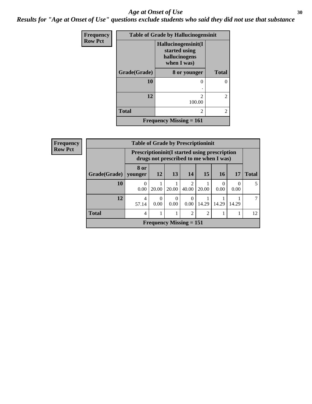#### Age at Onset of Use **30**

*Results for "Age at Onset of Use" questions exclude students who said they did not use that substance*

| Frequency      | <b>Table of Grade by Hallucinogensinit</b> |                                                                      |                |  |  |
|----------------|--------------------------------------------|----------------------------------------------------------------------|----------------|--|--|
| <b>Row Pct</b> |                                            | Hallucinogensinit(I<br>started using<br>hallucinogens<br>when I was) |                |  |  |
|                | Grade(Grade)                               | 8 or younger                                                         | <b>Total</b>   |  |  |
|                | 10                                         | $\mathcal{O}$                                                        | 0              |  |  |
|                | 12                                         | $\mathfrak{D}$<br>100.00                                             | $\overline{c}$ |  |  |
|                | <b>Total</b>                               | 2                                                                    | $\overline{c}$ |  |  |
|                |                                            | Frequency Missing $= 161$                                            |                |  |  |

| Frequency      | <b>Table of Grade by Prescriptioninit</b> |                                                                                                |                                |                  |                                      |       |                  |                  |              |
|----------------|-------------------------------------------|------------------------------------------------------------------------------------------------|--------------------------------|------------------|--------------------------------------|-------|------------------|------------------|--------------|
| <b>Row Pct</b> |                                           | <b>Prescriptioninit(I started using prescription</b><br>drugs not prescribed to me when I was) |                                |                  |                                      |       |                  |                  |              |
|                | Grade(Grade)   younger                    | 8 or                                                                                           | 12                             | <b>13</b>        | 14                                   | 15    | <b>16</b>        | 17               | <b>Total</b> |
|                | 10                                        | $\Omega$<br>0.00                                                                               | 20.00                          | 20.00            | $\mathcal{D}_{\mathcal{L}}$<br>40.00 | 20.00 | $\left($<br>0.00 | $\Omega$<br>0.00 | 5            |
|                | 12                                        | 4<br>57.14                                                                                     | $\theta$<br>0.00               | $\Omega$<br>0.00 | $\Omega$<br>0.00                     | 14.29 | 14.29            | 14.29            |              |
|                | <b>Total</b>                              | 4                                                                                              |                                |                  | 2                                    | 2     |                  |                  | 12           |
|                |                                           |                                                                                                | <b>Frequency Missing = 151</b> |                  |                                      |       |                  |                  |              |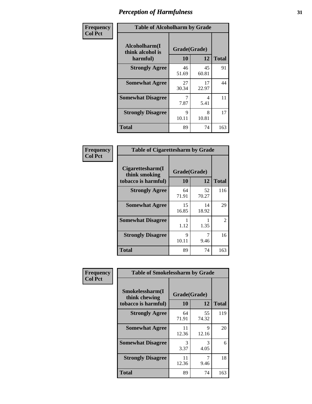| Frequency      | <b>Table of Alcoholharm by Grade</b>          |                    |             |              |
|----------------|-----------------------------------------------|--------------------|-------------|--------------|
| <b>Col Pct</b> | Alcoholharm(I<br>think alcohol is<br>harmful) | Grade(Grade)<br>10 | 12          | <b>Total</b> |
|                | <b>Strongly Agree</b>                         | 46<br>51.69        | 45<br>60.81 | 91           |
|                | <b>Somewhat Agree</b>                         | 27<br>30.34        | 17<br>22.97 | 44           |
|                | <b>Somewhat Disagree</b>                      | 7<br>7.87          | 4<br>5.41   | 11           |
|                | <b>Strongly Disagree</b>                      | 9<br>10.11         | 8<br>10.81  | 17           |
|                | <b>Total</b>                                  | 89                 | 74          | 163          |

| <b>Table of Cigarettesharm by Grade</b>                  |                    |             |                |  |  |  |
|----------------------------------------------------------|--------------------|-------------|----------------|--|--|--|
| Cigarettesharm(I<br>think smoking<br>tobacco is harmful) | Grade(Grade)<br>10 | 12          | <b>Total</b>   |  |  |  |
| <b>Strongly Agree</b>                                    | 64<br>71.91        | 52<br>70.27 | 116            |  |  |  |
| <b>Somewhat Agree</b>                                    | 15<br>16.85        | 14<br>18.92 | 29             |  |  |  |
| <b>Somewhat Disagree</b>                                 | 1<br>1.12          | 1.35        | $\mathfrak{D}$ |  |  |  |
| <b>Strongly Disagree</b>                                 | 9<br>10.11         | 7<br>9.46   | 16             |  |  |  |
| <b>Total</b>                                             | 89                 | 74          | 163            |  |  |  |

| Frequency      | <b>Table of Smokelessharm by Grade</b>                  |                           |             |              |
|----------------|---------------------------------------------------------|---------------------------|-------------|--------------|
| <b>Col Pct</b> | Smokelessharm(I<br>think chewing<br>tobacco is harmful) | Grade(Grade)<br><b>10</b> | 12          | <b>Total</b> |
|                | <b>Strongly Agree</b>                                   | 64<br>71.91               | 55<br>74.32 | 119          |
|                | <b>Somewhat Agree</b>                                   | 11<br>12.36               | 9<br>12.16  | 20           |
|                | <b>Somewhat Disagree</b>                                | 3<br>3.37                 | 3<br>4.05   | 6            |
|                | <b>Strongly Disagree</b>                                | 11<br>12.36               | 9.46        | 18           |
|                | <b>Total</b>                                            | 89                        | 74          | 163          |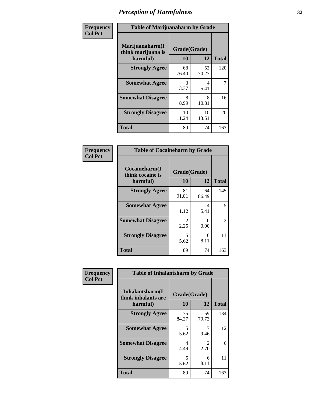| Frequency      | <b>Table of Marijuanaharm by Grade</b>            |                    |             |              |  |
|----------------|---------------------------------------------------|--------------------|-------------|--------------|--|
| <b>Col Pct</b> | Marijuanaharm(I<br>think marijuana is<br>harmful) | Grade(Grade)<br>10 | 12          | <b>Total</b> |  |
|                | <b>Strongly Agree</b>                             | 68<br>76.40        | 52<br>70.27 | 120          |  |
|                | <b>Somewhat Agree</b>                             | 3<br>3.37          | 4<br>5.41   | 7            |  |
|                | <b>Somewhat Disagree</b>                          | 8<br>8.99          | 8<br>10.81  | 16           |  |
|                | <b>Strongly Disagree</b>                          | 10<br>11.24        | 10<br>13.51 | 20           |  |
|                | <b>Total</b>                                      | 89                 | 74          | 163          |  |

| <b>Table of Cocaineharm by Grade</b>          |                    |              |     |  |  |  |
|-----------------------------------------------|--------------------|--------------|-----|--|--|--|
| Cocaineharm(I<br>think cocaine is<br>harmful) | Grade(Grade)<br>10 | <b>Total</b> |     |  |  |  |
| <b>Strongly Agree</b>                         | 81<br>91.01        | 64<br>86.49  | 145 |  |  |  |
| <b>Somewhat Agree</b>                         | 1<br>1.12          | 4<br>5.41    | 5   |  |  |  |
| <b>Somewhat Disagree</b>                      | 2<br>2.25          | 0<br>0.00    | 2   |  |  |  |
| <b>Strongly Disagree</b>                      | 5<br>5.62          | 6<br>8.11    | 11  |  |  |  |
| <b>Total</b>                                  | 89                 | 74           | 163 |  |  |  |

| Frequency      | <b>Table of Inhalantsharm by Grade</b>             |                           |                        |              |
|----------------|----------------------------------------------------|---------------------------|------------------------|--------------|
| <b>Col Pct</b> | Inhalantsharm(I<br>think inhalants are<br>harmful) | Grade(Grade)<br><b>10</b> | 12                     | <b>Total</b> |
|                | <b>Strongly Agree</b>                              | 75<br>84.27               | 59<br>79.73            | 134          |
|                | <b>Somewhat Agree</b>                              | 5<br>5.62                 | 7<br>9.46              | 12           |
|                | <b>Somewhat Disagree</b>                           | 4<br>4.49                 | $\mathfrak{D}$<br>2.70 | 6            |
|                | <b>Strongly Disagree</b>                           | 5<br>5.62                 | 6<br>8.11              | 11           |
|                | <b>Total</b>                                       | 89                        | 74                     | 163          |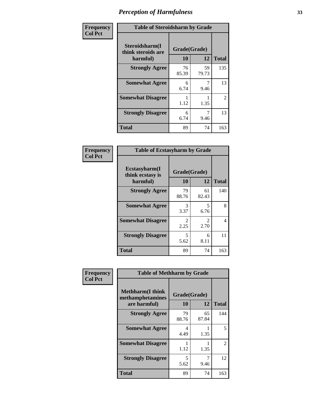| Frequency      | <b>Table of Steroidsharm by Grade</b>            |                    |             |              |
|----------------|--------------------------------------------------|--------------------|-------------|--------------|
| <b>Col Pct</b> | Steroidsharm(I<br>think steroids are<br>harmful) | Grade(Grade)<br>10 | 12          | <b>Total</b> |
|                | <b>Strongly Agree</b>                            | 76<br>85.39        | 59<br>79.73 | 135          |
|                | <b>Somewhat Agree</b>                            | 6<br>6.74          | 9.46        | 13           |
|                | <b>Somewhat Disagree</b>                         | 1.12               | 1.35        | 2            |
|                | <b>Strongly Disagree</b>                         | 6<br>6.74          | 9.46        | 13           |
|                | <b>Total</b>                                     | 89                 | 74          | 163          |

| <b>Table of Ecstasyharm by Grade</b>          |                    |                        |     |  |
|-----------------------------------------------|--------------------|------------------------|-----|--|
| Ecstasyharm(I<br>think ecstasy is<br>harmful) | Grade(Grade)<br>10 | <b>Total</b>           |     |  |
| <b>Strongly Agree</b>                         | 79<br>88.76        | 61<br>82.43            | 140 |  |
| <b>Somewhat Agree</b>                         | 3<br>3.37          | 5<br>6.76              | 8   |  |
| <b>Somewhat Disagree</b>                      | 2<br>2.25          | $\mathfrak{D}$<br>2.70 | 4   |  |
| <b>Strongly Disagree</b>                      | 5<br>5.62          | 6<br>8.11              | 11  |  |
| <b>Total</b>                                  | 89                 | 74                     | 163 |  |

| Frequency      | <b>Table of Methharm by Grade</b>                           |                    |             |              |
|----------------|-------------------------------------------------------------|--------------------|-------------|--------------|
| <b>Col Pct</b> | <b>Methharm(I think</b><br>methamphetamines<br>are harmful) | Grade(Grade)<br>10 | 12          | <b>Total</b> |
|                | <b>Strongly Agree</b>                                       | 79<br>88.76        | 65<br>87.84 | 144          |
|                | <b>Somewhat Agree</b>                                       | 4<br>4.49          | 1.35        | 5            |
|                | <b>Somewhat Disagree</b>                                    | 1.12               | 1.35        | 2            |
|                | <b>Strongly Disagree</b>                                    | 5<br>5.62          | 9.46        | 12           |
|                | <b>Total</b>                                                | 89                 | 74          | 163          |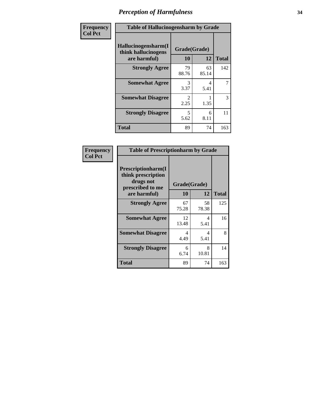| Frequency      | <b>Table of Hallucinogensharm by Grade</b>                 |                       |             |              |
|----------------|------------------------------------------------------------|-----------------------|-------------|--------------|
| <b>Col Pct</b> | Hallucinogensharm(I<br>think hallucinogens<br>are harmful) | Grade(Grade)<br>10    | 12          | <b>Total</b> |
|                | <b>Strongly Agree</b>                                      | 79<br>88.76           | 63<br>85.14 | 142          |
|                | <b>Somewhat Agree</b>                                      | 3<br>3.37             | 4<br>5.41   | 7            |
|                | <b>Somewhat Disagree</b>                                   | $\mathcal{L}$<br>2.25 | 1.35        | 3            |
|                | <b>Strongly Disagree</b>                                   | 5<br>5.62             | 6<br>8.11   | 11           |
|                | <b>Total</b>                                               | 89                    | 74          | 163          |

| <b>Table of Prescriptionharm by Grade</b>                                         |             |              |              |  |
|-----------------------------------------------------------------------------------|-------------|--------------|--------------|--|
| <b>Prescriptionharm(I)</b><br>think prescription<br>drugs not<br>prescribed to me |             | Grade(Grade) |              |  |
| are harmful)                                                                      | 10          | 12           | <b>Total</b> |  |
| <b>Strongly Agree</b>                                                             | 67<br>75.28 | 58<br>78.38  | 125          |  |
| <b>Somewhat Agree</b>                                                             | 12<br>13.48 | 4<br>5.41    | 16           |  |
| <b>Somewhat Disagree</b>                                                          | 4<br>4.49   | 4<br>5.41    | 8            |  |
| <b>Strongly Disagree</b>                                                          | 6<br>6.74   | 8<br>10.81   | 14           |  |
| Total                                                                             | 89          | 74           | 163          |  |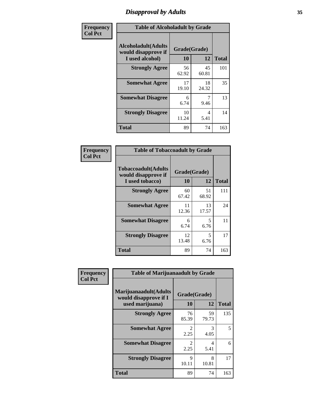# *Disapproval by Adults* **35**

| Frequency      | <b>Table of Alcoholadult by Grade</b>                                 |                    |             |              |
|----------------|-----------------------------------------------------------------------|--------------------|-------------|--------------|
| <b>Col Pct</b> | <b>Alcoholadult</b> (Adults<br>would disapprove if<br>I used alcohol) | Grade(Grade)<br>10 | 12          | <b>Total</b> |
|                | <b>Strongly Agree</b>                                                 | 56<br>62.92        | 45<br>60.81 | 101          |
|                | <b>Somewhat Agree</b>                                                 | 17<br>19.10        | 18<br>24.32 | 35           |
|                | <b>Somewhat Disagree</b>                                              | 6<br>6.74          | 9.46        | 13           |
|                | <b>Strongly Disagree</b>                                              | 10<br>11.24        | 4<br>5.41   | 14           |
|                | <b>Total</b>                                                          | 89                 | 74          | 163          |

| <b>Table of Tobaccoadult by Grade</b>                                 |                    |             |              |  |
|-----------------------------------------------------------------------|--------------------|-------------|--------------|--|
| <b>Tobaccoadult</b> (Adults<br>would disapprove if<br>I used tobacco) | Grade(Grade)<br>10 | 12          | <b>Total</b> |  |
| <b>Strongly Agree</b>                                                 | 60<br>67.42        | 51<br>68.92 | 111          |  |
| <b>Somewhat Agree</b>                                                 | 11<br>12.36        | 13<br>17.57 | 24           |  |
| <b>Somewhat Disagree</b>                                              | 6<br>6.74          | 5<br>6.76   | 11           |  |
| <b>Strongly Disagree</b>                                              | 12<br>13.48        | 5<br>6.76   | 17           |  |
| <b>Total</b>                                                          | 89                 | 74          | 163          |  |

| Frequency      | <b>Table of Marijuanaadult by Grade</b>                           |                    |             |              |
|----------------|-------------------------------------------------------------------|--------------------|-------------|--------------|
| <b>Col Pct</b> | Marijuanaadult(Adults<br>would disapprove if I<br>used marijuana) | Grade(Grade)<br>10 | 12          | <b>Total</b> |
|                | <b>Strongly Agree</b>                                             | 76<br>85.39        | 59<br>79.73 | 135          |
|                | <b>Somewhat Agree</b>                                             | 2<br>2.25          | 3<br>4.05   | 5            |
|                | <b>Somewhat Disagree</b>                                          | 2<br>2.25          | 4<br>5.41   | 6            |
|                | <b>Strongly Disagree</b>                                          | 9<br>10.11         | 8<br>10.81  | 17           |
|                | <b>Total</b>                                                      | 89                 | 74          | 163          |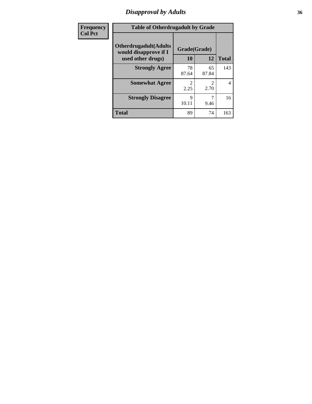### *Disapproval by Adults* **36**

| <b>Frequency</b> | <b>Table of Otherdrugadult by Grade</b>                                     |                      |                        |                |  |
|------------------|-----------------------------------------------------------------------------|----------------------|------------------------|----------------|--|
| <b>Col Pct</b>   | <b>Otherdrugadult</b> (Adults<br>would disapprove if I<br>used other drugs) | Grade(Grade)<br>10   | 12                     | <b>Total</b>   |  |
|                  | <b>Strongly Agree</b>                                                       | 78<br>87.64          | 65<br>87.84            | 143            |  |
|                  | <b>Somewhat Agree</b>                                                       | っ<br>2.25            | $\mathfrak{D}$<br>2.70 | $\overline{4}$ |  |
|                  | <b>Strongly Disagree</b>                                                    | $\mathbf Q$<br>10.11 | 9.46                   | 16             |  |
|                  | <b>Total</b>                                                                | 89                   | 74                     | 163            |  |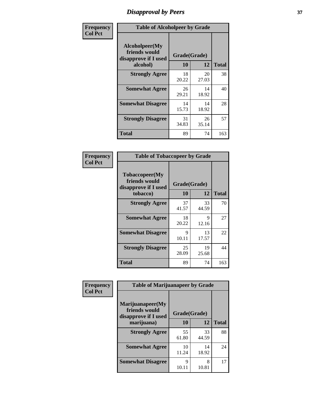# *Disapproval by Peers* **37**

| Frequency      | <b>Table of Alcoholpeer by Grade</b>                    |              |             |              |  |
|----------------|---------------------------------------------------------|--------------|-------------|--------------|--|
| <b>Col Pct</b> | Alcoholpeer(My<br>friends would<br>disapprove if I used | Grade(Grade) |             |              |  |
|                | alcohol)                                                | 10           | 12          | <b>Total</b> |  |
|                | <b>Strongly Agree</b>                                   | 18<br>20.22  | 20<br>27.03 | 38           |  |
|                | <b>Somewhat Agree</b>                                   | 26<br>29.21  | 14<br>18.92 | 40           |  |
|                | <b>Somewhat Disagree</b>                                | 14<br>15.73  | 14<br>18.92 | 28           |  |
|                | <b>Strongly Disagree</b>                                | 31<br>34.83  | 26<br>35.14 | 57           |  |
|                | Total                                                   | 89           | 74          | 163          |  |

| Frequency      | <b>Table of Tobaccopeer by Grade</b>                                |                    |             |              |  |
|----------------|---------------------------------------------------------------------|--------------------|-------------|--------------|--|
| <b>Col Pct</b> | Tobaccopeer(My<br>friends would<br>disapprove if I used<br>tobacco) | Grade(Grade)<br>10 | 12          | <b>Total</b> |  |
|                | <b>Strongly Agree</b>                                               | 37<br>41.57        | 33<br>44.59 | 70           |  |
|                | <b>Somewhat Agree</b>                                               | 18<br>20.22        | 9<br>12.16  | 27           |  |
|                | <b>Somewhat Disagree</b>                                            | 9<br>10.11         | 13<br>17.57 | 22           |  |
|                | <b>Strongly Disagree</b>                                            | 25<br>28.09        | 19<br>25.68 | 44           |  |
|                | Total                                                               | 89                 | 74          | 163          |  |

| Frequency<br><b>Col Pct</b> | <b>Table of Marijuanapeer by Grade</b>                    |              |             |              |
|-----------------------------|-----------------------------------------------------------|--------------|-------------|--------------|
|                             | Marijuanapeer(My<br>friends would<br>disapprove if I used | Grade(Grade) |             |              |
|                             | marijuana)                                                | <b>10</b>    | 12          | <b>Total</b> |
|                             | <b>Strongly Agree</b>                                     | 55<br>61.80  | 33<br>44.59 | 88           |
|                             | <b>Somewhat Agree</b>                                     | 10<br>11.24  | 14<br>18.92 | 24           |
|                             | <b>Somewhat Disagree</b>                                  | Q<br>10.11   | 8<br>10.81  | 17           |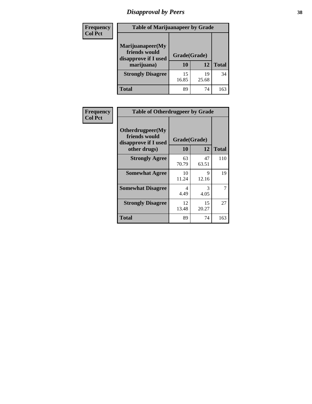# *Disapproval by Peers* **38**

| <b>Frequency</b> | <b>Table of Marijuanapeer by Grade</b>                                  |                    |             |              |  |
|------------------|-------------------------------------------------------------------------|--------------------|-------------|--------------|--|
| <b>Col Pct</b>   | Marijuanapeer(My<br>friends would<br>disapprove if I used<br>marijuana) | Grade(Grade)<br>10 | 12          | <b>Total</b> |  |
|                  | <b>Strongly Disagree</b>                                                | 15<br>16.85        | 19<br>25.68 | 34           |  |
|                  | <b>Total</b>                                                            | 89                 | 74          | 163          |  |

| Frequency      | <b>Table of Otherdrugpeer by Grade</b>                                    |                           |             |              |
|----------------|---------------------------------------------------------------------------|---------------------------|-------------|--------------|
| <b>Col Pct</b> | Otherdrugpeer(My<br>friends would<br>disapprove if I used<br>other drugs) | Grade(Grade)<br><b>10</b> | 12          | <b>Total</b> |
|                | <b>Strongly Agree</b>                                                     | 63<br>70.79               | 47<br>63.51 | 110          |
|                | <b>Somewhat Agree</b>                                                     | 10<br>11.24               | 9<br>12.16  | 19           |
|                | <b>Somewhat Disagree</b>                                                  | 4<br>4.49                 | 3<br>4.05   | 7            |
|                | <b>Strongly Disagree</b>                                                  | 12<br>13.48               | 15<br>20.27 | 27           |
|                | <b>Total</b>                                                              | 89                        | 74          | 163          |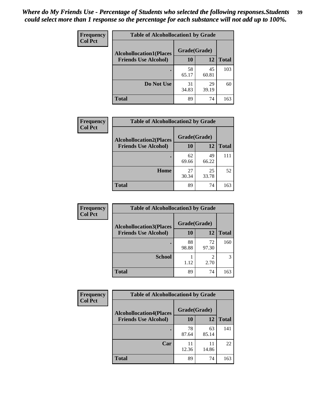| Frequency      | <b>Table of Alcohollocation1 by Grade</b> |              |             |              |
|----------------|-------------------------------------------|--------------|-------------|--------------|
| <b>Col Pct</b> | <b>Alcohollocation1(Places</b>            | Grade(Grade) |             |              |
|                | <b>Friends Use Alcohol)</b>               | 10           | 12          | <b>Total</b> |
|                |                                           | 58<br>65.17  | 45<br>60.81 | 103          |
|                | Do Not Use                                | 31<br>34.83  | 29<br>39.19 | 60           |
|                | <b>Total</b>                              | 89           | 74          | 163          |

| Frequency      | <b>Table of Alcohollocation2 by Grade</b>                     |                    |             |              |
|----------------|---------------------------------------------------------------|--------------------|-------------|--------------|
| <b>Col Pct</b> | <b>Alcohollocation2(Places</b><br><b>Friends Use Alcohol)</b> | Grade(Grade)<br>10 | 12          | <b>Total</b> |
|                |                                                               |                    |             |              |
|                |                                                               | 62<br>69.66        | 49<br>66.22 | 111          |
|                | Home                                                          | 27<br>30.34        | 25<br>33.78 | 52           |
|                | <b>Total</b>                                                  | 89                 | 74          | 163          |

| Frequency<br><b>Col Pct</b> | <b>Table of Alcohollocation 3 by Grade</b> |              |                        |              |
|-----------------------------|--------------------------------------------|--------------|------------------------|--------------|
|                             | <b>Alcohollocation3(Places</b>             | Grade(Grade) |                        |              |
|                             | <b>Friends Use Alcohol)</b>                | 10           | 12                     | <b>Total</b> |
|                             |                                            | 88<br>98.88  | 72<br>97.30            | 160          |
|                             | <b>School</b>                              | 1.12         | $\overline{2}$<br>2.70 | 3            |
|                             | <b>Total</b>                               | 89           | 74                     | 163          |

| <b>Frequency</b> | <b>Table of Alcohollocation4 by Grade</b> |              |             |              |
|------------------|-------------------------------------------|--------------|-------------|--------------|
| <b>Col Pct</b>   | <b>Alcohollocation4(Places</b>            | Grade(Grade) |             |              |
|                  | <b>Friends Use Alcohol)</b>               | 10           | 12          | <b>Total</b> |
|                  |                                           | 78<br>87.64  | 63<br>85.14 | 141          |
|                  | Car                                       | 11<br>12.36  | 11<br>14.86 | 22           |
|                  | Total                                     | 89           | 74          | 163          |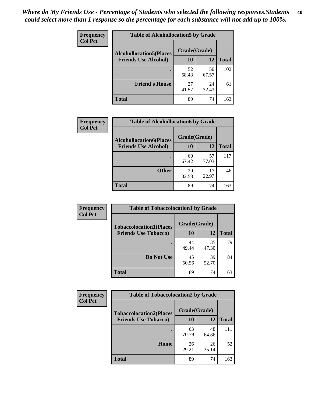| Frequency<br><b>Col Pct</b> | <b>Table of Alcohollocation5 by Grade</b> |              |             |              |  |
|-----------------------------|-------------------------------------------|--------------|-------------|--------------|--|
|                             | <b>Alcohollocation5(Places</b>            | Grade(Grade) |             |              |  |
|                             | <b>Friends Use Alcohol)</b>               | 10           | 12          | <b>Total</b> |  |
|                             |                                           | 52<br>58.43  | 50<br>67.57 | 102          |  |
|                             | <b>Friend's House</b>                     | 37<br>41.57  | 24<br>32.43 | 61           |  |
|                             | <b>Total</b>                              | 89           | 74          | 163          |  |

| <b>Frequency</b>                              | <b>Table of Alcohollocation6 by Grade</b> |              |             |              |
|-----------------------------------------------|-------------------------------------------|--------------|-------------|--------------|
| <b>Col Pct</b><br><b>Friends Use Alcohol)</b> | <b>Alcohollocation6(Places</b>            | Grade(Grade) |             |              |
|                                               |                                           | 10           | 12          | <b>Total</b> |
|                                               |                                           | 60<br>67.42  | 57<br>77.03 | 117          |
|                                               | <b>Other</b>                              | 29<br>32.58  | 17<br>22.97 | 46           |
|                                               | <b>Total</b>                              | 89           | 74          | 163          |

| Frequency      | <b>Table of Tobaccolocation1 by Grade</b> |              |             |              |
|----------------|-------------------------------------------|--------------|-------------|--------------|
| <b>Col Pct</b> | <b>Tobaccolocation1(Places</b>            | Grade(Grade) |             |              |
|                | <b>Friends Use Tobacco)</b>               | 10           | 12          | <b>Total</b> |
|                |                                           | 44<br>49.44  | 35<br>47.30 | 79           |
|                | Do Not Use                                | 45<br>50.56  | 39<br>52.70 | 84           |
|                | <b>Total</b>                              | 89           | 74          | 163          |

| <b>Frequency</b> | <b>Table of Tobaccolocation2 by Grade</b> |              |             |              |  |
|------------------|-------------------------------------------|--------------|-------------|--------------|--|
| <b>Col Pct</b>   | <b>Tobaccolocation2(Places</b>            | Grade(Grade) |             |              |  |
|                  | <b>Friends Use Tobacco)</b>               | <b>10</b>    | 12          | <b>Total</b> |  |
|                  |                                           | 63<br>70.79  | 48<br>64.86 | 111          |  |
|                  | Home                                      | 26<br>29.21  | 26<br>35.14 | 52           |  |
|                  | <b>Total</b>                              | 89           | 74          | 163          |  |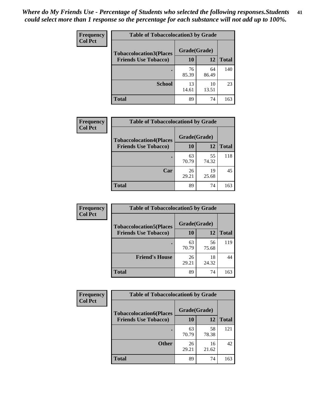| Frequency      | <b>Table of Tobaccolocation 3 by Grade</b> |              |             |              |
|----------------|--------------------------------------------|--------------|-------------|--------------|
| <b>Col Pct</b> | <b>Tobaccolocation3(Places</b>             | Grade(Grade) |             |              |
|                | <b>Friends Use Tobacco)</b>                | 10           | 12          | <b>Total</b> |
|                | ٠                                          | 76<br>85.39  | 64<br>86.49 | 140          |
|                | <b>School</b>                              | 13<br>14.61  | 10<br>13.51 | 23           |
|                | <b>Total</b>                               | 89           | 74          | 163          |

| Frequency      |                                | <b>Table of Tobaccolocation4 by Grade</b> |             |              |  |
|----------------|--------------------------------|-------------------------------------------|-------------|--------------|--|
| <b>Col Pct</b> | <b>Tobaccolocation4(Places</b> | Grade(Grade)                              |             |              |  |
|                | <b>Friends Use Tobacco)</b>    | 10                                        | 12          | <b>Total</b> |  |
|                |                                | 63<br>70.79                               | 55<br>74.32 | 118          |  |
|                | Car                            | 26<br>29.21                               | 19<br>25.68 | 45           |  |
|                | <b>Total</b>                   | 89                                        | 74          | 163          |  |

| Frequency      | <b>Table of Tobaccolocation5 by Grade</b> |              |             |              |
|----------------|-------------------------------------------|--------------|-------------|--------------|
| <b>Col Pct</b> | <b>Tobaccolocation5(Places</b>            | Grade(Grade) |             |              |
|                | <b>Friends Use Tobacco)</b>               | 10           | <b>12</b>   | <b>Total</b> |
|                |                                           | 63<br>70.79  | 56<br>75.68 | 119          |
|                | <b>Friend's House</b>                     | 26<br>29.21  | 18<br>24.32 | 44           |
|                | <b>Total</b>                              | 89           | 74          | 163          |

| <b>Frequency</b> | <b>Table of Tobaccolocation6 by Grade</b> |              |             |              |  |
|------------------|-------------------------------------------|--------------|-------------|--------------|--|
| <b>Col Pct</b>   | <b>Tobaccolocation6(Places</b>            | Grade(Grade) |             |              |  |
|                  | <b>Friends Use Tobacco)</b>               | 10           | 12          | <b>Total</b> |  |
|                  |                                           | 63<br>70.79  | 58<br>78.38 | 121          |  |
|                  | <b>Other</b>                              | 26<br>29.21  | 16<br>21.62 | 42           |  |
|                  | <b>Total</b>                              | 89           | 74          | 163          |  |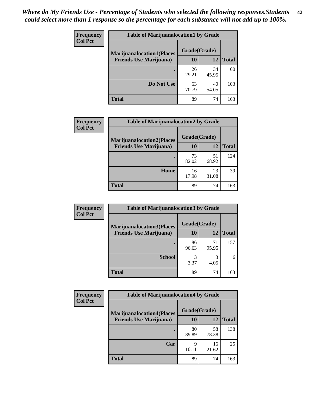| <b>Frequency</b> | <b>Table of Marijuanalocation1 by Grade</b> |              |             |              |
|------------------|---------------------------------------------|--------------|-------------|--------------|
| <b>Col Pct</b>   | <b>Marijuanalocation1(Places</b>            | Grade(Grade) |             |              |
|                  | <b>Friends Use Marijuana</b> )              | 10           | 12          | <b>Total</b> |
|                  |                                             | 26<br>29.21  | 34<br>45.95 | 60           |
|                  | Do Not Use                                  | 63<br>70.79  | 40<br>54.05 | 103          |
|                  | <b>Total</b>                                | 89           | 74          | 163          |

| <b>Frequency</b> | <b>Table of Marijuanalocation2 by Grade</b>                        |                    |             |              |
|------------------|--------------------------------------------------------------------|--------------------|-------------|--------------|
| <b>Col Pct</b>   | <b>Marijuanalocation2(Places</b><br><b>Friends Use Marijuana</b> ) | Grade(Grade)<br>10 | 12          | <b>Total</b> |
|                  |                                                                    | 73<br>82.02        | 51<br>68.92 | 124          |
|                  | Home                                                               | 16<br>17.98        | 23<br>31.08 | 39           |
|                  | <b>Total</b>                                                       | 89                 | 74          | 163          |

| <b>Frequency</b><br><b>Col Pct</b> | <b>Table of Marijuanalocation3 by Grade</b> |              |             |              |
|------------------------------------|---------------------------------------------|--------------|-------------|--------------|
|                                    | <b>Marijuanalocation3</b> (Places           | Grade(Grade) |             |              |
|                                    | <b>Friends Use Marijuana</b> )              | 10           | 12          | <b>Total</b> |
|                                    |                                             | 86<br>96.63  | 71<br>95.95 | 157          |
|                                    | <b>School</b>                               | 3<br>3.37    | 3<br>4.05   | 6            |
|                                    | <b>Total</b>                                | 89           | 74          | 163          |

| Frequency      | <b>Table of Marijuanalocation4 by Grade</b> |              |             |              |
|----------------|---------------------------------------------|--------------|-------------|--------------|
| <b>Col Pct</b> | <b>Marijuanalocation4(Places</b>            | Grade(Grade) |             |              |
|                | <b>Friends Use Marijuana</b> )              | <b>10</b>    | 12          | <b>Total</b> |
|                |                                             | 80<br>89.89  | 58<br>78.38 | 138          |
|                | Car                                         | 9<br>10.11   | 16<br>21.62 | 25           |
|                | <b>Total</b>                                | 89           | 74          | 163          |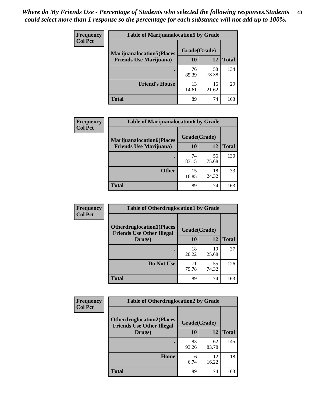| <b>Frequency</b> | <b>Table of Marijuanalocation5 by Grade</b> |              |             |              |
|------------------|---------------------------------------------|--------------|-------------|--------------|
| <b>Col Pct</b>   | <b>Marijuanalocation5</b> (Places           | Grade(Grade) |             |              |
|                  | <b>Friends Use Marijuana</b> )              | 10           | 12          | <b>Total</b> |
|                  |                                             | 76<br>85.39  | 58<br>78.38 | 134          |
|                  | <b>Friend's House</b>                       | 13<br>14.61  | 16<br>21.62 | 29           |
|                  | <b>Total</b>                                | 89           | 74          | 163          |

| <b>Frequency</b> | <b>Table of Marijuanalocation6 by Grade</b>                        |                    |             |              |
|------------------|--------------------------------------------------------------------|--------------------|-------------|--------------|
| <b>Col Pct</b>   | <b>Marijuanalocation6(Places</b><br><b>Friends Use Marijuana</b> ) | Grade(Grade)<br>10 | 12          | <b>Total</b> |
|                  |                                                                    | 74<br>83.15        | 56<br>75.68 | 130          |
|                  | <b>Other</b>                                                       | 15<br>16.85        | 18<br>24.32 | 33           |
|                  | <b>Total</b>                                                       | 89                 | 74          | 163          |

| <b>Frequency</b> | <b>Table of Otherdruglocation1 by Grade</b>                          |              |             |              |
|------------------|----------------------------------------------------------------------|--------------|-------------|--------------|
| <b>Col Pct</b>   | <b>Otherdruglocation1(Places</b><br><b>Friends Use Other Illegal</b> | Grade(Grade) |             |              |
|                  | Drugs)                                                               | 10           | 12          | <b>Total</b> |
|                  |                                                                      | 18<br>20.22  | 19<br>25.68 | 37           |
|                  | Do Not Use                                                           | 71<br>79.78  | 55<br>74.32 | 126          |
|                  | <b>Total</b>                                                         | 89           | 74          | 163          |

| Frequency      | <b>Table of Otherdruglocation2 by Grade</b>                          |              |             |              |
|----------------|----------------------------------------------------------------------|--------------|-------------|--------------|
| <b>Col Pct</b> | <b>Otherdruglocation2(Places</b><br><b>Friends Use Other Illegal</b> | Grade(Grade) |             |              |
|                | Drugs)                                                               | 10           | 12          | <b>Total</b> |
|                |                                                                      | 83<br>93.26  | 62<br>83.78 | 145          |
|                | Home                                                                 | 6<br>6.74    | 12<br>16.22 | 18           |
|                | Total                                                                | 89           | 74          | 163          |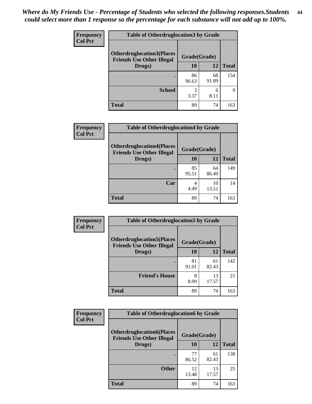| <b>Frequency</b> | <b>Table of Otherdruglocation 3 by Grade</b>                         |              |             |              |
|------------------|----------------------------------------------------------------------|--------------|-------------|--------------|
| <b>Col Pct</b>   | <b>Otherdruglocation3(Places</b><br><b>Friends Use Other Illegal</b> | Grade(Grade) |             |              |
|                  | Drugs)                                                               | 10           | 12          | <b>Total</b> |
|                  |                                                                      | 86<br>96.63  | 68<br>91.89 | 154          |
|                  | <b>School</b>                                                        | 3<br>3.37    | 6<br>8.11   | Q            |
|                  | <b>Total</b>                                                         | 89           | 74          | 163          |

| <b>Frequency</b> | <b>Table of Otherdruglocation4 by Grade</b>                          |              |             |              |
|------------------|----------------------------------------------------------------------|--------------|-------------|--------------|
| <b>Col Pct</b>   | <b>Otherdruglocation4(Places</b><br><b>Friends Use Other Illegal</b> | Grade(Grade) |             |              |
|                  | Drugs)                                                               | 10           | 12          | <b>Total</b> |
|                  |                                                                      | 85<br>95.51  | 64<br>86.49 | 149          |
|                  | Car                                                                  | 4.49         | 10<br>13.51 | 14           |
|                  | <b>Total</b>                                                         | 89           | 74          | 163          |

| Frequency      | <b>Table of Otherdruglocation5 by Grade</b>                          |              |             |              |
|----------------|----------------------------------------------------------------------|--------------|-------------|--------------|
| <b>Col Pct</b> | <b>Otherdruglocation5(Places</b><br><b>Friends Use Other Illegal</b> | Grade(Grade) |             |              |
|                | Drugs)                                                               | 10           | 12          | <b>Total</b> |
|                |                                                                      | 81<br>91.01  | 61<br>82.43 | 142          |
|                | <b>Friend's House</b>                                                | 8<br>8.99    | 13<br>17.57 | 21           |
|                | <b>Total</b>                                                         | 89           | 74          | 163          |

| Frequency      | <b>Table of Otherdruglocation6 by Grade</b>                          |              |             |              |
|----------------|----------------------------------------------------------------------|--------------|-------------|--------------|
| <b>Col Pct</b> | <b>Otherdruglocation6(Places</b><br><b>Friends Use Other Illegal</b> | Grade(Grade) |             |              |
|                | Drugs)                                                               | 10           | 12          | <b>Total</b> |
|                |                                                                      | 77<br>86.52  | 61<br>82.43 | 138          |
|                | <b>Other</b>                                                         | 12<br>13.48  | 13<br>17.57 | 25           |
|                | <b>Total</b>                                                         | 89           | 74          | 163          |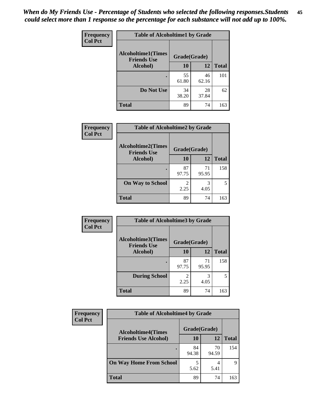| Frequency      | <b>Table of Alcoholtime1 by Grade</b>                           |             |             |              |
|----------------|-----------------------------------------------------------------|-------------|-------------|--------------|
| <b>Col Pct</b> | <b>Alcoholtime1(Times</b><br>Grade(Grade)<br><b>Friends Use</b> |             |             |              |
|                | Alcohol)                                                        | 10          | 12          | <b>Total</b> |
|                |                                                                 | 55<br>61.80 | 46<br>62.16 | 101          |
|                | Do Not Use                                                      | 34<br>38.20 | 28<br>37.84 | 62           |
|                | <b>Total</b>                                                    | 89          | 74          | 163          |

| Frequency      | <b>Table of Alcoholtime2 by Grade</b>           |              |             |              |
|----------------|-------------------------------------------------|--------------|-------------|--------------|
| <b>Col Pct</b> | <b>Alcoholtime2(Times</b><br><b>Friends Use</b> | Grade(Grade) |             |              |
|                | Alcohol)                                        | 10           | 12          | <b>Total</b> |
|                |                                                 | 87<br>97.75  | 71<br>95.95 | 158          |
|                | <b>On Way to School</b>                         | 2.25         | 3<br>4.05   |              |
|                | <b>Total</b>                                    | 89           | 74          | 163          |

| Frequency      | <b>Table of Alcoholtime3 by Grade</b>                           |                        |             |              |
|----------------|-----------------------------------------------------------------|------------------------|-------------|--------------|
| <b>Col Pct</b> | <b>Alcoholtime3(Times</b><br>Grade(Grade)<br><b>Friends Use</b> |                        |             |              |
|                | Alcohol)                                                        | 10                     | 12          | <b>Total</b> |
|                |                                                                 | 87<br>97.75            | 71<br>95.95 | 158          |
|                | <b>During School</b>                                            | $\mathfrak{D}$<br>2.25 | 3<br>4.05   | 5            |
|                | <b>Total</b>                                                    | 89                     | 74          | 163          |

| <b>Frequency</b> | <b>Table of Alcoholtime4 by Grade</b> |              |             |              |
|------------------|---------------------------------------|--------------|-------------|--------------|
| <b>Col Pct</b>   | <b>Alcoholtime4(Times</b>             | Grade(Grade) |             |              |
|                  | <b>Friends Use Alcohol)</b>           | 10           | 12          | <b>Total</b> |
|                  | ٠                                     | 84<br>94.38  | 70<br>94.59 | 154          |
|                  | <b>On Way Home From School</b>        | 5<br>5.62    | 5.41        | 9            |
|                  | <b>Total</b>                          | 89           | 74          | 163          |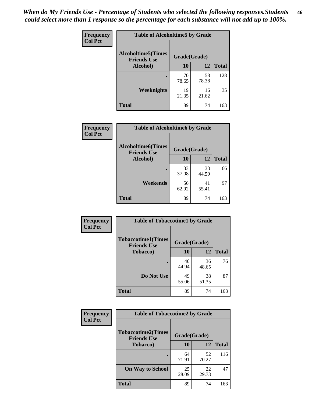*When do My Friends Use - Percentage of Students who selected the following responses.Students could select more than 1 response so the percentage for each substance will not add up to 100%.* **46**

| Frequency      | <b>Table of Alcoholtime5 by Grade</b>           |              |             |              |
|----------------|-------------------------------------------------|--------------|-------------|--------------|
| <b>Col Pct</b> | <b>Alcoholtime5(Times</b><br><b>Friends Use</b> | Grade(Grade) |             |              |
|                | Alcohol)                                        | 10           | 12          | <b>Total</b> |
|                |                                                 | 70<br>78.65  | 58<br>78.38 | 128          |
|                | Weeknights                                      | 19<br>21.35  | 16<br>21.62 | 35           |
|                | <b>Total</b>                                    | 89           | 74          | 163          |

| Frequency      | <b>Table of Alcoholtime6 by Grade</b>           |              |             |              |
|----------------|-------------------------------------------------|--------------|-------------|--------------|
| <b>Col Pct</b> | <b>Alcoholtime6(Times</b><br><b>Friends Use</b> | Grade(Grade) |             |              |
|                | Alcohol)                                        | 10           | 12          | <b>Total</b> |
|                |                                                 | 33<br>37.08  | 33<br>44.59 | 66           |
|                | Weekends                                        | 56<br>62.92  | 41<br>55.41 | 97           |
|                | <b>Total</b>                                    | 89           | 74          | 163          |

| Frequency      | <b>Table of Tobaccotime1 by Grade</b>           |              |             |              |
|----------------|-------------------------------------------------|--------------|-------------|--------------|
| <b>Col Pct</b> | <b>Tobaccotime1(Times</b><br><b>Friends Use</b> | Grade(Grade) |             |              |
|                | <b>Tobacco</b> )                                | 10           | 12          | <b>Total</b> |
|                | $\bullet$                                       | 40<br>44.94  | 36<br>48.65 | 76           |
|                | Do Not Use                                      | 49<br>55.06  | 38<br>51.35 | 87           |
|                | <b>Total</b>                                    | 89           | 74          | 163          |

| <b>Frequency</b> | <b>Table of Tobaccotime2 by Grade</b>           |              |             |              |
|------------------|-------------------------------------------------|--------------|-------------|--------------|
| <b>Col Pct</b>   | <b>Tobaccotime2(Times</b><br><b>Friends Use</b> | Grade(Grade) |             |              |
|                  | <b>Tobacco</b> )                                | <b>10</b>    | 12          | <b>Total</b> |
|                  |                                                 | 64<br>71.91  | 52<br>70.27 | 116          |
|                  | <b>On Way to School</b>                         | 25<br>28.09  | 22<br>29.73 | 47           |
|                  | <b>Total</b>                                    | 89           | 74          | 163          |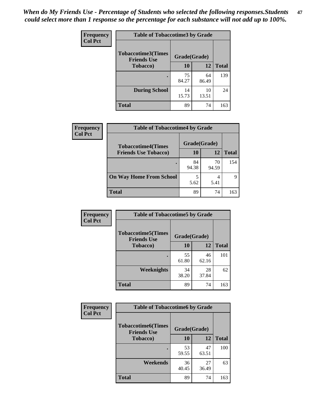*When do My Friends Use - Percentage of Students who selected the following responses.Students could select more than 1 response so the percentage for each substance will not add up to 100%.* **47**

| <b>Frequency</b> | <b>Table of Tobaccotime3 by Grade</b>           |              |             |              |  |
|------------------|-------------------------------------------------|--------------|-------------|--------------|--|
| <b>Col Pct</b>   | <b>Tobaccotime3(Times</b><br><b>Friends Use</b> | Grade(Grade) |             |              |  |
|                  | <b>Tobacco</b> )                                | 10           | 12          | <b>Total</b> |  |
|                  |                                                 | 75<br>84.27  | 64<br>86.49 | 139          |  |
|                  | <b>During School</b>                            | 14<br>15.73  | 10<br>13.51 | 24           |  |
|                  | <b>Total</b>                                    | 89           | 74          | 163          |  |

| <b>Frequency</b> | <b>Table of Tobaccotime4 by Grade</b> |              |             |              |
|------------------|---------------------------------------|--------------|-------------|--------------|
| <b>Col Pct</b>   | <b>Tobaccotime4(Times</b>             | Grade(Grade) |             |              |
|                  | <b>Friends Use Tobacco)</b>           | 10           | 12          | <b>Total</b> |
|                  |                                       | 84<br>94.38  | 70<br>94.59 | 154          |
|                  | <b>On Way Home From School</b>        | 5<br>5.62    | 4<br>5.41   | q            |
|                  | <b>Total</b>                          | 89           | 74          | 163          |

| Frequency      | <b>Table of Tobaccotime5 by Grade</b>            |              |             |              |
|----------------|--------------------------------------------------|--------------|-------------|--------------|
| <b>Col Pct</b> | <b>Tobaccotime5</b> (Times<br><b>Friends Use</b> | Grade(Grade) |             |              |
|                | <b>Tobacco</b> )                                 | 10           | 12          | <b>Total</b> |
|                |                                                  | 55<br>61.80  | 46<br>62.16 | 101          |
|                | Weeknights                                       | 34<br>38.20  | 28<br>37.84 | 62           |
|                | <b>Total</b>                                     | 89           | 74          | 163          |

| Frequency<br><b>Col Pct</b> | <b>Table of Tobaccotime6 by Grade</b><br><b>Tobaccotime6(Times</b><br>Grade(Grade)<br><b>Friends Use</b> |             |             |              |
|-----------------------------|----------------------------------------------------------------------------------------------------------|-------------|-------------|--------------|
|                             |                                                                                                          |             |             |              |
|                             | <b>Tobacco</b> )                                                                                         | 10          | 12          | <b>Total</b> |
|                             | ٠                                                                                                        | 53<br>59.55 | 47<br>63.51 | 100          |
|                             | Weekends                                                                                                 | 36<br>40.45 | 27<br>36.49 | 63           |
|                             | <b>Total</b>                                                                                             | 89          | 74          | 163          |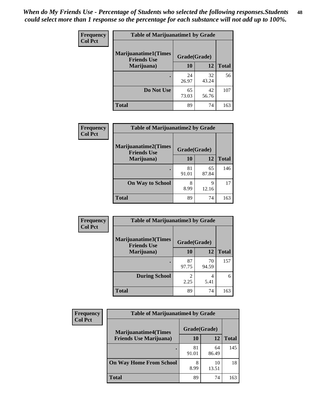| Frequency      | <b>Table of Marijuanatime1 by Grade</b>           |              |             |              |
|----------------|---------------------------------------------------|--------------|-------------|--------------|
| <b>Col Pct</b> | <b>Marijuanatime1(Times</b><br><b>Friends Use</b> | Grade(Grade) |             |              |
|                | Marijuana)                                        | 10           | 12          | <b>Total</b> |
|                |                                                   | 24<br>26.97  | 32<br>43.24 | 56           |
|                | Do Not Use                                        | 65<br>73.03  | 42<br>56.76 | 107          |
|                | <b>Total</b>                                      | 89           | 74          | 163          |

|                | <b>Table of Marijuanatime2 by Grade</b>           |              |             |              |  |
|----------------|---------------------------------------------------|--------------|-------------|--------------|--|
| Frequency      |                                                   |              |             |              |  |
| <b>Col Pct</b> | <b>Marijuanatime2(Times</b><br><b>Friends Use</b> | Grade(Grade) |             |              |  |
|                | Marijuana)                                        | 10           | 12          | <b>Total</b> |  |
|                |                                                   | 81<br>91.01  | 65<br>87.84 | 146          |  |
|                | <b>On Way to School</b>                           | 8<br>8.99    | 9<br>12.16  | 17           |  |
|                | <b>Total</b>                                      | 89           | 74          | 163          |  |

| <b>Frequency</b> | <b>Table of Marijuanatime3 by Grade</b>    |                        |             |              |
|------------------|--------------------------------------------|------------------------|-------------|--------------|
| <b>Col Pct</b>   | Marijuanatime3(Times<br><b>Friends Use</b> | Grade(Grade)           |             |              |
|                  | Marijuana)                                 | 10                     | <b>12</b>   | <b>Total</b> |
|                  |                                            | 87<br>97.75            | 70<br>94.59 | 157          |
|                  | <b>During School</b>                       | $\mathfrak{D}$<br>2.25 | 4<br>5.41   | 6            |
|                  | <b>Total</b>                               | 89                     | 74          | 163          |

| <b>Frequency</b> | <b>Table of Marijuanatime4 by Grade</b> |              |             |              |
|------------------|-----------------------------------------|--------------|-------------|--------------|
| <b>Col Pct</b>   | <b>Marijuanatime4(Times</b>             | Grade(Grade) |             |              |
|                  | <b>Friends Use Marijuana</b> )          | 10           | 12          | <b>Total</b> |
|                  |                                         | 81<br>91.01  | 64<br>86.49 | 145          |
|                  | <b>On Way Home From School</b>          | 8<br>8.99    | 10<br>13.51 | 18           |
|                  | <b>Total</b>                            | 89           | 74          | 163          |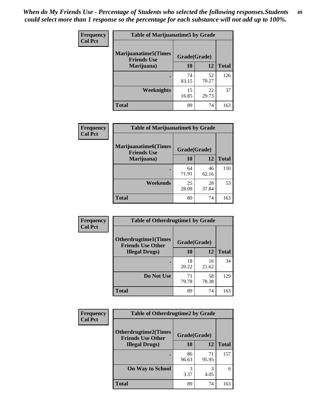| Frequency      | <b>Table of Marijuanatime5 by Grade</b>            |              |             |              |
|----------------|----------------------------------------------------|--------------|-------------|--------------|
| <b>Col Pct</b> | <b>Marijuanatime5</b> (Times<br><b>Friends Use</b> | Grade(Grade) |             |              |
|                | Marijuana)                                         | 10           | <b>12</b>   | <b>Total</b> |
|                |                                                    | 74<br>83.15  | 52<br>70.27 | 126          |
|                | Weeknights                                         | 15<br>16.85  | 22<br>29.73 | 37           |
|                | <b>Total</b>                                       | 89           | 74          | 163          |

| Frequency      | <b>Table of Marijuanatime6 by Grade</b>           |              |             |              |
|----------------|---------------------------------------------------|--------------|-------------|--------------|
| <b>Col Pct</b> | <b>Marijuanatime6(Times</b><br><b>Friends Use</b> | Grade(Grade) |             |              |
|                | Marijuana)                                        | 10           | 12          | <b>Total</b> |
|                |                                                   | 64<br>71.91  | 46<br>62.16 | 110          |
|                | Weekends                                          | 25<br>28.09  | 28<br>37.84 | 53           |
|                | <b>Total</b>                                      | 89           | 74          | 163          |

| Frequency      | <b>Table of Otherdrugtime1 by Grade</b>                 |              |             |              |
|----------------|---------------------------------------------------------|--------------|-------------|--------------|
| <b>Col Pct</b> | <b>Otherdrugtime1(Times</b><br><b>Friends Use Other</b> | Grade(Grade) |             |              |
|                | <b>Illegal Drugs</b> )                                  | 10           | 12          | <b>Total</b> |
|                |                                                         | 18<br>20.22  | 16<br>21.62 | 34           |
|                | Do Not Use                                              | 71<br>79.78  | 58<br>78.38 | 129          |
|                | <b>Total</b>                                            | 89           | 74          | 163          |

| Frequency      | <b>Table of Otherdrugtime2 by Grade</b>                 |              |             |              |  |  |
|----------------|---------------------------------------------------------|--------------|-------------|--------------|--|--|
| <b>Col Pct</b> | <b>Otherdrugtime2(Times</b><br><b>Friends Use Other</b> | Grade(Grade) |             |              |  |  |
|                | <b>Illegal Drugs</b> )                                  | 10           | 12          | <b>Total</b> |  |  |
|                |                                                         | 86<br>96.63  | 71<br>95.95 | 157          |  |  |
|                | <b>On Way to School</b>                                 | 3<br>3.37    | 3<br>4.05   | 6            |  |  |
|                | <b>Total</b>                                            | 89           | 74          | 163          |  |  |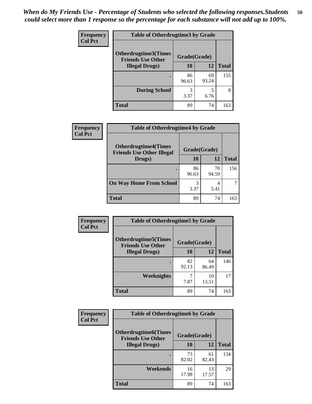| <b>Frequency</b> | <b>Table of Otherdrugtime3 by Grade</b>          |              |             |              |  |  |
|------------------|--------------------------------------------------|--------------|-------------|--------------|--|--|
| <b>Col Pct</b>   | Otherdrugtime3(Times<br><b>Friends Use Other</b> | Grade(Grade) |             |              |  |  |
|                  | <b>Illegal Drugs</b> )                           |              | 12          | <b>Total</b> |  |  |
|                  |                                                  | 86<br>96.63  | 69<br>93.24 | 155          |  |  |
|                  | <b>During School</b>                             | 3<br>3.37    | 5<br>6.76   | 8            |  |  |
|                  | <b>Total</b>                                     | 89           | 74          | 163          |  |  |

| Frequency      | <b>Table of Otherdrugtime4 by Grade</b>                         |              |             |              |  |  |
|----------------|-----------------------------------------------------------------|--------------|-------------|--------------|--|--|
| <b>Col Pct</b> | <b>Otherdrugtime4(Times</b><br><b>Friends Use Other Illegal</b> | Grade(Grade) |             |              |  |  |
|                | Drugs)                                                          | 10           | 12          | <b>Total</b> |  |  |
|                | $\bullet$                                                       | 86<br>96.63  | 70<br>94.59 | 156          |  |  |
|                | <b>On Way Home From School</b>                                  | 3<br>3.37    | 4<br>5.41   |              |  |  |
|                | <b>Total</b>                                                    | 89           | 74          | 163          |  |  |

| <b>Frequency</b> | <b>Table of Otherdrugtime5 by Grade</b>                  |              |             |              |  |  |
|------------------|----------------------------------------------------------|--------------|-------------|--------------|--|--|
| <b>Col Pct</b>   | <b>Otherdrugtime5</b> (Times<br><b>Friends Use Other</b> | Grade(Grade) |             |              |  |  |
|                  | <b>Illegal Drugs</b> )                                   | 10           | 12          | <b>Total</b> |  |  |
|                  |                                                          | 82<br>92.13  | 64<br>86.49 | 146          |  |  |
|                  | Weeknights                                               | 7.87         | 10<br>13.51 | 17           |  |  |
|                  | Total                                                    | 89           | 74          | 163          |  |  |

| <b>Frequency</b> | <b>Table of Otherdrugtime6 by Grade</b>                 |              |             |              |  |  |
|------------------|---------------------------------------------------------|--------------|-------------|--------------|--|--|
| <b>Col Pct</b>   | <b>Otherdrugtime6(Times</b><br><b>Friends Use Other</b> | Grade(Grade) |             |              |  |  |
|                  | <b>Illegal Drugs</b> )                                  | 10           | 12          | <b>Total</b> |  |  |
|                  |                                                         | 73<br>82.02  | 61<br>82.43 | 134          |  |  |
|                  | Weekends                                                | 16<br>17.98  | 13<br>17.57 | 29           |  |  |
|                  | <b>Total</b>                                            | 89           | 74          | 163          |  |  |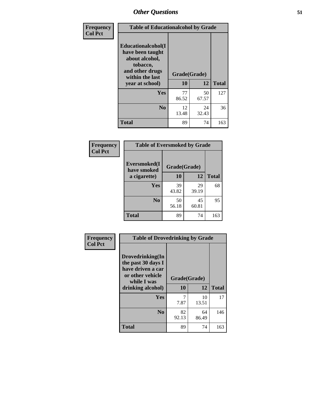| Frequency      | <b>Table of Educationalcohol by Grade</b>                                                                  |              |             |              |  |
|----------------|------------------------------------------------------------------------------------------------------------|--------------|-------------|--------------|--|
| <b>Col Pct</b> | Educationalcohol(I<br>have been taught<br>about alcohol,<br>tobacco,<br>and other drugs<br>within the last | Grade(Grade) |             |              |  |
|                | year at school)                                                                                            | 10           | 12          | <b>Total</b> |  |
|                | Yes                                                                                                        | 77<br>86.52  | 50<br>67.57 | 127          |  |
|                | N <sub>0</sub>                                                                                             | 12<br>13.48  | 24<br>32.43 | 36           |  |
|                | <b>Total</b>                                                                                               | 89           | 74          | 163          |  |

| Frequency      | <b>Table of Eversmoked by Grade</b> |              |             |              |  |  |
|----------------|-------------------------------------|--------------|-------------|--------------|--|--|
| <b>Col Pct</b> | Eversmoked(I<br>have smoked         | Grade(Grade) |             |              |  |  |
|                | a cigarette)                        | <b>10</b>    | 12          | <b>Total</b> |  |  |
|                | <b>Yes</b>                          | 39<br>43.82  | 29<br>39.19 | 68           |  |  |
|                | N <sub>0</sub>                      | 50<br>56.18  | 45<br>60.81 | 95           |  |  |
|                | <b>Total</b>                        | 89           | 74          | 163          |  |  |

| Frequency      | <b>Table of Drovedrinking by Grade</b>                                                                                                    |             |             |              |
|----------------|-------------------------------------------------------------------------------------------------------------------------------------------|-------------|-------------|--------------|
| <b>Col Pct</b> | Drovedrinking(In<br>the past 30 days I<br>have driven a car<br>or other vehicle<br>Grade(Grade)<br>while I was<br>10<br>drinking alcohol) |             | 12          | <b>Total</b> |
|                |                                                                                                                                           |             |             |              |
|                | Yes                                                                                                                                       | 7.87        | 10<br>13.51 | 17           |
|                | N <sub>0</sub>                                                                                                                            | 82<br>92.13 | 64<br>86.49 | 146          |
|                | <b>Total</b>                                                                                                                              | 89          | 74          | 163          |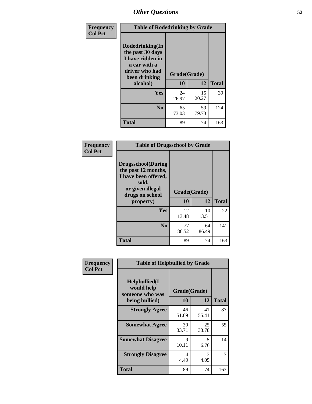| Frequency<br><b>Col Pct</b> | <b>Table of Rodedrinking by Grade</b>                                                                                  |                          |             |              |  |  |
|-----------------------------|------------------------------------------------------------------------------------------------------------------------|--------------------------|-------------|--------------|--|--|
|                             | Rodedrinking(In<br>the past 30 days<br>I have ridden in<br>a car with a<br>driver who had<br>been drinking<br>alcohol) | Grade(Grade)<br>12<br>10 |             | <b>Total</b> |  |  |
|                             |                                                                                                                        |                          |             |              |  |  |
|                             | <b>Yes</b>                                                                                                             | 24<br>26.97              | 15<br>20.27 | 39           |  |  |
|                             | N <sub>0</sub>                                                                                                         | 65<br>73.03              | 59<br>79.73 | 124          |  |  |
|                             | <b>Total</b>                                                                                                           | 89                       | 74          | 163          |  |  |

#### **Frequency Col Pct**

|                                                                                                                           | <b>Table of Drugsschool by Grade</b> |             |              |  |  |  |  |
|---------------------------------------------------------------------------------------------------------------------------|--------------------------------------|-------------|--------------|--|--|--|--|
| <b>Drugsschool</b> (During<br>the past 12 months,<br>I have been offered,<br>sold,<br>or given illegal<br>drugs on school | Grade(Grade)                         |             |              |  |  |  |  |
| property)                                                                                                                 | 10                                   | 12          | <b>Total</b> |  |  |  |  |
| Yes                                                                                                                       | 12<br>13.48                          | 10<br>13.51 | 22           |  |  |  |  |
| N <sub>0</sub>                                                                                                            | 77<br>86.52                          | 64<br>86.49 | 141          |  |  |  |  |
| Total                                                                                                                     | 89                                   | 74          | 163          |  |  |  |  |

| Frequency      | <b>Table of Helpbullied by Grade</b>                                                               |             |             |              |  |  |  |
|----------------|----------------------------------------------------------------------------------------------------|-------------|-------------|--------------|--|--|--|
| <b>Col Pct</b> | $Helpb$ ullied $(I$<br>would help<br>Grade(Grade)<br>someone who was<br>10<br>12<br>being bullied) |             |             | <b>Total</b> |  |  |  |
|                |                                                                                                    |             |             |              |  |  |  |
|                | <b>Strongly Agree</b>                                                                              | 46<br>51.69 | 41<br>55.41 | 87           |  |  |  |
|                | <b>Somewhat Agree</b>                                                                              | 30<br>33.71 | 25<br>33.78 | 55           |  |  |  |
|                | <b>Somewhat Disagree</b>                                                                           | 9<br>10.11  | 5<br>6.76   | 14           |  |  |  |
|                | <b>Strongly Disagree</b>                                                                           | 4<br>4.49   | 3<br>4.05   |              |  |  |  |
|                | <b>Total</b>                                                                                       | 89          | 74          | 163          |  |  |  |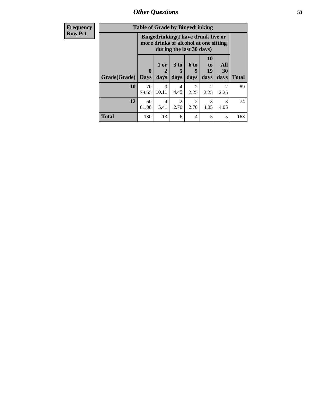*Other Questions* **53**

| <b>Frequency</b> | <b>Table of Grade by Bingedrinking</b> |                             |                                                                             |                        |                          |                               |                        |              |
|------------------|----------------------------------------|-----------------------------|-----------------------------------------------------------------------------|------------------------|--------------------------|-------------------------------|------------------------|--------------|
| <b>Row Pct</b>   |                                        |                             | Bingedrinking(I have drunk five or<br>more drinks of alcohol at one sitting |                        | during the last 30 days) |                               |                        |              |
|                  | Grade(Grade)                           | $\mathbf{0}$<br><b>Days</b> | $1$ or $\vert$<br>days                                                      | $3$ to<br>days         | <b>6 to</b><br>9<br>days | <b>10</b><br>to<br>19<br>days | All<br>30<br>days      | <b>Total</b> |
|                  | 10                                     | 70<br>78.65                 | 9<br>10.11                                                                  | 4<br>4.49              | $\mathfrak{D}$<br>2.25   | $\mathfrak{D}$<br>2.25        | $\overline{2}$<br>2.25 | 89           |
|                  | 12                                     | 60<br>81.08                 | 4<br>5.41                                                                   | $\mathfrak{D}$<br>2.70 | $\mathfrak{D}$<br>2.70   | 3<br>4.05                     | 3<br>4.05              | 74           |
|                  | <b>Total</b>                           | 130                         | 13                                                                          | 6                      | 4                        | 5                             | 5                      | 163          |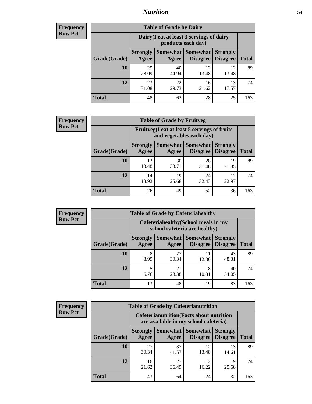### *Nutrition* **54**

| Frequency      |
|----------------|
| <b>Row Pct</b> |

| <b>Table of Grade by Dairy</b> |                          |                                                                 |                                    |                                    |              |  |  |
|--------------------------------|--------------------------|-----------------------------------------------------------------|------------------------------------|------------------------------------|--------------|--|--|
|                                |                          | Dairy (I eat at least 3 servings of dairy<br>products each day) |                                    |                                    |              |  |  |
| Grade(Grade)                   | <b>Strongly</b><br>Agree | Somewhat  <br>Agree                                             | <b>Somewhat</b><br><b>Disagree</b> | <b>Strongly</b><br><b>Disagree</b> | <b>Total</b> |  |  |
| 10                             | 25<br>28.09              | 40<br>44.94                                                     | 12<br>13.48                        | 12<br>13.48                        | 89           |  |  |
| 12                             | 23<br>31.08              | 22<br>29.73                                                     | 16<br>21.62                        | 13<br>17.57                        | 74           |  |  |
| <b>Total</b>                   | 48                       | 62                                                              | 28                                 | 25                                 | 163          |  |  |

#### **Frequency Row Pct**

| <b>Table of Grade by Fruitveg</b> |                          |                                                                          |             |                                             |              |  |
|-----------------------------------|--------------------------|--------------------------------------------------------------------------|-------------|---------------------------------------------|--------------|--|
|                                   |                          | Fruitveg(I eat at least 5 servings of fruits<br>and vegetables each day) |             |                                             |              |  |
| Grade(Grade)                      | <b>Strongly</b><br>Agree | Somewhat  <br>Agree                                                      | Somewhat    | <b>Strongly</b><br><b>Disagree</b> Disagree | <b>Total</b> |  |
| 10                                | 12<br>13.48              | 30<br>33.71                                                              | 28<br>31.46 | 19<br>21.35                                 | 89           |  |
| 12                                | 14<br>18.92              | 19<br>25.68                                                              | 24<br>32.43 | 17<br>22.97                                 | 74           |  |
| <b>Total</b>                      | 26                       | 49                                                                       | 52          | 36                                          | 163          |  |

**Frequency Row Pct**

| <b>Table of Grade by Cafeteriahealthy</b> |                          |                                                                       |                             |                                    |              |  |  |
|-------------------------------------------|--------------------------|-----------------------------------------------------------------------|-----------------------------|------------------------------------|--------------|--|--|
|                                           |                          | Cafeteriahealthy (School meals in my<br>school cafeteria are healthy) |                             |                                    |              |  |  |
| Grade(Grade)                              | <b>Strongly</b><br>Agree | Somewhat<br>Agree                                                     | <b>Somewhat</b><br>Disagree | <b>Strongly</b><br><b>Disagree</b> | <b>Total</b> |  |  |
| 10                                        | 8<br>8.99                | 27<br>30.34                                                           | 11<br>12.36                 | 43<br>48.31                        | 89           |  |  |
| 12                                        | 5<br>6.76                | 21<br>28.38                                                           | 8<br>10.81                  | 40<br>54.05                        | 74           |  |  |
| Total                                     | 13                       | 48                                                                    | 19                          | 83                                 | 163          |  |  |

**Frequency Row Pct**

| <b>Table of Grade by Cafeterianutrition</b> |                          |                                                                                           |                                   |                                    |              |  |  |
|---------------------------------------------|--------------------------|-------------------------------------------------------------------------------------------|-----------------------------------|------------------------------------|--------------|--|--|
|                                             |                          | <b>Cafeterianutrition</b> (Facts about nutrition<br>are available in my school cafeteria) |                                   |                                    |              |  |  |
| Grade(Grade)                                | <b>Strongly</b><br>Agree | Agree                                                                                     | Somewhat   Somewhat  <br>Disagree | <b>Strongly</b><br><b>Disagree</b> | <b>Total</b> |  |  |
| 10                                          | 27<br>30.34              | 37<br>41.57                                                                               | 12<br>13.48                       | 13<br>14.61                        | 89           |  |  |
| 12                                          | 16<br>21.62              | 27<br>36.49                                                                               | 12<br>16.22                       | 19<br>25.68                        | 74           |  |  |
| <b>Total</b>                                | 43                       | 64                                                                                        | 24                                | 32                                 | 163          |  |  |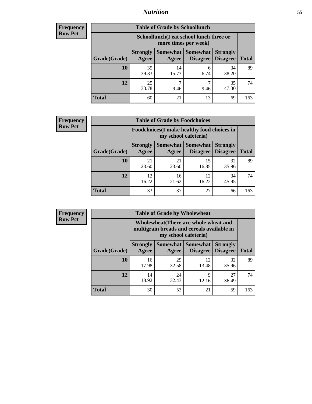### *Nutrition* **55**

| <b>Frequency</b> |
|------------------|
| Row Pct          |

| <b>Table of Grade by Schoollunch</b> |                          |                                                                 |                                      |                                    |              |  |  |
|--------------------------------------|--------------------------|-----------------------------------------------------------------|--------------------------------------|------------------------------------|--------------|--|--|
|                                      |                          | Schoollunch(I eat school lunch three or<br>more times per week) |                                      |                                    |              |  |  |
| Grade(Grade)                         | <b>Strongly</b><br>Agree | Agree                                                           | <b>Somewhat Somewhat</b><br>Disagree | <b>Strongly</b><br><b>Disagree</b> | <b>Total</b> |  |  |
| 10                                   | 35<br>39.33              | 14<br>15.73                                                     | 6<br>6.74                            | 34<br>38.20                        | 89           |  |  |
| 12                                   | 25<br>33.78              | 9.46                                                            | ℸ<br>9.46                            | 35<br>47.30                        | 74           |  |  |
| <b>Total</b>                         | 60                       | 21                                                              | 13                                   | 69                                 | 163          |  |  |

| <b>Frequency</b> |  |
|------------------|--|
| <b>Row Pct</b>   |  |

| <b>Table of Grade by Foodchoices</b>                                       |                          |             |                                        |                                    |              |  |
|----------------------------------------------------------------------------|--------------------------|-------------|----------------------------------------|------------------------------------|--------------|--|
| <b>Foodchoices</b> (I make healthy food choices in<br>my school cafeteria) |                          |             |                                        |                                    |              |  |
| Grade(Grade)                                                               | <b>Strongly</b><br>Agree | Agree       | <b>Somewhat   Somewhat</b><br>Disagree | <b>Strongly</b><br><b>Disagree</b> | <b>Total</b> |  |
| 10                                                                         | 21<br>23.60              | 21<br>23.60 | 15<br>16.85                            | 32<br>35.96                        | 89           |  |
| 12                                                                         | 12<br>16.22              | 16<br>21.62 | 12<br>16.22                            | 34<br>45.95                        | 74           |  |
| <b>Total</b>                                                               | 33                       | 37          | 27                                     | 66                                 | 163          |  |

| Frequency      | <b>Table of Grade by Wholewheat</b> |                                                                                                                    |                     |                             |                                    |              |  |  |
|----------------|-------------------------------------|--------------------------------------------------------------------------------------------------------------------|---------------------|-----------------------------|------------------------------------|--------------|--|--|
| <b>Row Pct</b> |                                     | <b>Wholewheat</b> (There are whole wheat and<br>multigrain breads and cereals available in<br>my school cafeteria) |                     |                             |                                    |              |  |  |
|                | Grade(Grade)                        | <b>Strongly</b><br>Agree                                                                                           | Somewhat  <br>Agree | <b>Somewhat</b><br>Disagree | <b>Strongly</b><br><b>Disagree</b> | <b>Total</b> |  |  |
|                | 10                                  | 16<br>17.98                                                                                                        | 29<br>32.58         | 12<br>13.48                 | 32<br>35.96                        | 89           |  |  |
|                | 12                                  | 14<br>18.92                                                                                                        | 24<br>32.43         | 9<br>12.16                  | 27<br>36.49                        | 74           |  |  |
|                | <b>Total</b>                        | 30                                                                                                                 | 53                  | 21                          | 59                                 | 163          |  |  |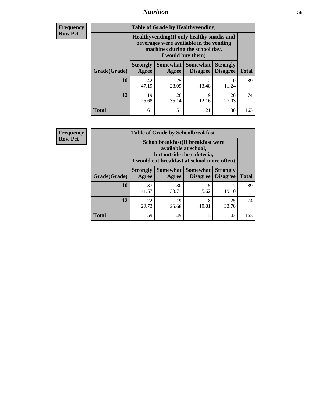### *Nutrition* **56**

**Frequency Row Pct**

| <b>Table of Grade by Healthyvending</b> |                                                                                                                                               |             |                                               |                                    |              |  |  |
|-----------------------------------------|-----------------------------------------------------------------------------------------------------------------------------------------------|-------------|-----------------------------------------------|------------------------------------|--------------|--|--|
|                                         | Healthyvending (If only healthy snacks and<br>beverages were available in the vending<br>machines during the school day,<br>I would buy them) |             |                                               |                                    |              |  |  |
| Grade(Grade)                            | <b>Strongly</b><br>Agree                                                                                                                      | Agree       | <b>Somewhat   Somewhat</b><br><b>Disagree</b> | <b>Strongly</b><br><b>Disagree</b> | <b>Total</b> |  |  |
| 10                                      | 42<br>47.19                                                                                                                                   | 25<br>28.09 | 12<br>13.48                                   | 10<br>11.24                        | 89           |  |  |
| 12                                      | 19<br>25.68                                                                                                                                   | 26<br>35.14 | 9<br>12.16                                    | 20<br>27.03                        | 74           |  |  |
| <b>Total</b>                            | 61                                                                                                                                            | 51          | 21                                            | 30                                 | 163          |  |  |

**Frequency Row Pct**

| <b>Table of Grade by Schoolbreakfast</b> |                                 |                                                                                                                                        |                                        |                                    |              |  |  |
|------------------------------------------|---------------------------------|----------------------------------------------------------------------------------------------------------------------------------------|----------------------------------------|------------------------------------|--------------|--|--|
|                                          |                                 | Schoolbreakfast(If breakfast were<br>available at school,<br>but outside the cafeteria,<br>I would eat breakfast at school more often) |                                        |                                    |              |  |  |
| Grade(Grade)                             | <b>Strongly</b><br><b>Agree</b> | Agree                                                                                                                                  | Somewhat   Somewhat<br><b>Disagree</b> | <b>Strongly</b><br><b>Disagree</b> | <b>Total</b> |  |  |
| 10                                       | 37<br>41.57                     | 30<br>33.71                                                                                                                            | 5<br>5.62                              | 17<br>19.10                        | 89           |  |  |
| 12                                       | 22<br>29.73                     | 19<br>25.68                                                                                                                            | 8<br>10.81                             | 25<br>33.78                        | 74           |  |  |
| <b>Total</b>                             | 59                              | 49                                                                                                                                     | 13                                     | 42                                 | 163          |  |  |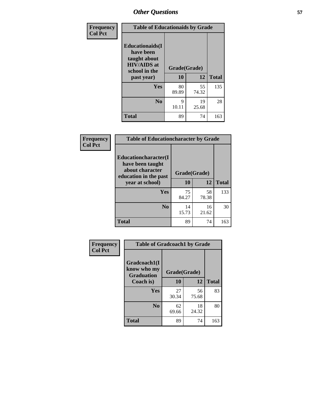| Frequency<br><b>Col Pct</b> | <b>Table of Educationaids by Grade</b>                                                                    |                    |             |              |
|-----------------------------|-----------------------------------------------------------------------------------------------------------|--------------------|-------------|--------------|
|                             | <b>Educationaids</b> (I<br>have been<br>taught about<br><b>HIV/AIDS</b> at<br>school in the<br>past year) | Grade(Grade)<br>10 | 12          | <b>Total</b> |
|                             | Yes                                                                                                       | 80<br>89.89        | 55<br>74.32 | 135          |
|                             | N <sub>0</sub>                                                                                            | 9<br>10.11         | 19<br>25.68 | 28           |
|                             | <b>Total</b>                                                                                              | 89                 | 74          | 163          |

| Frequency      | <b>Table of Educationcharacter by Grade</b>                 |              |             |              |  |
|----------------|-------------------------------------------------------------|--------------|-------------|--------------|--|
| <b>Col Pct</b> | Educationcharacter(I<br>have been taught<br>about character |              |             |              |  |
|                | education in the past                                       | Grade(Grade) |             |              |  |
|                | year at school)                                             | 10           | 12          | <b>Total</b> |  |
|                | Yes                                                         | 75<br>84.27  | 58<br>78.38 | 133          |  |
|                | N <sub>0</sub>                                              | 14<br>15.73  | 16<br>21.62 | 30           |  |
|                | <b>Total</b>                                                | 89           | 74          | 163          |  |

| Frequency      | <b>Table of Gradcoach1 by Grade</b>              |              |             |              |
|----------------|--------------------------------------------------|--------------|-------------|--------------|
| <b>Col Pct</b> | Gradcoach1(I<br>know who my<br><b>Graduation</b> | Grade(Grade) |             |              |
|                | Coach is)                                        | 10           | 12          | <b>Total</b> |
|                | Yes                                              | 27<br>30.34  | 56<br>75.68 | 83           |
|                | N <sub>0</sub>                                   | 62<br>69.66  | 18<br>24.32 | 80           |
|                | <b>Total</b>                                     | 89           | 74          | 163          |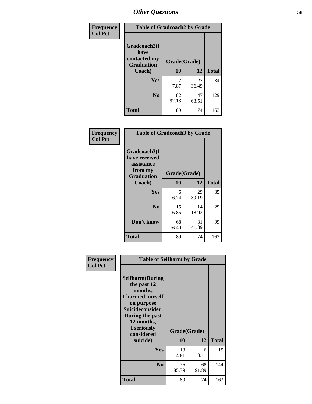| Frequency      | <b>Table of Gradcoach2 by Grade</b> |              |             |              |
|----------------|-------------------------------------|--------------|-------------|--------------|
| <b>Col Pct</b> |                                     |              |             |              |
|                | Gradcoach2(I<br>have                |              |             |              |
|                | contacted my<br><b>Graduation</b>   | Grade(Grade) |             |              |
|                | Coach)                              | 10           | 12          | <b>Total</b> |
|                | Yes                                 | 7<br>7.87    | 27<br>36.49 | 34           |
|                | N <sub>0</sub>                      | 82<br>92.13  | 47<br>63.51 | 129          |
|                | Total                               | 89           | 74          | 163          |

| <b>Frequency</b><br><b>Col Pct</b> | <b>Table of Gradcoach3 by Grade</b>                    |              |             |              |
|------------------------------------|--------------------------------------------------------|--------------|-------------|--------------|
|                                    | Gradcoach3(I<br>have received<br>assistance<br>from my | Grade(Grade) |             |              |
|                                    | <b>Graduation</b><br>Coach)                            | 10           | 12          | <b>Total</b> |
|                                    | Yes                                                    | 6<br>6.74    | 29<br>39.19 | 35           |
|                                    | N <sub>0</sub>                                         | 15<br>16.85  | 14<br>18.92 | 29           |
|                                    | Don't know                                             | 68<br>76.40  | 31<br>41.89 | 99           |
|                                    | <b>Total</b>                                           | 89           | 74          | 163          |

| Frequency      | <b>Table of Selfharm by Grade</b>                                                                                                                                                      |                    |             |              |
|----------------|----------------------------------------------------------------------------------------------------------------------------------------------------------------------------------------|--------------------|-------------|--------------|
| <b>Col Pct</b> | <b>Selfharm</b> (During<br>the past 12<br>months,<br>I harmed myself<br>on purpose<br><b>Suicideconsider</b><br>During the past<br>12 months,<br>I seriously<br>considered<br>suicide) | Grade(Grade)<br>10 | 12          | <b>Total</b> |
|                | Yes                                                                                                                                                                                    | 13<br>14.61        | 6<br>8.11   | 19           |
|                | N <sub>0</sub>                                                                                                                                                                         | 76<br>85.39        | 68<br>91.89 | 144          |
|                | <b>Total</b>                                                                                                                                                                           | 89                 | 74          | 163          |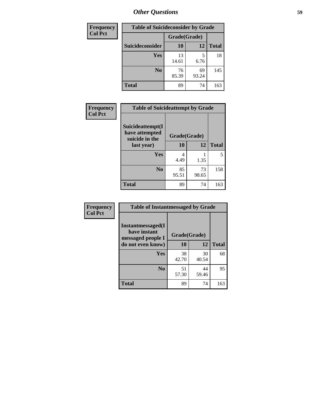| <b>Frequency</b> | <b>Table of Suicideconsider by Grade</b> |              |             |              |
|------------------|------------------------------------------|--------------|-------------|--------------|
| <b>Col Pct</b>   |                                          | Grade(Grade) |             |              |
|                  | Suicideconsider                          | <b>10</b>    | 12          | <b>Total</b> |
|                  | Yes                                      | 13<br>14.61  | 6.76        | 18           |
|                  | N <sub>0</sub>                           | 76<br>85.39  | 69<br>93.24 | 145          |
|                  | <b>Total</b>                             | 89           | 74          | 163          |

| Frequency      | <b>Table of Suicideattempt by Grade</b>              |              |             |              |
|----------------|------------------------------------------------------|--------------|-------------|--------------|
| <b>Col Pct</b> | Suicideattempt(I<br>have attempted<br>suicide in the | Grade(Grade) |             |              |
|                | last year)                                           | 10           | 12          | <b>Total</b> |
|                | Yes                                                  | 4<br>4.49    | 1.35        | 5            |
|                | N <sub>0</sub>                                       | 85<br>95.51  | 73<br>98.65 | 158          |
|                | <b>Total</b>                                         | 89           | 74          | 163          |

| Frequency      | <b>Table of Instantmessaged by Grade</b>               |              |             |              |
|----------------|--------------------------------------------------------|--------------|-------------|--------------|
| <b>Col Pct</b> | Instantmessaged(I<br>have instant<br>messaged people I | Grade(Grade) |             |              |
|                | do not even know)                                      | 10           | 12          | <b>Total</b> |
|                | Yes                                                    | 38<br>42.70  | 30<br>40.54 | 68           |
|                | N <sub>0</sub>                                         | 51<br>57.30  | 44<br>59.46 | 95           |
|                | <b>Total</b>                                           | 89           | 74          | 163          |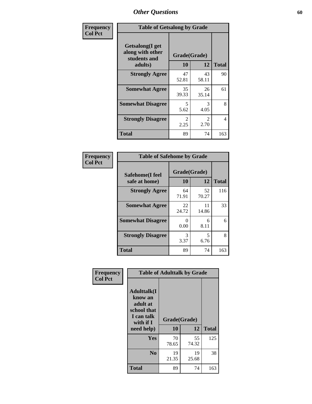| Frequency      | <b>Table of Getsalong by Grade</b>                          |                       |                       |              |
|----------------|-------------------------------------------------------------|-----------------------|-----------------------|--------------|
| <b>Col Pct</b> | <b>Getsalong</b> (I get<br>along with other<br>students and | Grade(Grade)          |                       |              |
|                | adults)                                                     | 10                    | 12                    | <b>Total</b> |
|                | <b>Strongly Agree</b>                                       | 47<br>52.81           | 43<br>58.11           | 90           |
|                | <b>Somewhat Agree</b>                                       | 35<br>39.33           | 26<br>35.14           | 61           |
|                | <b>Somewhat Disagree</b>                                    | 5<br>5.62             | 3<br>4.05             | 8            |
|                | <b>Strongly Disagree</b>                                    | $\mathcal{L}$<br>2.25 | $\mathcal{L}$<br>2.70 | 4            |
|                | <b>Total</b>                                                | 89                    | 74                    | 163          |

| Frequency      | <b>Table of Safehome by Grade</b> |                           |             |              |  |
|----------------|-----------------------------------|---------------------------|-------------|--------------|--|
| <b>Col Pct</b> | Safehome(I feel<br>safe at home)  | Grade(Grade)<br><b>10</b> | 12          | <b>Total</b> |  |
|                | <b>Strongly Agree</b>             | 64<br>71.91               | 52<br>70.27 | 116          |  |
|                | <b>Somewhat Agree</b>             | 22<br>24.72               | 11<br>14.86 | 33           |  |
|                | <b>Somewhat Disagree</b>          | 0<br>0.00                 | 6<br>8.11   | 6            |  |
|                | <b>Strongly Disagree</b>          | 3<br>3.37                 | 5<br>6.76   | 8            |  |
|                | Total                             | 89                        | 74          | 163          |  |

| Frequency      | <b>Table of Adulttalk by Grade</b>                                                   |              |             |              |
|----------------|--------------------------------------------------------------------------------------|--------------|-------------|--------------|
| <b>Col Pct</b> | <b>Adulttalk</b> (I<br>know an<br>adult at<br>school that<br>I can talk<br>with if I | Grade(Grade) |             |              |
|                | need help)                                                                           | 10           | 12          | <b>Total</b> |
|                | <b>Yes</b>                                                                           | 70<br>78.65  | 55<br>74.32 | 125          |
|                | N <sub>0</sub>                                                                       | 19<br>21.35  | 19<br>25.68 | 38           |
|                | <b>Total</b>                                                                         | 89           | 74          | 163          |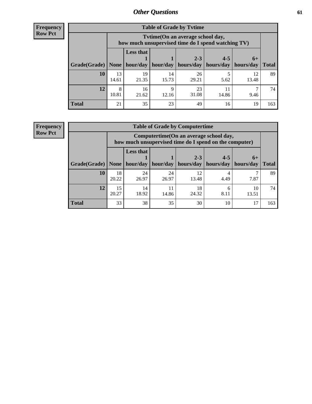**Frequency Row Pct**

| <b>Table of Grade by Tvtime</b> |             |                                                                                        |                     |             |           |             |              |  |  |
|---------------------------------|-------------|----------------------------------------------------------------------------------------|---------------------|-------------|-----------|-------------|--------------|--|--|
|                                 |             | Tvtime(On an average school day,<br>how much unsupervised time do I spend watching TV) |                     |             |           |             |              |  |  |
|                                 |             | <b>Less that</b>                                                                       |                     | $2 - 3$     | $4 - 5$   | $6+$        |              |  |  |
| Grade(Grade)   None             |             |                                                                                        | hour/day   hour/day | hours/day   | hours/day | hours/day   | <b>Total</b> |  |  |
| 10                              | 13<br>14.61 | 19<br>21.35                                                                            | 14<br>15.73         | 26<br>29.21 | 5.62      | 12<br>13.48 | 89           |  |  |
| 12                              | 8<br>10.81  | 16<br>21.62                                                                            | Q<br>12.16          | 23<br>31.08 | 14.86     | 9.46        | 74           |  |  |
| <b>Total</b>                    | 21          | 35                                                                                     | 23                  | 49          | 16        | 19          | 163          |  |  |

**Frequency Row Pct**

| <b>Table of Grade by Computertime</b> |             |                                                                                                                                                                                                                                   |             |             |           |      |     |  |  |
|---------------------------------------|-------------|-----------------------------------------------------------------------------------------------------------------------------------------------------------------------------------------------------------------------------------|-------------|-------------|-----------|------|-----|--|--|
|                                       |             | Computertime(On an average school day,<br>how much unsupervised time do I spend on the computer)<br><b>Less that</b><br>$2 - 3$<br>$4 - 5$<br>$6+$<br>hour/day<br>hours/day<br>hours/day<br>hour/day<br>hours/day<br><b>Total</b> |             |             |           |      |     |  |  |
| Grade(Grade)                          | None $ $    |                                                                                                                                                                                                                                   |             |             |           |      |     |  |  |
| 10                                    | 18<br>20.22 | 24<br>26.97                                                                                                                                                                                                                       | 24<br>26.97 | 12<br>13.48 | 4<br>4.49 | 7.87 | 89  |  |  |
| 12                                    | 15<br>20.27 | 18<br>14<br>10<br>11<br>6<br>18.92<br>24.32<br>8.11<br>14.86<br>13.51                                                                                                                                                             |             |             |           |      |     |  |  |
| <b>Total</b>                          | 33          | 38                                                                                                                                                                                                                                | 35          | 30          | 10        | 17   | 163 |  |  |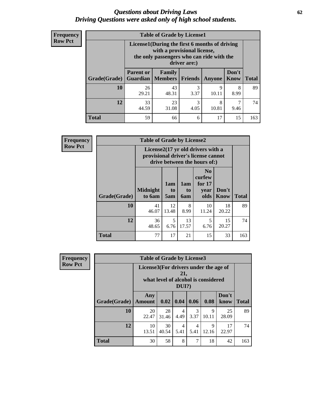#### *Questions about Driving Laws* **62** *Driving Questions were asked only of high school students.*

| <b>Frequency</b> |
|------------------|
| <b>Row Pct</b>   |

| <b>Table of Grade by License1</b> |                                                               |                                                                                                                                           |                |               |                      |              |  |  |  |
|-----------------------------------|---------------------------------------------------------------|-------------------------------------------------------------------------------------------------------------------------------------------|----------------|---------------|----------------------|--------------|--|--|--|
|                                   |                                                               | License1(During the first 6 months of driving<br>with a provisional license,<br>the only passengers who can ride with the<br>driver are:) |                |               |                      |              |  |  |  |
| Grade(Grade)                      | <b>Parent or</b><br>Guardian                                  | <b>Family</b><br>  Members                                                                                                                | <b>Friends</b> | <b>Anyone</b> | Don't<br><b>Know</b> | <b>Total</b> |  |  |  |
| 10                                | 26<br>29.21                                                   | 43<br>48.31                                                                                                                               | 3<br>3.37      | 9<br>10.11    | 8<br>8.99            | 89           |  |  |  |
| 12                                | 33<br>3<br>8<br>23<br>4.05<br>44.59<br>31.08<br>10.81<br>9.46 |                                                                                                                                           |                |               |                      |              |  |  |  |
| <b>Total</b>                      | 59                                                            | 66                                                                                                                                        | 6              | 17            | 15                   | 163          |  |  |  |

| <b>Frequency</b> |              | <b>Table of Grade by License2</b>                                                                        |                  |                  |                                                      |                      |              |  |  |  |
|------------------|--------------|----------------------------------------------------------------------------------------------------------|------------------|------------------|------------------------------------------------------|----------------------|--------------|--|--|--|
| <b>Row Pct</b>   |              | License2(17 yr old drivers with a<br>provisional driver's license cannot<br>drive between the hours of:) |                  |                  |                                                      |                      |              |  |  |  |
|                  | Grade(Grade) | <b>Midnight</b><br>to 6am                                                                                | 1am<br>to<br>5am | 1am<br>to<br>6am | N <sub>0</sub><br>curfew<br>for $17$<br>year<br>olds | Don't<br><b>Know</b> | <b>Total</b> |  |  |  |
|                  | 10           | 41<br>46.07                                                                                              | 12<br>13.48      | 8<br>8.99        | 10<br>11.24                                          | 18<br>20.22          | 89           |  |  |  |
|                  | 12           | 36<br>48.65                                                                                              | 5<br>6.76        | 13<br>17.57      | 5<br>6.76                                            | 15<br>20.27          | 74           |  |  |  |
|                  | <b>Total</b> | 77                                                                                                       | 17               | 21               | 15                                                   | 33                   | 163          |  |  |  |

| Frequency      |              | <b>Table of Grade by License3</b>     |                                     |              |                       |                      |               |              |  |
|----------------|--------------|---------------------------------------|-------------------------------------|--------------|-----------------------|----------------------|---------------|--------------|--|
| <b>Row Pct</b> |              | License3(For drivers under the age of | what level of alcohol is considered | 21,<br>DUI?) |                       |                      |               |              |  |
|                | Grade(Grade) | Any<br><b>Amount</b>                  | 0.02   0.04                         |              | 0.06                  | 0.08                 | Don't<br>know | <b>Total</b> |  |
|                | 10           | 20<br>22.47                           | 28<br>31.46                         | 4<br>4.49    | $\mathcal{F}$<br>3.37 | $\mathbf Q$<br>10.11 | 25<br>28.09   | 89           |  |
|                | 12           | 10<br>13.51                           | 30<br>40.54                         | 4<br>5.41    | 4<br>5.41             | Q<br>12.16           | 17<br>22.97   | 74           |  |
|                | <b>Total</b> | 30                                    | 58                                  | 8            | ┑                     | 18                   | 42            | 163          |  |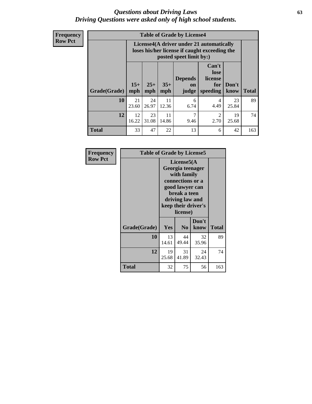#### *Questions about Driving Laws* **63** *Driving Questions were asked only of high school students.*

**Frequency Row Pct**

| <b>Table of Grade by License4</b> |             |                                                                                                                                                                                                                                                                                       |             |           |                        |             |     |  |  |
|-----------------------------------|-------------|---------------------------------------------------------------------------------------------------------------------------------------------------------------------------------------------------------------------------------------------------------------------------------------|-------------|-----------|------------------------|-------------|-----|--|--|
|                                   |             | License4(A driver under 21 automatically<br>loses his/her license if caught exceeding the<br>posted speet limit by:)<br>Can't<br>lose<br><b>Depends</b><br>license<br>$15+$<br>$25+$<br>$35+$<br>Don't<br>for<br><b>on</b><br><b>Total</b><br>speeding<br>mph<br>mph<br>know<br>judge |             |           |                        |             |     |  |  |
| Grade(Grade)                      | mph         |                                                                                                                                                                                                                                                                                       |             |           |                        |             |     |  |  |
| 10                                | 21<br>23.60 | 24<br>26.97                                                                                                                                                                                                                                                                           | 11<br>12.36 | 6<br>6.74 | 4<br>4.49              | 23<br>25.84 | 89  |  |  |
| 12                                | 12<br>16.22 | 23<br>31.08                                                                                                                                                                                                                                                                           | 11<br>14.86 | 7<br>9.46 | $\mathfrak{D}$<br>2.70 | 19<br>25.68 | 74  |  |  |
| <b>Total</b>                      | 33          | 47                                                                                                                                                                                                                                                                                    | 22          | 13        | 6                      | 42          | 163 |  |  |

| Frequency      | <b>Table of Grade by License5</b> |             |                                                                                                                                      |                     |              |
|----------------|-----------------------------------|-------------|--------------------------------------------------------------------------------------------------------------------------------------|---------------------|--------------|
| <b>Row Pct</b> |                                   |             | License5(A)<br>Georgia teenager<br>with family<br>connections or a<br>good lawyer can<br>break a teen<br>driving law and<br>license) | keep their driver's |              |
|                | Grade(Grade)                      | Yes         | N <sub>0</sub>                                                                                                                       | Don't<br>know       | <b>Total</b> |
|                | 10                                | 13<br>14.61 | 44<br>49.44                                                                                                                          | 32<br>35.96         | 89           |
|                | 12                                | 19<br>25.68 | 31<br>41.89                                                                                                                          | 24<br>32.43         | 74           |
|                | <b>Total</b>                      | 32          | 75                                                                                                                                   | 56                  | 163          |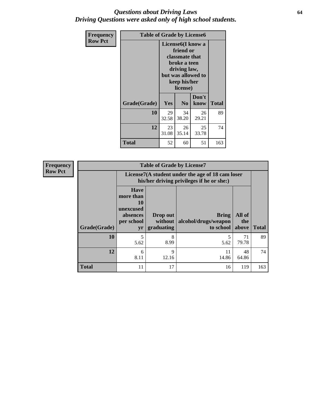### *Questions about Driving Laws* **64** *Driving Questions were asked only of high school students.*

| <b>Frequency</b> | <b>Table of Grade by License6</b> |             |                                                                                                                           |                    |              |
|------------------|-----------------------------------|-------------|---------------------------------------------------------------------------------------------------------------------------|--------------------|--------------|
| <b>Row Pct</b>   |                                   |             | License <sub>6</sub> (I know a<br>friend or<br>classmate that<br>broke a teen<br>driving law,<br>keep his/her<br>license) | but was allowed to |              |
|                  | Grade(Grade)                      | <b>Yes</b>  | N <sub>0</sub>                                                                                                            | Don't<br>know      | <b>Total</b> |
|                  | 10                                | 29<br>32.58 | 34<br>38.20                                                                                                               | 26<br>29.21        | 89           |
|                  | 12                                | 23<br>31.08 | 26<br>35.14                                                                                                               | 25<br>33.78        | 74           |
|                  | <b>Total</b>                      | 52          | 60                                                                                                                        | 51                 | 163          |

| <b>Frequency</b> | <b>Table of Grade by License7</b> |                                                                             |                                   |                                                                                               |                        |              |  |  |  |
|------------------|-----------------------------------|-----------------------------------------------------------------------------|-----------------------------------|-----------------------------------------------------------------------------------------------|------------------------|--------------|--|--|--|
| <b>Row Pct</b>   |                                   |                                                                             |                                   | License7(A student under the age of 18 cam loser<br>his/her driving privileges if he or she:) |                        |              |  |  |  |
|                  | Grade(Grade)                      | <b>Have</b><br>more than<br>10<br>unexcused<br>absences<br>per school<br>yr | Drop out<br>without<br>graduating | Bring<br>alcohol/drugs/weapon<br>to school                                                    | All of<br>the<br>above | <b>Total</b> |  |  |  |
|                  | 10                                | 5<br>5.62                                                                   | 8<br>8.99                         | 5.62                                                                                          | 71<br>79.78            | 89           |  |  |  |
|                  | 12                                | 6<br>8.11                                                                   | 9<br>12.16                        | 11<br>14.86                                                                                   | 48<br>64.86            | 74           |  |  |  |
|                  | <b>Total</b>                      | 11                                                                          | 17                                | 16                                                                                            | 119                    | 163          |  |  |  |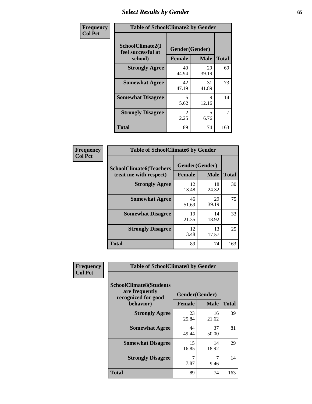# *Select Results by Gender* **65**

| Frequency      | <b>Table of SchoolClimate2 by Gender</b>          |                                 |             |              |  |  |
|----------------|---------------------------------------------------|---------------------------------|-------------|--------------|--|--|
| <b>Col Pct</b> | SchoolClimate2(I<br>feel successful at<br>school) | Gender(Gender)<br><b>Female</b> | <b>Male</b> | <b>Total</b> |  |  |
|                | <b>Strongly Agree</b>                             | 40<br>44.94                     | 29<br>39.19 | 69           |  |  |
|                | <b>Somewhat Agree</b>                             | 42<br>47.19                     | 31<br>41.89 | 73           |  |  |
|                | <b>Somewhat Disagree</b>                          | 5<br>5.62                       | 9<br>12.16  | 14           |  |  |
|                | <b>Strongly Disagree</b>                          | $\mathcal{L}$<br>2.25           | 5<br>6.76   | 7            |  |  |
|                | <b>Total</b>                                      | 89                              | 74          | 163          |  |  |

| Frequency      | <b>Table of SchoolClimate6 by Gender</b>                 |                          |             |              |  |  |  |
|----------------|----------------------------------------------------------|--------------------------|-------------|--------------|--|--|--|
| <b>Col Pct</b> | <b>SchoolClimate6(Teachers</b><br>treat me with respect) | Gender(Gender)<br>Female | <b>Male</b> | <b>Total</b> |  |  |  |
|                | <b>Strongly Agree</b>                                    | 12<br>13.48              | 18<br>24.32 | 30           |  |  |  |
|                | <b>Somewhat Agree</b>                                    | 46<br>51.69              | 29<br>39.19 | 75           |  |  |  |
|                | <b>Somewhat Disagree</b>                                 | 19<br>21.35              | 14<br>18.92 | 33           |  |  |  |
|                | <b>Strongly Disagree</b>                                 | 12<br>13.48              | 13<br>17.57 | 25           |  |  |  |
|                | Total                                                    | 89                       | 74          | 163          |  |  |  |

| Frequency      | <b>Table of SchoolClimate8 by Gender</b>                                             |               |                               |              |  |
|----------------|--------------------------------------------------------------------------------------|---------------|-------------------------------|--------------|--|
| <b>Col Pct</b> | <b>SchoolClimate8(Students</b><br>are frequently<br>recognized for good<br>behavior) | <b>Female</b> | Gender(Gender)<br><b>Male</b> | <b>Total</b> |  |
|                | <b>Strongly Agree</b>                                                                | 23<br>25.84   | 16<br>21.62                   | 39           |  |
|                | <b>Somewhat Agree</b>                                                                | 44<br>49.44   | 37<br>50.00                   | 81           |  |
|                | <b>Somewhat Disagree</b>                                                             | 15<br>16.85   | 14<br>18.92                   | 29           |  |
|                | <b>Strongly Disagree</b>                                                             | 7<br>7.87     | 7<br>9.46                     | 14           |  |
|                | Total                                                                                | 89            | 74                            | 163          |  |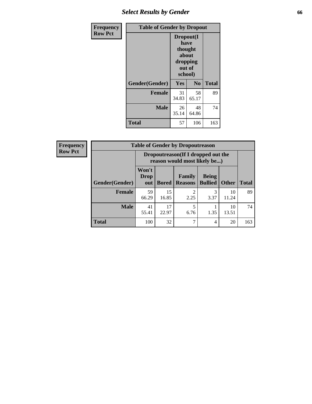# *Select Results by Gender* **66**

| Frequency      | <b>Table of Gender by Dropout</b> |                                                                        |                |              |
|----------------|-----------------------------------|------------------------------------------------------------------------|----------------|--------------|
| <b>Row Pct</b> |                                   | Dropout(I<br>have<br>thought<br>about<br>dropping<br>out of<br>school) |                |              |
|                | Gender(Gender)                    | Yes                                                                    | N <sub>0</sub> | <b>Total</b> |
|                | <b>Female</b>                     | 31<br>34.83                                                            | 58<br>65.17    | 89           |
|                | <b>Male</b>                       | 26<br>35.14                                                            | 48<br>64.86    | 74           |
|                | <b>Total</b>                      | 57                                                                     | 106            | 163          |

| <b>Frequency</b> |                | <b>Table of Gender by Dropoutreason</b>                             |              |                          |                                |              |              |
|------------------|----------------|---------------------------------------------------------------------|--------------|--------------------------|--------------------------------|--------------|--------------|
| <b>Row Pct</b>   |                | Dropoutreason (If I dropped out the<br>reason would most likely be) |              |                          |                                |              |              |
|                  | Gender(Gender) | Won't<br><b>Drop</b><br>out                                         | <b>Bored</b> | Family<br><b>Reasons</b> | <b>Being</b><br><b>Bullied</b> | <b>Other</b> | <b>Total</b> |
|                  | <b>Female</b>  | 59<br>66.29                                                         | 15<br>16.85  | っ<br>2.25                | 3.37                           | 10<br>11.24  | 89           |
|                  | <b>Male</b>    | 41<br>55.41                                                         | 17<br>22.97  | 6.76                     | 1.35                           | 10<br>13.51  | 74           |
|                  | <b>Total</b>   | 100                                                                 | 32           | ⇁                        | 4                              | 20           | 163          |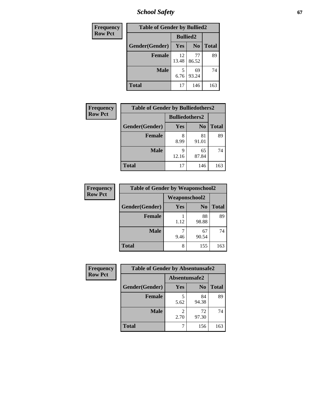*School Safety* **67**

| Frequency      | <b>Table of Gender by Bullied2</b> |                 |                |              |
|----------------|------------------------------------|-----------------|----------------|--------------|
| <b>Row Pct</b> |                                    | <b>Bullied2</b> |                |              |
|                | Gender(Gender)                     | Yes             | N <sub>0</sub> | <b>Total</b> |
|                | <b>Female</b>                      | 12<br>13.48     | 77<br>86.52    | 89           |
|                | <b>Male</b>                        | 5<br>6.76       | 69<br>93.24    | 74           |
|                | <b>Total</b>                       | 17              | 146            | 163          |

| Frequency      | <b>Table of Gender by Bulliedothers2</b> |                       |                |              |
|----------------|------------------------------------------|-----------------------|----------------|--------------|
| <b>Row Pct</b> |                                          | <b>Bulliedothers2</b> |                |              |
|                | Gender(Gender)                           | <b>Yes</b>            | N <sub>0</sub> | <b>Total</b> |
|                | <b>Female</b>                            | 8<br>8.99             | 81<br>91.01    | 89           |
|                | <b>Male</b>                              | Q<br>12.16            | 65<br>87.84    | 74           |
|                | <b>Total</b>                             | 17                    | 146            | 163          |

| Frequency      | <b>Table of Gender by Weaponschool2</b> |                      |                |              |
|----------------|-----------------------------------------|----------------------|----------------|--------------|
| <b>Row Pct</b> |                                         | <b>Weaponschool2</b> |                |              |
|                | Gender(Gender)                          | <b>Yes</b>           | N <sub>0</sub> | <b>Total</b> |
|                | <b>Female</b>                           | 1.12                 | 88<br>98.88    | 89           |
|                | <b>Male</b>                             | 9.46                 | 67<br>90.54    | 74           |
|                | <b>Total</b>                            | 8                    | 155            | 163          |

| Frequency      | <b>Table of Gender by Absentunsafe2</b> |               |                |              |
|----------------|-----------------------------------------|---------------|----------------|--------------|
| <b>Row Pct</b> |                                         | Absentunsafe2 |                |              |
|                | Gender(Gender)                          | Yes           | N <sub>0</sub> | <b>Total</b> |
|                | <b>Female</b>                           | 5.62          | 84<br>94.38    | 89           |
|                | <b>Male</b>                             | 2.70          | 72<br>97.30    | 74           |
|                | <b>Total</b>                            |               | 156            | 163          |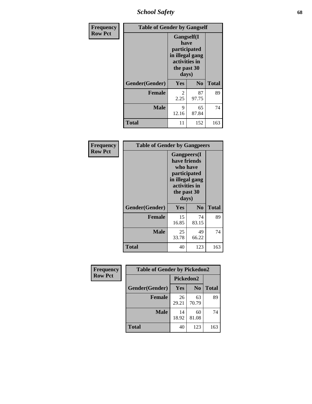*School Safety* **68**

| Frequency      | <b>Table of Gender by Gangself</b> |                                                                                                |                |              |
|----------------|------------------------------------|------------------------------------------------------------------------------------------------|----------------|--------------|
| <b>Row Pct</b> |                                    | Gangself(I<br>have<br>participated<br>in illegal gang<br>activities in<br>the past 30<br>days) |                |              |
|                | Gender(Gender)                     | Yes                                                                                            | N <sub>0</sub> | <b>Total</b> |
|                | <b>Female</b>                      | 2<br>2.25                                                                                      | 87<br>97.75    | 89           |
|                | <b>Male</b>                        | 9<br>12.16                                                                                     | 65<br>87.84    | 74           |
|                | <b>Total</b>                       | 11                                                                                             | 152            | 163          |

| Frequency      |                | <b>Table of Gender by Gangpeers</b>                                                                                         |                |              |
|----------------|----------------|-----------------------------------------------------------------------------------------------------------------------------|----------------|--------------|
| <b>Row Pct</b> |                | <b>Gangpeers</b> (I<br>have friends<br>who have<br>participated<br>in illegal gang<br>activities in<br>the past 30<br>days) |                |              |
|                | Gender(Gender) | Yes                                                                                                                         | N <sub>0</sub> | <b>Total</b> |
|                | <b>Female</b>  | 15<br>16.85                                                                                                                 | 74<br>83.15    | 89           |
|                | <b>Male</b>    | 25<br>33.78                                                                                                                 | 49<br>66.22    | 74           |
|                | <b>Total</b>   | 40                                                                                                                          | 123            | 163          |

| Frequency      | <b>Table of Gender by Pickedon2</b> |             |                |              |
|----------------|-------------------------------------|-------------|----------------|--------------|
| <b>Row Pct</b> |                                     | Pickedon2   |                |              |
|                | Gender(Gender)                      | <b>Yes</b>  | N <sub>0</sub> | <b>Total</b> |
|                | <b>Female</b>                       | 26<br>29.21 | 63<br>70.79    | 89           |
|                | <b>Male</b>                         | 14<br>18.92 | 60<br>81.08    | 74           |
|                | <b>Total</b>                        | 40          | 123            | 163          |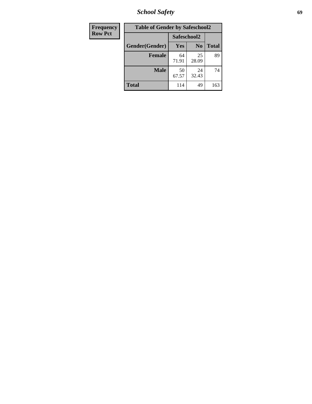*School Safety* **69**

| Frequency      | <b>Table of Gender by Safeschool2</b> |             |                |              |
|----------------|---------------------------------------|-------------|----------------|--------------|
| <b>Row Pct</b> |                                       | Safeschool2 |                |              |
|                | Gender(Gender)                        | Yes         | N <sub>0</sub> | <b>Total</b> |
|                | <b>Female</b>                         | 64<br>71.91 | 25<br>28.09    | 89           |
|                | <b>Male</b>                           | 50<br>67.57 | 24<br>32.43    | 74           |
|                | <b>Total</b>                          | 114         | 49             | 163          |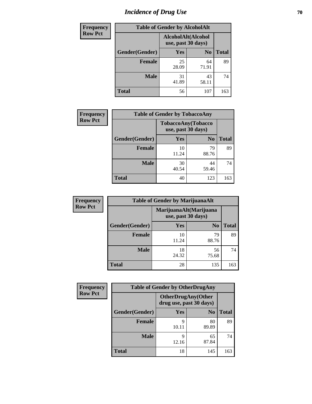# *Incidence of Drug Use* **70**

| <b>Frequency</b> | <b>Table of Gender by AlcoholAlt</b> |                                          |                |              |  |
|------------------|--------------------------------------|------------------------------------------|----------------|--------------|--|
| <b>Row Pct</b>   |                                      | AlcoholAlt(Alcohol<br>use, past 30 days) |                |              |  |
|                  | Gender(Gender)                       | <b>Yes</b>                               | N <sub>0</sub> | <b>Total</b> |  |
|                  | <b>Female</b>                        | 25<br>28.09                              | 64<br>71.91    | 89           |  |
|                  | <b>Male</b>                          | 31<br>41.89                              | 43<br>58.11    | 74           |  |
|                  | <b>Total</b>                         | 56                                       | 107            | 163          |  |

| <b>Frequency</b> | <b>Table of Gender by TobaccoAny</b> |                                          |                |              |
|------------------|--------------------------------------|------------------------------------------|----------------|--------------|
| <b>Row Pct</b>   |                                      | TobaccoAny(Tobacco<br>use, past 30 days) |                |              |
|                  | Gender(Gender)                       | Yes                                      | N <sub>0</sub> | <b>Total</b> |
|                  | <b>Female</b>                        | 10<br>11.24                              | 79<br>88.76    | 89           |
|                  | <b>Male</b>                          | 30<br>40.54                              | 44<br>59.46    | 74           |
|                  | <b>Total</b>                         | 40                                       | 123            | 163          |

| <b>Frequency</b> | <b>Table of Gender by MarijuanaAlt</b> |                                              |                |              |
|------------------|----------------------------------------|----------------------------------------------|----------------|--------------|
| <b>Row Pct</b>   |                                        | MarijuanaAlt(Marijuana<br>use, past 30 days) |                |              |
|                  | Gender(Gender)                         | <b>Yes</b>                                   | N <sub>0</sub> | <b>Total</b> |
|                  | Female                                 | 10<br>11.24                                  | 79<br>88.76    | 89           |
|                  | <b>Male</b>                            | 18<br>24.32                                  | 56<br>75.68    | 74           |
|                  | <b>Total</b>                           | 28                                           | 135            | 163          |

| <b>Frequency</b> | <b>Table of Gender by OtherDrugAny</b> |                                                      |                |              |
|------------------|----------------------------------------|------------------------------------------------------|----------------|--------------|
| <b>Row Pct</b>   |                                        | <b>OtherDrugAny(Other</b><br>drug use, past 30 days) |                |              |
|                  | Gender(Gender)                         | <b>Yes</b>                                           | N <sub>0</sub> | <b>Total</b> |
|                  | <b>Female</b>                          | 9<br>10.11                                           | 80<br>89.89    | 89           |
|                  | <b>Male</b>                            | 9<br>12.16                                           | 65<br>87.84    | 74           |
|                  | <b>Total</b>                           | 18                                                   | 145            | 163          |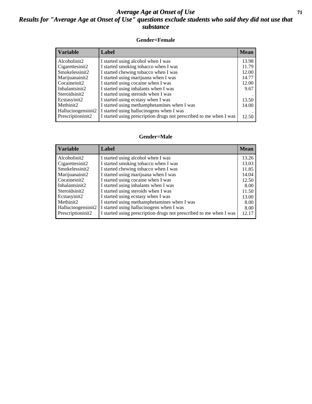### *Average Age at Onset of Use* **71** *Results for "Average Age at Onset of Use" questions exclude students who said they did not use that substance*

#### **Gender=Female**

| <b>Variable</b>    | <b>Label</b>                                                       | <b>Mean</b> |
|--------------------|--------------------------------------------------------------------|-------------|
| Alcoholinit2       | I started using alcohol when I was                                 | 13.98       |
| Cigarettesinit2    | I started smoking tobacco when I was                               | 11.79       |
| Smokelessinit2     | I started chewing tobacco when I was                               | 12.00       |
| Marijuanainit2     | I started using marijuana when I was                               | 14.77       |
| Cocaineinit2       | I started using cocaine when I was                                 | 12.00       |
| Inhalantsinit2     | I started using inhalants when I was                               | 9.67        |
| Steroidsinit2      | I started using steroids when I was                                |             |
| Ecstasyinit2       | I started using ecstasy when I was                                 | 13.50       |
| Methinit2          | I started using methamphetamines when I was                        | 14.00       |
| Hallucinogensinit2 | I started using hallucinogens when I was                           |             |
| Prescription in t2 | I started using prescription drugs not prescribed to me when I was | 12.50       |

#### **Gender=Male**

| <b>Variable</b>    | Label                                                              | <b>Mean</b> |
|--------------------|--------------------------------------------------------------------|-------------|
| Alcoholinit2       | I started using alcohol when I was                                 | 13.26       |
| Cigarettesinit2    | I started smoking tobacco when I was                               | 13.03       |
| Smokelessinit2     | I started chewing tobacco when I was                               | 11.85       |
| Marijuanainit2     | I started using marijuana when I was                               | 14.04       |
| Cocaineinit2       | I started using cocaine when I was                                 | 12.50       |
| Inhalantsinit2     | I started using inhalants when I was                               | 8.00        |
| Steroidsinit2      | I started using steroids when I was                                | 11.50       |
| Ecstasyinit2       | I started using ecstasy when I was                                 | 13.00       |
| Methinit2          | I started using methamphetamines when I was                        | 8.00        |
| Hallucinogensinit2 | I started using hallucinogens when I was                           | 8.00        |
| Prescription in t2 | I started using prescription drugs not prescribed to me when I was | 12.17       |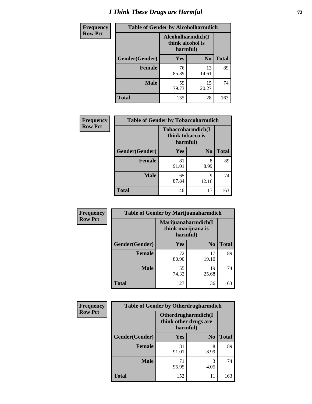# *I Think These Drugs are Harmful* **72**

| <b>Frequency</b> |                | <b>Table of Gender by Alcoholharmdich</b>         |                |              |
|------------------|----------------|---------------------------------------------------|----------------|--------------|
| <b>Row Pct</b>   |                | Alcoholharmdich(I<br>think alcohol is<br>harmful) |                |              |
|                  | Gender(Gender) | <b>Yes</b>                                        | N <sub>0</sub> | <b>Total</b> |
|                  | Female         | 76<br>85.39                                       | 13<br>14.61    | 89           |
|                  | <b>Male</b>    | 59<br>79.73                                       | 15<br>20.27    | 74           |
|                  | <b>Total</b>   | 135                                               | 28             | 163          |

| Frequency      | <b>Table of Gender by Tobaccoharmdich</b> |                                                   |                |              |
|----------------|-------------------------------------------|---------------------------------------------------|----------------|--------------|
| <b>Row Pct</b> |                                           | Tobaccoharmdich(I<br>think tobacco is<br>harmful) |                |              |
|                | Gender(Gender)                            | Yes                                               | N <sub>0</sub> | <b>Total</b> |
|                | <b>Female</b>                             | 81<br>91.01                                       | 8<br>8.99      | 89           |
|                | <b>Male</b>                               | 65<br>87.84                                       | 9<br>12.16     | 74           |
|                | Total                                     | 146                                               | 17             | 163          |

| Frequency      | <b>Table of Gender by Marijuanaharmdich</b> |                                                       |                |              |
|----------------|---------------------------------------------|-------------------------------------------------------|----------------|--------------|
| <b>Row Pct</b> |                                             | Marijuanaharmdich(I<br>think marijuana is<br>harmful) |                |              |
|                | Gender(Gender)                              | <b>Yes</b>                                            | N <sub>0</sub> | <b>Total</b> |
|                | <b>Female</b>                               | 72<br>80.90                                           | 17<br>19.10    | 89           |
|                | <b>Male</b>                                 | 55<br>74.32                                           | 19<br>25.68    | 74           |
|                | <b>Total</b>                                | 127                                                   | 36             | 163          |

| Frequency      | <b>Table of Gender by Otherdrugharmdich</b> |                                                          |                |              |
|----------------|---------------------------------------------|----------------------------------------------------------|----------------|--------------|
| <b>Row Pct</b> |                                             | Otherdrugharmdich(I<br>think other drugs are<br>harmful) |                |              |
|                | Gender(Gender)                              | <b>Yes</b>                                               | N <sub>0</sub> | <b>Total</b> |
|                | <b>Female</b>                               | 81<br>91.01                                              | 8<br>8.99      | 89           |
|                | <b>Male</b>                                 | 71<br>95.95                                              | 3<br>4.05      | 74           |
|                | <b>Total</b>                                | 152                                                      | 11             | 163          |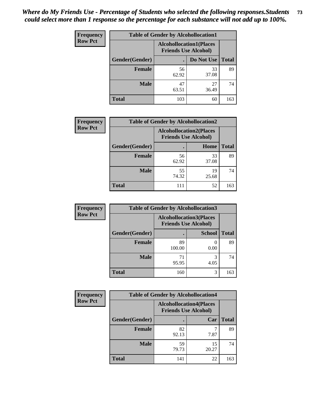| <b>Frequency</b> | <b>Table of Gender by Alcohollocation1</b> |                                                               |             |              |
|------------------|--------------------------------------------|---------------------------------------------------------------|-------------|--------------|
| <b>Row Pct</b>   |                                            | <b>Alcohollocation1(Places</b><br><b>Friends Use Alcohol)</b> |             |              |
|                  | Gender(Gender)                             |                                                               | Do Not Use  | <b>Total</b> |
|                  | <b>Female</b>                              | 56<br>62.92                                                   | 33<br>37.08 | 89           |
|                  | <b>Male</b>                                | 47<br>63.51                                                   | 27<br>36.49 | 74           |
|                  | <b>Total</b>                               | 103                                                           | 60          | 163          |

| <b>Frequency</b> | <b>Table of Gender by Alcohollocation2</b> |                                                               |             |              |
|------------------|--------------------------------------------|---------------------------------------------------------------|-------------|--------------|
| <b>Row Pct</b>   |                                            | <b>Alcohollocation2(Places</b><br><b>Friends Use Alcohol)</b> |             |              |
|                  | Gender(Gender)                             |                                                               | Home        | <b>Total</b> |
|                  | <b>Female</b>                              | 56<br>62.92                                                   | 33<br>37.08 | 89           |
|                  | <b>Male</b>                                | 55<br>74.32                                                   | 19<br>25.68 | 74           |
|                  | <b>Total</b>                               | 111                                                           | 52          | 163          |

| Frequency      | <b>Table of Gender by Alcohollocation3</b> |                                                               |               |              |
|----------------|--------------------------------------------|---------------------------------------------------------------|---------------|--------------|
| <b>Row Pct</b> |                                            | <b>Alcohollocation3(Places</b><br><b>Friends Use Alcohol)</b> |               |              |
|                | Gender(Gender)                             |                                                               | <b>School</b> | <b>Total</b> |
|                | <b>Female</b>                              | 89<br>100.00                                                  | 0.00          | 89           |
|                | <b>Male</b>                                | 71<br>95.95                                                   | 4.05          | 74           |
|                | <b>Total</b>                               | 160                                                           | 3             | 163          |

| Frequency      | <b>Table of Gender by Alcohollocation4</b> |                                                               |             |              |
|----------------|--------------------------------------------|---------------------------------------------------------------|-------------|--------------|
| <b>Row Pct</b> |                                            | <b>Alcohollocation4(Places</b><br><b>Friends Use Alcohol)</b> |             |              |
|                | Gender(Gender)                             |                                                               | Car         | <b>Total</b> |
|                | <b>Female</b>                              | 82<br>92.13                                                   | 7.87        | 89           |
|                | <b>Male</b>                                | 59<br>79.73                                                   | 15<br>20.27 | 74           |
|                | <b>Total</b>                               | 141                                                           | 22          | 163          |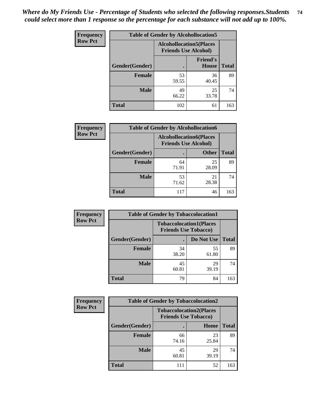| <b>Frequency</b> |                | <b>Table of Gender by Alcohollocation5</b> |                                                               |              |
|------------------|----------------|--------------------------------------------|---------------------------------------------------------------|--------------|
| <b>Row Pct</b>   |                |                                            | <b>Alcohollocation5(Places</b><br><b>Friends Use Alcohol)</b> |              |
|                  | Gender(Gender) | $\bullet$                                  | <b>Friend's</b><br>House                                      | <b>Total</b> |
|                  | <b>Female</b>  | 53<br>59.55                                | 36<br>40.45                                                   | 89           |
|                  | <b>Male</b>    | 49<br>66.22                                | 25<br>33.78                                                   | 74           |
|                  | <b>Total</b>   | 102                                        | 61                                                            | 163          |

| <b>Frequency</b> | <b>Table of Gender by Alcohollocation6</b> |                                                               |              |              |
|------------------|--------------------------------------------|---------------------------------------------------------------|--------------|--------------|
| <b>Row Pct</b>   |                                            | <b>Alcohollocation6(Places</b><br><b>Friends Use Alcohol)</b> |              |              |
|                  | Gender(Gender)                             |                                                               | <b>Other</b> | <b>Total</b> |
|                  | <b>Female</b>                              | 64<br>71.91                                                   | 25<br>28.09  | 89           |
|                  | <b>Male</b>                                | 53<br>71.62                                                   | 21<br>28.38  | 74           |
|                  | <b>Total</b>                               | 117                                                           | 46           | 163          |

| Frequency      | <b>Table of Gender by Tobaccolocation1</b> |                                                               |             |              |  |
|----------------|--------------------------------------------|---------------------------------------------------------------|-------------|--------------|--|
| <b>Row Pct</b> |                                            | <b>Tobaccolocation1(Places</b><br><b>Friends Use Tobacco)</b> |             |              |  |
|                | Gender(Gender)                             |                                                               | Do Not Use  | <b>Total</b> |  |
|                | Female                                     | 34<br>38.20                                                   | 55<br>61.80 | 89           |  |
|                | <b>Male</b>                                | 45<br>60.81                                                   | 29<br>39.19 | 74           |  |
|                | <b>Total</b>                               | 79                                                            | 84          | 163          |  |

| <b>Frequency</b> | <b>Table of Gender by Tobaccolocation2</b> |                                                               |             |              |
|------------------|--------------------------------------------|---------------------------------------------------------------|-------------|--------------|
| <b>Row Pct</b>   |                                            | <b>Tobaccolocation2(Places</b><br><b>Friends Use Tobacco)</b> |             |              |
|                  | Gender(Gender)                             |                                                               | Home        | <b>Total</b> |
|                  | Female                                     | 66<br>74.16                                                   | 23<br>25.84 | 89           |
|                  | <b>Male</b>                                | 45<br>60.81                                                   | 29<br>39.19 | 74           |
|                  | <b>Total</b>                               | 111                                                           | 52          | 163          |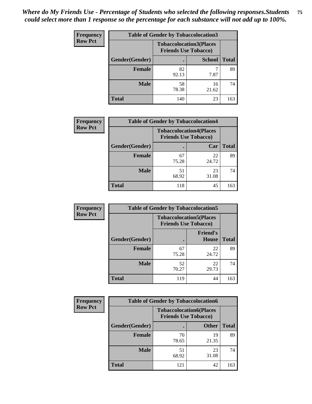| <b>Frequency</b> | <b>Table of Gender by Tobaccolocation3</b> |                                                               |               |              |
|------------------|--------------------------------------------|---------------------------------------------------------------|---------------|--------------|
| <b>Row Pct</b>   |                                            | <b>Tobaccolocation3(Places</b><br><b>Friends Use Tobacco)</b> |               |              |
|                  | Gender(Gender)                             |                                                               | <b>School</b> | <b>Total</b> |
|                  | <b>Female</b>                              | 82<br>92.13                                                   | 7.87          | 89           |
|                  | <b>Male</b>                                | 58<br>78.38                                                   | 16<br>21.62   | 74           |
|                  | <b>Total</b>                               | 140                                                           | 23            | 163          |

| <b>Frequency</b> |                | <b>Table of Gender by Tobaccolocation4</b> |                                |              |
|------------------|----------------|--------------------------------------------|--------------------------------|--------------|
| <b>Row Pct</b>   |                | <b>Friends Use Tobacco)</b>                | <b>Tobaccolocation4(Places</b> |              |
|                  | Gender(Gender) |                                            | Car                            | <b>Total</b> |
|                  | <b>Female</b>  | 67<br>75.28                                | 22<br>24.72                    | 89           |
|                  | <b>Male</b>    | 51<br>68.92                                | 23<br>31.08                    | 74           |
|                  | <b>Total</b>   | 118                                        | 45                             | 163          |

| <b>Frequency</b> | <b>Table of Gender by Tobaccolocation5</b> |                                                               |                          |              |
|------------------|--------------------------------------------|---------------------------------------------------------------|--------------------------|--------------|
| <b>Row Pct</b>   |                                            | <b>Tobaccolocation5(Places</b><br><b>Friends Use Tobacco)</b> |                          |              |
|                  | Gender(Gender)                             |                                                               | <b>Friend's</b><br>House | <b>Total</b> |
|                  | Female                                     | 67<br>75.28                                                   | 22<br>24.72              | 89           |
|                  | <b>Male</b>                                | 52<br>70.27                                                   | 22<br>29.73              | 74           |
|                  | <b>Total</b>                               | 119                                                           | 44                       | 163          |

| <b>Frequency</b> | <b>Table of Gender by Tobaccolocation6</b> |                                                               |              |              |
|------------------|--------------------------------------------|---------------------------------------------------------------|--------------|--------------|
| <b>Row Pct</b>   |                                            | <b>Tobaccolocation6(Places</b><br><b>Friends Use Tobacco)</b> |              |              |
|                  | Gender(Gender)                             |                                                               | <b>Other</b> | <b>Total</b> |
|                  | Female                                     | 70<br>78.65                                                   | 19<br>21.35  | 89           |
|                  | <b>Male</b>                                | 51<br>68.92                                                   | 23<br>31.08  | 74           |
|                  | <b>Total</b>                               | 121                                                           | 42           | 163          |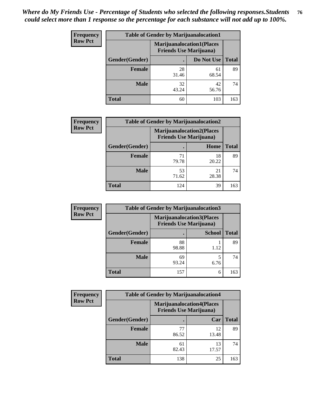| <b>Frequency</b> | <b>Table of Gender by Marijuanalocation1</b> |                                                                    |             |              |  |
|------------------|----------------------------------------------|--------------------------------------------------------------------|-------------|--------------|--|
| <b>Row Pct</b>   |                                              | <b>Marijuanalocation1(Places</b><br><b>Friends Use Marijuana</b> ) |             |              |  |
|                  | Gender(Gender)                               |                                                                    | Do Not Use  | <b>Total</b> |  |
|                  | <b>Female</b>                                | 28<br>31.46                                                        | 61<br>68.54 | 89           |  |
|                  | <b>Male</b>                                  | 32<br>43.24                                                        | 42<br>56.76 | 74           |  |
|                  | <b>Total</b>                                 | 60                                                                 | 103         | 163          |  |

| <b>Frequency</b> | <b>Table of Gender by Marijuanalocation2</b> |                                                                    |             |              |  |
|------------------|----------------------------------------------|--------------------------------------------------------------------|-------------|--------------|--|
| <b>Row Pct</b>   |                                              | <b>Marijuanalocation2(Places</b><br><b>Friends Use Marijuana</b> ) |             |              |  |
|                  | Gender(Gender)                               |                                                                    | Home        | <b>Total</b> |  |
|                  | Female                                       | 71<br>79.78                                                        | 18<br>20.22 | 89           |  |
|                  | <b>Male</b>                                  | 53<br>71.62                                                        | 21<br>28.38 | 74           |  |
|                  | <b>Total</b>                                 | 124                                                                | 39          | 163          |  |

| Frequency      | <b>Table of Gender by Marijuanalocation3</b> |                                |                                   |              |  |
|----------------|----------------------------------------------|--------------------------------|-----------------------------------|--------------|--|
| <b>Row Pct</b> |                                              | <b>Friends Use Marijuana</b> ) | <b>Marijuanalocation3(Places)</b> |              |  |
|                | Gender(Gender)                               |                                | <b>School</b>                     | <b>Total</b> |  |
|                | Female                                       | 88<br>98.88                    | 1.12                              | 89           |  |
|                | <b>Male</b>                                  | 69<br>93.24                    | 6.76                              | 74           |  |
|                | <b>Total</b>                                 | 157                            | 6                                 | 163          |  |

| <b>Frequency</b> |                | <b>Table of Gender by Marijuanalocation4</b> |                                  |              |
|------------------|----------------|----------------------------------------------|----------------------------------|--------------|
| <b>Row Pct</b>   |                | <b>Friends Use Marijuana</b> )               | <b>Marijuanalocation4(Places</b> |              |
|                  | Gender(Gender) |                                              | Car                              | <b>Total</b> |
|                  | Female         | 77<br>86.52                                  | 12<br>13.48                      | 89           |
|                  | <b>Male</b>    | 61<br>82.43                                  | 13<br>17.57                      | 74           |
|                  | <b>Total</b>   | 138                                          | 25                               | 163          |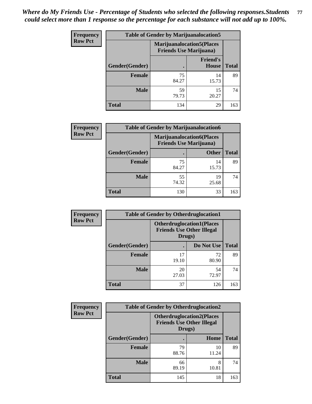| <b>Frequency</b> | <b>Table of Gender by Marijuanalocation5</b> |                                                                     |                                 |              |
|------------------|----------------------------------------------|---------------------------------------------------------------------|---------------------------------|--------------|
| <b>Row Pct</b>   |                                              | <b>Marijuanalocation5</b> (Places<br><b>Friends Use Marijuana</b> ) |                                 |              |
|                  | Gender(Gender)                               |                                                                     | <b>Friend's</b><br><b>House</b> | <b>Total</b> |
|                  | Female                                       | 75<br>84.27                                                         | 14<br>15.73                     | 89           |
|                  | <b>Male</b>                                  | 59<br>79.73                                                         | 15<br>20.27                     | 74           |
|                  | <b>Total</b>                                 | 134                                                                 | 29                              | 163          |

| <b>Frequency</b> | <b>Table of Gender by Marijuanalocation6</b> |                                                                    |              |              |  |
|------------------|----------------------------------------------|--------------------------------------------------------------------|--------------|--------------|--|
| <b>Row Pct</b>   |                                              | <b>Marijuanalocation6(Places</b><br><b>Friends Use Marijuana</b> ) |              |              |  |
|                  | <b>Gender</b> (Gender)                       |                                                                    | <b>Other</b> | <b>Total</b> |  |
|                  | <b>Female</b>                                | 75<br>84.27                                                        | 14<br>15.73  | 89           |  |
|                  | <b>Male</b>                                  | 55<br>74.32                                                        | 19<br>25.68  | 74           |  |
|                  | <b>Total</b>                                 | 130                                                                | 33           | 163          |  |

| <b>Frequency</b> | <b>Table of Gender by Otherdruglocation1</b> |                                                                                |             |              |
|------------------|----------------------------------------------|--------------------------------------------------------------------------------|-------------|--------------|
| <b>Row Pct</b>   |                                              | <b>Otherdruglocation1(Places</b><br><b>Friends Use Other Illegal</b><br>Drugs) |             |              |
|                  | <b>Gender</b> (Gender)                       |                                                                                | Do Not Use  | <b>Total</b> |
|                  | <b>Female</b>                                | 17<br>19.10                                                                    | 72<br>80.90 | 89           |
|                  | <b>Male</b>                                  | 20<br>27.03                                                                    | 54<br>72.97 | 74           |
|                  | <b>Total</b>                                 | 37                                                                             | 126         | 163          |

| Frequency      | <b>Table of Gender by Otherdruglocation2</b> |                                                                                |             |              |
|----------------|----------------------------------------------|--------------------------------------------------------------------------------|-------------|--------------|
| <b>Row Pct</b> |                                              | <b>Otherdruglocation2(Places</b><br><b>Friends Use Other Illegal</b><br>Drugs) |             |              |
|                | Gender(Gender)                               |                                                                                | Home        | <b>Total</b> |
|                | Female                                       | 79<br>88.76                                                                    | 10<br>11.24 | 89           |
|                | <b>Male</b>                                  | 66<br>89.19                                                                    | 8<br>10.81  | 74           |
|                | <b>Total</b>                                 | 145                                                                            | 18          | 163          |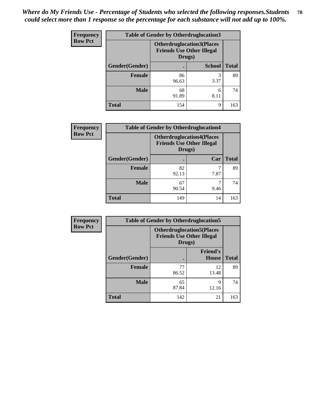| <b>Frequency</b> | <b>Table of Gender by Otherdruglocation3</b> |                                                                                |               |              |
|------------------|----------------------------------------------|--------------------------------------------------------------------------------|---------------|--------------|
| <b>Row Pct</b>   |                                              | <b>Otherdruglocation3(Places</b><br><b>Friends Use Other Illegal</b><br>Drugs) |               |              |
|                  | Gender(Gender)                               |                                                                                | <b>School</b> | <b>Total</b> |
|                  | Female                                       | 86<br>96.63                                                                    | 3<br>3.37     | 89           |
|                  | <b>Male</b>                                  | 68<br>91.89                                                                    | 6<br>8.11     | 74           |
|                  | <b>Total</b>                                 | 154                                                                            | q             | 163          |

| Frequency      | <b>Table of Gender by Otherdruglocation4</b> |                                                                                |      |              |
|----------------|----------------------------------------------|--------------------------------------------------------------------------------|------|--------------|
| <b>Row Pct</b> |                                              | <b>Otherdruglocation4(Places</b><br><b>Friends Use Other Illegal</b><br>Drugs) |      |              |
|                | Gender(Gender)                               |                                                                                | Car  | <b>Total</b> |
|                | <b>Female</b>                                | 82<br>92.13                                                                    | 7.87 | 89           |
|                | <b>Male</b>                                  | 67<br>90.54                                                                    | 9.46 | 74           |
|                | <b>Total</b>                                 | 149                                                                            | 14   | 163          |

| Frequency      | <b>Table of Gender by Otherdruglocation5</b> |                                                                                |                                 |              |
|----------------|----------------------------------------------|--------------------------------------------------------------------------------|---------------------------------|--------------|
| <b>Row Pct</b> |                                              | <b>Otherdruglocation5(Places</b><br><b>Friends Use Other Illegal</b><br>Drugs) |                                 |              |
|                | Gender(Gender)                               |                                                                                | <b>Friend's</b><br><b>House</b> | <b>Total</b> |
|                | <b>Female</b>                                | 77<br>86.52                                                                    | 12<br>13.48                     | 89           |
|                | <b>Male</b>                                  | 65<br>87.84                                                                    | 9<br>12.16                      | 74           |
|                | <b>Total</b>                                 | 142                                                                            | 21                              | 163          |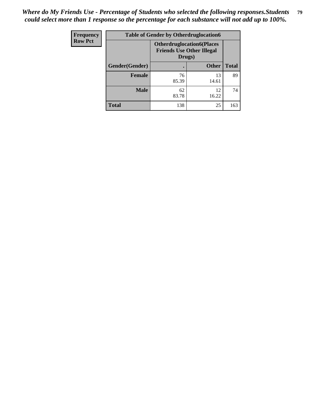| <b>Frequency</b> | <b>Table of Gender by Otherdruglocation6</b> |                                                                                |              |              |
|------------------|----------------------------------------------|--------------------------------------------------------------------------------|--------------|--------------|
| <b>Row Pct</b>   |                                              | <b>Otherdruglocation6(Places</b><br><b>Friends Use Other Illegal</b><br>Drugs) |              |              |
|                  | Gender(Gender)                               |                                                                                | <b>Other</b> | <b>Total</b> |
|                  | Female                                       | 76<br>85.39                                                                    | 13<br>14.61  | 89           |
|                  | <b>Male</b>                                  | 62<br>83.78                                                                    | 12<br>16.22  | 74           |
|                  | <b>Total</b>                                 | 138                                                                            | 25           | 163          |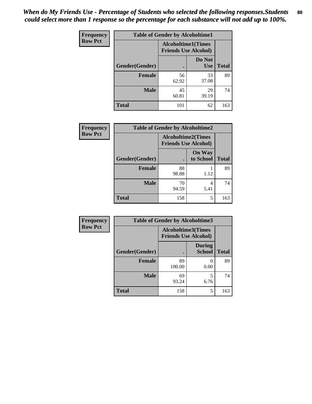| <b>Frequency</b> | <b>Table of Gender by Alcoholtime1</b> |                                                          |                      |              |
|------------------|----------------------------------------|----------------------------------------------------------|----------------------|--------------|
| <b>Row Pct</b>   |                                        | <b>Alcoholtime1(Times</b><br><b>Friends Use Alcohol)</b> |                      |              |
|                  | Gender(Gender)                         | $\bullet$                                                | Do Not<br><b>Use</b> | <b>Total</b> |
|                  | <b>Female</b>                          | 56<br>62.92                                              | 33<br>37.08          | 89           |
|                  | <b>Male</b>                            | 45<br>60.81                                              | 29<br>39.19          | 74           |
|                  | <b>Total</b>                           | 101                                                      | 62                   | 163          |

| <b>Frequency</b> | <b>Table of Gender by Alcoholtime2</b> |                                                          |                            |              |
|------------------|----------------------------------------|----------------------------------------------------------|----------------------------|--------------|
| <b>Row Pct</b>   |                                        | <b>Alcoholtime2(Times</b><br><b>Friends Use Alcohol)</b> |                            |              |
|                  | Gender(Gender)                         |                                                          | <b>On Way</b><br>to School | <b>Total</b> |
|                  | <b>Female</b>                          | 88<br>98.88                                              | 1.12                       | 89           |
|                  | <b>Male</b>                            | 70<br>94.59                                              | 4<br>5.41                  | 74           |
|                  | <b>Total</b>                           | 158                                                      | 5                          | 163          |

| Frequency      | <b>Table of Gender by Alcoholtime3</b> |                                                          |                                |              |
|----------------|----------------------------------------|----------------------------------------------------------|--------------------------------|--------------|
| <b>Row Pct</b> |                                        | <b>Alcoholtime3(Times</b><br><b>Friends Use Alcohol)</b> |                                |              |
|                | Gender(Gender)                         |                                                          | <b>During</b><br><b>School</b> | <b>Total</b> |
|                | <b>Female</b>                          | 89<br>100.00                                             | 0.00                           | 89           |
|                | <b>Male</b>                            | 69<br>93.24                                              | 5<br>6.76                      | 74           |
|                | <b>Total</b>                           | 158                                                      | 5                              | 163          |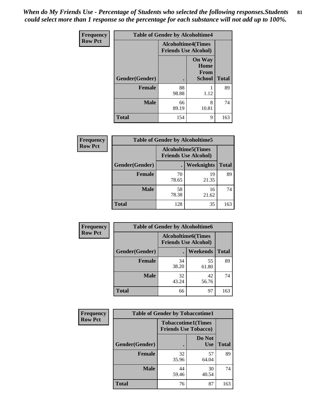*When do My Friends Use - Percentage of Students who selected the following responses.Students could select more than 1 response so the percentage for each substance will not add up to 100%.* **81**

| <b>Frequency</b> | <b>Table of Gender by Alcoholtime4</b> |                                                          |                                                |              |
|------------------|----------------------------------------|----------------------------------------------------------|------------------------------------------------|--------------|
| <b>Row Pct</b>   |                                        | <b>Alcoholtime4(Times</b><br><b>Friends Use Alcohol)</b> |                                                |              |
|                  | Gender(Gender)                         | $\bullet$                                                | <b>On Way</b><br>Home<br>From<br><b>School</b> | <b>Total</b> |
|                  | <b>Female</b>                          | 88<br>98.88                                              | 1.12                                           | 89           |
|                  | <b>Male</b>                            | 66<br>89.19                                              | 8<br>10.81                                     | 74           |
|                  | <b>Total</b>                           | 154                                                      | 9                                              | 163          |

| <b>Frequency</b> | <b>Table of Gender by Alcoholtime5</b> |                                                          |                   |              |
|------------------|----------------------------------------|----------------------------------------------------------|-------------------|--------------|
| <b>Row Pct</b>   |                                        | <b>Alcoholtime5(Times</b><br><b>Friends Use Alcohol)</b> |                   |              |
|                  | Gender(Gender)                         |                                                          | <b>Weeknights</b> | <b>Total</b> |
|                  | <b>Female</b>                          | 70<br>78.65                                              | 19<br>21.35       | 89           |
|                  | <b>Male</b>                            | 58<br>78.38                                              | 16<br>21.62       | 74           |
|                  | <b>Total</b>                           | 128                                                      | 35                | 163          |

| <b>Frequency</b> | <b>Table of Gender by Alcoholtime6</b> |             |                                                          |              |
|------------------|----------------------------------------|-------------|----------------------------------------------------------|--------------|
| <b>Row Pct</b>   |                                        |             | <b>Alcoholtime6(Times</b><br><b>Friends Use Alcohol)</b> |              |
|                  | Gender(Gender)                         |             | Weekends                                                 | <b>Total</b> |
|                  | Female                                 | 34<br>38.20 | 55<br>61.80                                              | 89           |
|                  | <b>Male</b>                            | 32<br>43.24 | 42<br>56.76                                              | 74           |
|                  | <b>Total</b>                           | 66          | 97                                                       | 163          |

| <b>Frequency</b> | <b>Table of Gender by Tobaccotime1</b> |                                                          |                      |              |
|------------------|----------------------------------------|----------------------------------------------------------|----------------------|--------------|
| <b>Row Pct</b>   |                                        | <b>Tobaccotime1(Times</b><br><b>Friends Use Tobacco)</b> |                      |              |
|                  | Gender(Gender)                         |                                                          | Do Not<br><b>Use</b> | <b>Total</b> |
|                  | <b>Female</b>                          | 32<br>35.96                                              | 57<br>64.04          | 89           |
|                  | <b>Male</b>                            | 44<br>59.46                                              | 30<br>40.54          | 74           |
|                  | <b>Total</b>                           | 76                                                       | 87                   | 163          |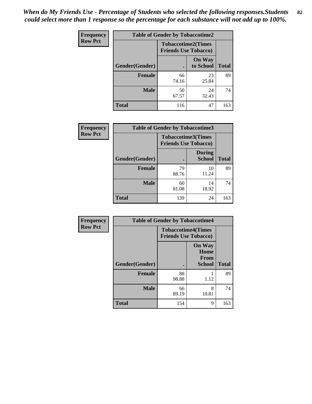| <b>Frequency</b> | <b>Table of Gender by Tobaccotime2</b> |                                                          |                            |              |
|------------------|----------------------------------------|----------------------------------------------------------|----------------------------|--------------|
| <b>Row Pct</b>   |                                        | <b>Tobaccotime2(Times</b><br><b>Friends Use Tobacco)</b> |                            |              |
|                  | Gender(Gender)                         | $\bullet$                                                | <b>On Way</b><br>to School | <b>Total</b> |
|                  | Female                                 | 66<br>74.16                                              | 23<br>25.84                | 89           |
|                  | <b>Male</b>                            | 50<br>67.57                                              | 24<br>32.43                | 74           |
|                  | <b>Total</b>                           | 116                                                      | 47                         | 163          |

| <b>Frequency</b> | <b>Table of Gender by Tobaccotime3</b> |                                                          |                                |              |
|------------------|----------------------------------------|----------------------------------------------------------|--------------------------------|--------------|
| <b>Row Pct</b>   |                                        | <b>Tobaccotime3(Times</b><br><b>Friends Use Tobacco)</b> |                                |              |
|                  | Gender(Gender)                         | ٠                                                        | <b>During</b><br><b>School</b> | <b>Total</b> |
|                  | <b>Female</b>                          | 79<br>88.76                                              | 10<br>11.24                    | 89           |
|                  | <b>Male</b>                            | 60<br>81.08                                              | 14<br>18.92                    | 74           |
|                  | <b>Total</b>                           | 139                                                      | 24                             | 163          |

| <b>Frequency</b> | <b>Table of Gender by Tobaccotime4</b> |                                                          |                                                |              |
|------------------|----------------------------------------|----------------------------------------------------------|------------------------------------------------|--------------|
| <b>Row Pct</b>   |                                        | <b>Tobaccotime4(Times</b><br><b>Friends Use Tobacco)</b> |                                                |              |
|                  | Gender(Gender)                         |                                                          | <b>On Way</b><br>Home<br>From<br><b>School</b> | <b>Total</b> |
|                  | <b>Female</b>                          | 88<br>98.88                                              | 1.12                                           | 89           |
|                  | <b>Male</b>                            | 66<br>89.19                                              | 8<br>10.81                                     | 74           |
|                  | <b>Total</b>                           | 154                                                      | 9                                              | 163          |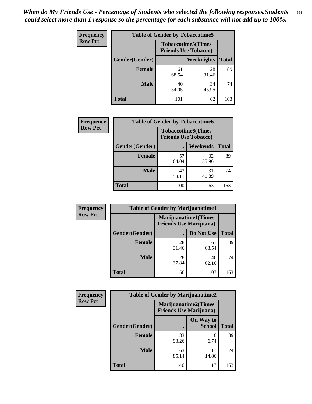| <b>Frequency</b> | <b>Table of Gender by Tobaccotime5</b> |             |                                                           |              |  |
|------------------|----------------------------------------|-------------|-----------------------------------------------------------|--------------|--|
| <b>Row Pct</b>   |                                        |             | <b>Tobaccotime5</b> (Times<br><b>Friends Use Tobacco)</b> |              |  |
|                  | Gender(Gender)                         |             | <b>Weeknights</b>                                         | <b>Total</b> |  |
|                  | <b>Female</b>                          | 61<br>68.54 | 28<br>31.46                                               | 89           |  |
|                  | <b>Male</b>                            | 40<br>54.05 | 34<br>45.95                                               | 74           |  |
|                  | <b>Total</b>                           | 101         | 62                                                        | 163          |  |

| <b>Frequency</b> | <b>Table of Gender by Tobaccotime6</b> |                                                          |                 |              |
|------------------|----------------------------------------|----------------------------------------------------------|-----------------|--------------|
| <b>Row Pct</b>   |                                        | <b>Tobaccotime6(Times</b><br><b>Friends Use Tobacco)</b> |                 |              |
|                  | Gender(Gender)                         |                                                          | <b>Weekends</b> | <b>Total</b> |
|                  | Female                                 | 57<br>64.04                                              | 32<br>35.96     | 89           |
|                  | <b>Male</b>                            | 43<br>58.11                                              | 31<br>41.89     | 74           |
|                  | <b>Total</b>                           | 100                                                      | 63              | 163          |

| <b>Frequency</b> | <b>Table of Gender by Marijuanatime1</b> |                                |                             |              |
|------------------|------------------------------------------|--------------------------------|-----------------------------|--------------|
| <b>Row Pct</b>   |                                          | <b>Friends Use Marijuana</b> ) | <b>Marijuanatime1(Times</b> |              |
|                  | Gender(Gender)                           |                                | Do Not Use                  | <b>Total</b> |
|                  | <b>Female</b>                            | 28<br>31.46                    | 61<br>68.54                 | 89           |
|                  | <b>Male</b>                              | 28<br>37.84                    | 46<br>62.16                 | 74           |
|                  | <b>Total</b>                             | 56                             | 107                         | 163          |

| <b>Frequency</b> | <b>Table of Gender by Marijuanatime2</b> |                                                               |                            |              |
|------------------|------------------------------------------|---------------------------------------------------------------|----------------------------|--------------|
| <b>Row Pct</b>   |                                          | <b>Marijuanatime2(Times</b><br><b>Friends Use Marijuana</b> ) |                            |              |
|                  | Gender(Gender)                           |                                                               | On Way to<br><b>School</b> | <b>Total</b> |
|                  | Female                                   | 83<br>93.26                                                   | 6<br>6.74                  | 89           |
|                  | <b>Male</b>                              | 63<br>85.14                                                   | 11<br>14.86                | 74           |
|                  | <b>Total</b>                             | 146                                                           | 17                         | 163          |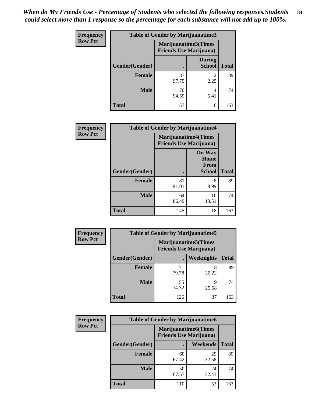*When do My Friends Use - Percentage of Students who selected the following responses.Students could select more than 1 response so the percentage for each substance will not add up to 100%.* **84**

| <b>Frequency</b> | Table of Gender by Marijuanatime3 |                                                        |                                |              |
|------------------|-----------------------------------|--------------------------------------------------------|--------------------------------|--------------|
| <b>Row Pct</b>   |                                   | Marijuanatime3(Times<br><b>Friends Use Marijuana</b> ) |                                |              |
|                  | Gender(Gender)                    |                                                        | <b>During</b><br><b>School</b> | <b>Total</b> |
|                  | <b>Female</b>                     | 87<br>97.75                                            | $\mathfrak{D}$<br>2.25         | 89           |
|                  | <b>Male</b>                       | 70<br>94.59                                            | 4<br>5.41                      | 74           |
|                  | <b>Total</b>                      | 157                                                    | 6                              | 163          |

| Frequency      | <b>Table of Gender by Marijuanatime4</b> |                             |                                                       |              |
|----------------|------------------------------------------|-----------------------------|-------------------------------------------------------|--------------|
| <b>Row Pct</b> |                                          | <b>Marijuanatime4(Times</b> | <b>Friends Use Marijuana</b> )                        |              |
|                | Gender(Gender)                           |                             | <b>On Way</b><br>Home<br><b>From</b><br><b>School</b> | <b>Total</b> |
|                | <b>Female</b>                            | 81<br>91.01                 | 8<br>8.99                                             | 89           |
|                | <b>Male</b>                              | 64<br>86.49                 | 10<br>13.51                                           | 74           |
|                | <b>Total</b>                             | 145                         | 18                                                    | 163          |

| Frequency      | <b>Table of Gender by Marijuanatime5</b> |                                                                |                   |              |  |
|----------------|------------------------------------------|----------------------------------------------------------------|-------------------|--------------|--|
| <b>Row Pct</b> |                                          | <b>Marijuanatime5</b> (Times<br><b>Friends Use Marijuana</b> ) |                   |              |  |
|                | Gender(Gender)                           | ٠                                                              | <b>Weeknights</b> | <b>Total</b> |  |
|                | <b>Female</b>                            | 71<br>79.78                                                    | 18<br>20.22       | 89           |  |
|                | <b>Male</b>                              | 55<br>74.32                                                    | 19<br>25.68       | 74           |  |
|                | <b>Total</b>                             | 126                                                            | 37                | 163          |  |

| <b>Frequency</b> | <b>Table of Gender by Marijuanatime6</b> |                                                               |                 |              |  |
|------------------|------------------------------------------|---------------------------------------------------------------|-----------------|--------------|--|
| <b>Row Pct</b>   |                                          | <b>Marijuanatime6(Times</b><br><b>Friends Use Marijuana</b> ) |                 |              |  |
|                  | Gender(Gender)                           |                                                               | <b>Weekends</b> | <b>Total</b> |  |
|                  | <b>Female</b>                            | 60<br>67.42                                                   | 29<br>32.58     | 89           |  |
|                  | <b>Male</b>                              | 50<br>67.57                                                   | 24<br>32.43     | 74           |  |
|                  | <b>Total</b>                             | 110                                                           | 53              | 163          |  |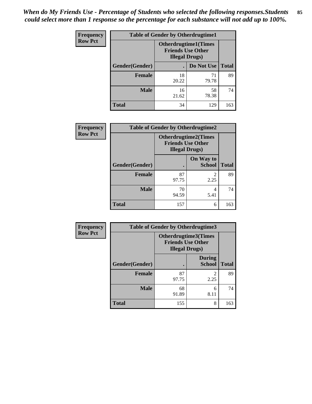*When do My Friends Use - Percentage of Students who selected the following responses.Students could select more than 1 response so the percentage for each substance will not add up to 100%.* **85**

| <b>Frequency</b> | <b>Table of Gender by Otherdrugtime1</b> |                                                    |                              |     |  |
|------------------|------------------------------------------|----------------------------------------------------|------------------------------|-----|--|
| <b>Row Pct</b>   |                                          | <b>Friends Use Other</b><br><b>Illegal Drugs</b> ) | <b>Otherdrugtime1</b> (Times |     |  |
|                  | Gender(Gender)                           |                                                    | Do Not Use   Total           |     |  |
|                  | <b>Female</b>                            | 18<br>20.22                                        | 71<br>79.78                  | 89  |  |
|                  | <b>Male</b>                              | 16<br>21.62                                        | 58<br>78.38                  | 74  |  |
|                  | <b>Total</b>                             | 34                                                 | 129                          | 163 |  |

| Frequency      | <b>Table of Gender by Otherdrugtime2</b> |                        |                                                         |              |
|----------------|------------------------------------------|------------------------|---------------------------------------------------------|--------------|
| <b>Row Pct</b> |                                          | <b>Illegal Drugs</b> ) | <b>Otherdrugtime2(Times</b><br><b>Friends Use Other</b> |              |
|                | Gender(Gender)                           |                        | On Way to<br><b>School</b>                              | <b>Total</b> |
|                | <b>Female</b>                            | 87<br>97.75            | $\mathfrak{D}$<br>2.25                                  | 89           |
|                | <b>Male</b>                              | 70<br>94.59            | 4<br>5.41                                               | 74           |
|                | <b>Total</b>                             | 157                    | 6                                                       | 163          |

| <b>Frequency</b> | Table of Gender by Otherdrugtime3 |                                                                            |                                |              |  |
|------------------|-----------------------------------|----------------------------------------------------------------------------|--------------------------------|--------------|--|
| <b>Row Pct</b>   |                                   | Otherdrugtime3(Times<br><b>Friends Use Other</b><br><b>Illegal Drugs</b> ) |                                |              |  |
|                  | Gender(Gender)                    |                                                                            | <b>During</b><br><b>School</b> | <b>Total</b> |  |
|                  | <b>Female</b>                     | 87<br>97.75                                                                | 2<br>2.25                      | 89           |  |
|                  | <b>Male</b>                       | 68<br>91.89                                                                | 6<br>8.11                      | 74           |  |
|                  | <b>Total</b>                      | 155                                                                        | 8                              | 163          |  |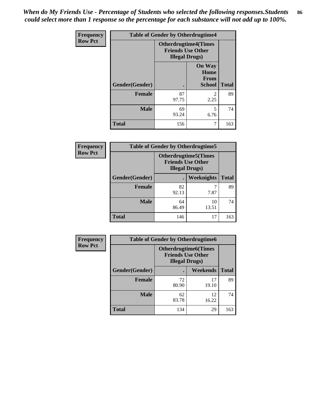*When do My Friends Use - Percentage of Students who selected the following responses.Students could select more than 1 response so the percentage for each substance will not add up to 100%.* **86**

| Frequency      | <b>Table of Gender by Otherdrugtime4</b> |                                                    |                                                       |              |
|----------------|------------------------------------------|----------------------------------------------------|-------------------------------------------------------|--------------|
| <b>Row Pct</b> |                                          | <b>Friends Use Other</b><br><b>Illegal Drugs</b> ) | <b>Otherdrugtime4(Times</b>                           |              |
|                | Gender(Gender)                           |                                                    | <b>On Way</b><br>Home<br><b>From</b><br><b>School</b> | <b>Total</b> |
|                | <b>Female</b>                            | 87<br>97.75                                        | $\mathfrak{D}$<br>2.25                                | 89           |
|                | <b>Male</b>                              | 69<br>93.24                                        | 5<br>6.76                                             | 74           |
|                | <b>Total</b>                             | 156                                                |                                                       | 163          |

| Frequency      | <b>Table of Gender by Otherdrugtime5</b> |                                                                                    |             |              |
|----------------|------------------------------------------|------------------------------------------------------------------------------------|-------------|--------------|
| <b>Row Pct</b> |                                          | <b>Otherdrugtime5</b> (Times<br><b>Friends Use Other</b><br><b>Illegal Drugs</b> ) |             |              |
|                | Gender(Gender)                           |                                                                                    | Weeknights  | <b>Total</b> |
|                | <b>Female</b>                            | 82<br>92.13                                                                        | 7.87        | 89           |
|                | <b>Male</b>                              | 64<br>86.49                                                                        | 10<br>13.51 | 74           |
|                | <b>Total</b>                             | 146                                                                                | 17          | 163          |

| <b>Frequency</b> | <b>Table of Gender by Otherdrugtime6</b> |                                                                                   |             |              |  |
|------------------|------------------------------------------|-----------------------------------------------------------------------------------|-------------|--------------|--|
| <b>Row Pct</b>   |                                          | <b>Otherdrugtime6(Times</b><br><b>Friends Use Other</b><br><b>Illegal Drugs</b> ) |             |              |  |
|                  | Gender(Gender)                           |                                                                                   | Weekends    | <b>Total</b> |  |
|                  | <b>Female</b>                            | 72<br>80.90                                                                       | 17<br>19.10 | 89           |  |
|                  | <b>Male</b>                              | 62<br>83.78                                                                       | 12<br>16.22 | 74           |  |
|                  | <b>Total</b>                             | 134                                                                               | 29          | 163          |  |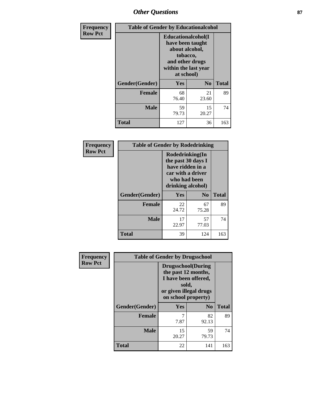## *Other Questions* **87**

| <b>Frequency</b> | <b>Table of Gender by Educationalcohol</b> |                                                                                                                                       |                |              |
|------------------|--------------------------------------------|---------------------------------------------------------------------------------------------------------------------------------------|----------------|--------------|
| <b>Row Pct</b>   |                                            | <b>Educationalcohol</b> (I<br>have been taught<br>about alcohol,<br>tobacco,<br>and other drugs<br>within the last year<br>at school) |                |              |
|                  | Gender(Gender)                             | <b>Yes</b>                                                                                                                            | N <sub>0</sub> | <b>Total</b> |
|                  | <b>Female</b>                              | 68<br>76.40                                                                                                                           | 21<br>23.60    | 89           |
|                  | <b>Male</b>                                | 59<br>79.73                                                                                                                           | 15<br>20.27    | 74           |
|                  | <b>Total</b>                               | 127                                                                                                                                   | 36             | 163          |

| Frequency      | <b>Table of Gender by Rodedrinking</b> |                                                                                                                     |                |              |  |
|----------------|----------------------------------------|---------------------------------------------------------------------------------------------------------------------|----------------|--------------|--|
| <b>Row Pct</b> |                                        | Rodedrinking(In<br>the past 30 days I<br>have ridden in a<br>car with a driver<br>who had been<br>drinking alcohol) |                |              |  |
|                | Gender(Gender)                         | Yes                                                                                                                 | N <sub>0</sub> | <b>Total</b> |  |
|                | <b>Female</b>                          | 22<br>24.72                                                                                                         | 67<br>75.28    | 89           |  |
|                | <b>Male</b>                            | 17<br>22.97                                                                                                         | 57<br>77.03    | 74           |  |
|                | <b>Total</b>                           | 39                                                                                                                  | 124            | 163          |  |

| Frequency      | <b>Table of Gender by Drugsschool</b> |                                                                                                                                     |                |              |  |
|----------------|---------------------------------------|-------------------------------------------------------------------------------------------------------------------------------------|----------------|--------------|--|
| <b>Row Pct</b> |                                       | <b>Drugsschool</b> (During<br>the past 12 months,<br>I have been offered,<br>sold,<br>or given illegal drugs<br>on school property) |                |              |  |
|                | Gender(Gender)                        | <b>Yes</b>                                                                                                                          | N <sub>0</sub> | <b>Total</b> |  |
|                | <b>Female</b>                         | 7<br>7.87                                                                                                                           | 82<br>92.13    | 89           |  |
|                | <b>Male</b>                           | 15<br>20.27                                                                                                                         | 59<br>79.73    | 74           |  |
|                | <b>Total</b>                          | 22                                                                                                                                  | 141            | 163          |  |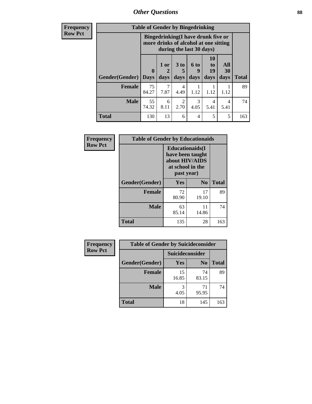*Other Questions* **88**

**Frequency Row Pct**

| <b>Table of Gender by Bingedrinking</b> |                                                                                                         |           |                        |           |                |           |              |
|-----------------------------------------|---------------------------------------------------------------------------------------------------------|-----------|------------------------|-----------|----------------|-----------|--------------|
|                                         | Bingedrinking(I have drunk five or<br>more drinks of alcohol at one sitting<br>during the last 30 days) |           |                        |           |                |           |              |
|                                         | $\bf{0}$                                                                                                | 1 or<br>2 | $3$ to<br>5            | 6 to<br>9 | 10<br>to<br>19 | All<br>30 |              |
| <b>Gender</b> (Gender)                  | <b>Days</b>                                                                                             | days      | days                   | days      | days           | days      | <b>Total</b> |
| <b>Female</b>                           | 75<br>84.27                                                                                             | 7.87      | $\overline{4}$<br>4.49 | 1.12      | 1.12           | 1.12      | 89           |
| <b>Male</b>                             | 55<br>74.32                                                                                             | 6<br>8.11 | 2<br>2.70              | 3<br>4.05 | 4<br>5.41      | 4<br>5.41 | 74           |

| Frequency      | <b>Table of Gender by Educationaids</b> |                                                                                                 |                |              |
|----------------|-----------------------------------------|-------------------------------------------------------------------------------------------------|----------------|--------------|
| <b>Row Pct</b> |                                         | <b>Educationaids</b> (I<br>have been taught<br>about HIV/AIDS<br>at school in the<br>past year) |                |              |
|                | Gender(Gender)                          | Yes                                                                                             | N <sub>0</sub> | <b>Total</b> |
|                | <b>Female</b>                           | 72<br>80.90                                                                                     | 17<br>19.10    | 89           |
|                | <b>Male</b>                             | 63<br>85.14                                                                                     | 11<br>14.86    | 74           |
|                | <b>Total</b>                            | 135                                                                                             | 28             | 163          |

| <b>Frequency</b> | <b>Table of Gender by Suicideconsider</b> |                 |                |              |  |
|------------------|-------------------------------------------|-----------------|----------------|--------------|--|
| <b>Row Pct</b>   |                                           | Suicideconsider |                |              |  |
|                  | Gender(Gender)                            | Yes             | N <sub>0</sub> | <b>Total</b> |  |
|                  | <b>Female</b>                             | 15<br>16.85     | 74<br>83.15    | 89           |  |
|                  | <b>Male</b>                               | 4.05            | 71<br>95.95    | 74           |  |
|                  | <b>Total</b>                              | 18              | 145            | 163          |  |